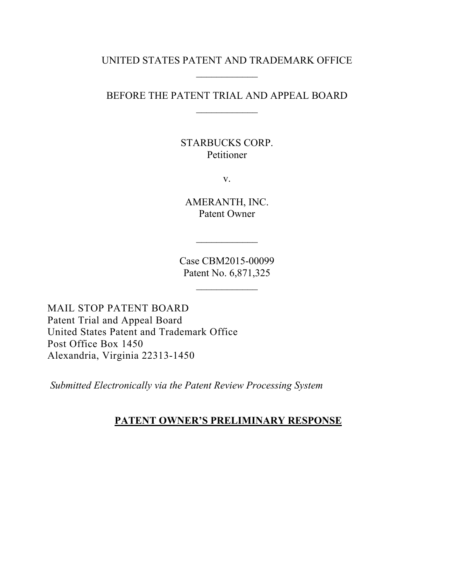#### UNITED STATES PATENT AND TRADEMARK OFFICE  $\frac{1}{2}$

#### BEFORE THE PATENT TRIAL AND APPEAL BOARD

#### STARBUCKS CORP. Petitioner

v.

AMERANTH, INC. Patent Owner

Case CBM2015-00099 Patent No. 6,871,325

 $\frac{1}{2}$ 

MAIL STOP PATENT BOARD Patent Trial and Appeal Board United States Patent and Trademark Office Post Office Box 1450 Alexandria, Virginia 22313-1450

*Submitted Electronically via the Patent Review Processing System*

#### **PATENT OWNER'S PRELIMINARY RESPONSE**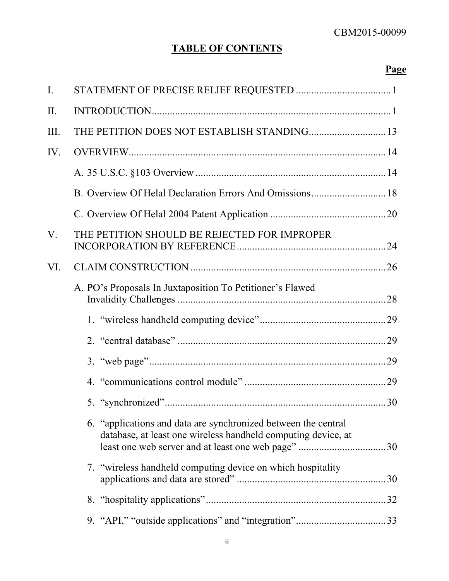# **TABLE OF CONTENTS**

### **Page**

| I.          |                                                                                                                                 |
|-------------|---------------------------------------------------------------------------------------------------------------------------------|
| II.         |                                                                                                                                 |
| Ш.          |                                                                                                                                 |
| IV.         |                                                                                                                                 |
|             |                                                                                                                                 |
|             |                                                                                                                                 |
|             |                                                                                                                                 |
| $V_{\cdot}$ | THE PETITION SHOULD BE REJECTED FOR IMPROPER                                                                                    |
| VI.         |                                                                                                                                 |
|             | A. PO's Proposals In Juxtaposition To Petitioner's Flawed                                                                       |
|             |                                                                                                                                 |
|             |                                                                                                                                 |
|             |                                                                                                                                 |
|             |                                                                                                                                 |
|             |                                                                                                                                 |
|             | 6. "applications and data are synchronized between the central<br>database, at least one wireless handheld computing device, at |
|             | 7. "wireless handheld computing device on which hospitality                                                                     |
|             |                                                                                                                                 |
|             |                                                                                                                                 |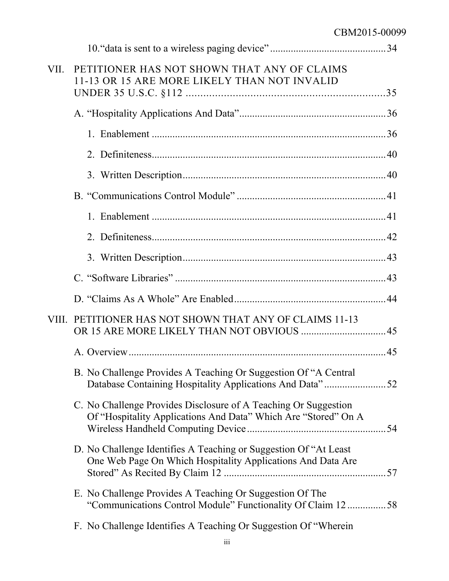| VII.  | PETITIONER HAS NOT SHOWN THAT ANY OF CLAIMS<br>11-13 OR 15 ARE MORE LIKELY THAN NOT INVALID                                       |  |
|-------|-----------------------------------------------------------------------------------------------------------------------------------|--|
|       |                                                                                                                                   |  |
|       |                                                                                                                                   |  |
|       |                                                                                                                                   |  |
|       |                                                                                                                                   |  |
|       |                                                                                                                                   |  |
|       |                                                                                                                                   |  |
|       |                                                                                                                                   |  |
|       |                                                                                                                                   |  |
|       |                                                                                                                                   |  |
|       |                                                                                                                                   |  |
| VIII. | PETITIONER HAS NOT SHOWN THAT ANY OF CLAIMS 11-13                                                                                 |  |
|       |                                                                                                                                   |  |
|       | B. No Challenge Provides A Teaching Or Suggestion Of "A Central<br>Database Containing Hospitality Applications And Data"52       |  |
|       | C. No Challenge Provides Disclosure of A Teaching Or Suggestion<br>Of "Hospitality Applications And Data" Which Are "Stored" On A |  |
|       | D. No Challenge Identifies A Teaching or Suggestion Of "At Least"<br>One Web Page On Which Hospitality Applications And Data Are  |  |
|       | E. No Challenge Provides A Teaching Or Suggestion Of The<br>"Communications Control Module" Functionality Of Claim 12 58          |  |
|       | F. No Challenge Identifies A Teaching Or Suggestion Of "Wherein"                                                                  |  |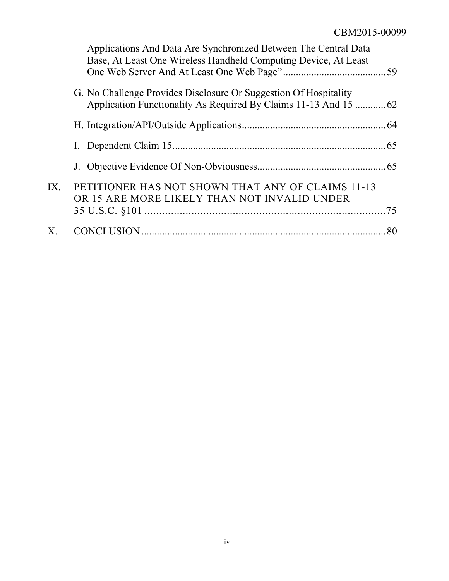|     | Applications And Data Are Synchronized Between The Central Data<br>Base, At Least One Wireless Handheld Computing Device, At Least   |     |
|-----|--------------------------------------------------------------------------------------------------------------------------------------|-----|
|     |                                                                                                                                      |     |
|     | G. No Challenge Provides Disclosure Or Suggestion Of Hospitality<br>Application Functionality As Required By Claims 11-13 And 15  62 |     |
|     |                                                                                                                                      |     |
|     |                                                                                                                                      |     |
|     |                                                                                                                                      |     |
| IX. | PETITIONER HAS NOT SHOWN THAT ANY OF CLAIMS 11-13<br>OR 15 ARE MORE LIKELY THAN NOT INVALID UNDER                                    |     |
|     |                                                                                                                                      | .75 |
|     |                                                                                                                                      | 80  |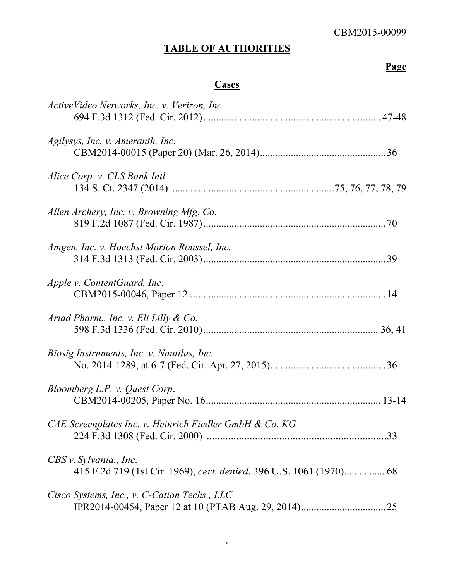# **TABLE OF AUTHORITIES**

# **Page**

## **Cases**

| 415 F.2d 719 (1st Cir. 1969), cert. denied, 396 U.S. 1061 (1970) 68 |
|---------------------------------------------------------------------|
|                                                                     |
|                                                                     |
|                                                                     |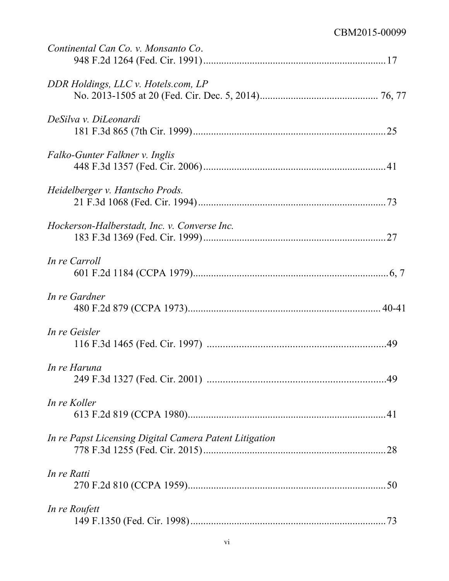| Continental Can Co. v. Monsanto Co.                    |  |
|--------------------------------------------------------|--|
| DDR Holdings, LLC v. Hotels.com, LP                    |  |
| DeSilva v. DiLeonardi                                  |  |
| Falko-Gunter Falkner v. Inglis                         |  |
| Heidelberger v. Hantscho Prods.                        |  |
| Hockerson-Halberstadt, Inc. v. Converse Inc.           |  |
| In re Carroll                                          |  |
| In re Gardner                                          |  |
| In re Geisler                                          |  |
| In re Haruna                                           |  |
| In re Koller                                           |  |
| In re Papst Licensing Digital Camera Patent Litigation |  |
| In re Ratti                                            |  |
| In re Roufett                                          |  |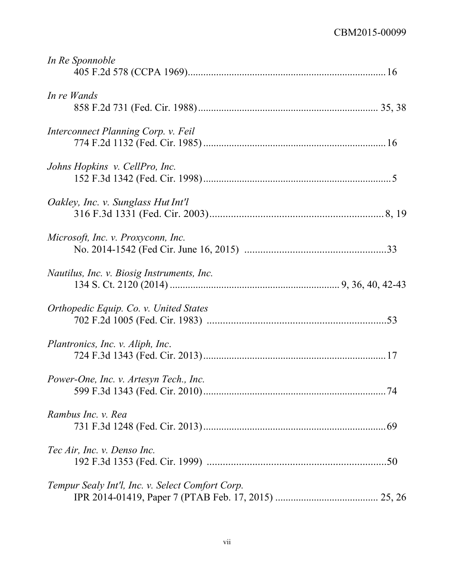| In Re Sponnoble                                  |  |
|--------------------------------------------------|--|
| In re Wands                                      |  |
| Interconnect Planning Corp. v. Feil              |  |
| Johns Hopkins v. CellPro, Inc.                   |  |
| Oakley, Inc. v. Sunglass Hut Int'l               |  |
| Microsoft, Inc. v. Proxyconn, Inc.               |  |
| Nautilus, Inc. v. Biosig Instruments, Inc.       |  |
| Orthopedic Equip. Co. v. United States           |  |
| Plantronics, Inc. v. Aliph, Inc.                 |  |
| Power-One, Inc. v. Artesyn Tech., Inc.           |  |
| Rambus Inc. v. Rea                               |  |
| Tec Air, Inc. v. Denso Inc.                      |  |
| Tempur Sealy Int'l, Inc. v. Select Comfort Corp. |  |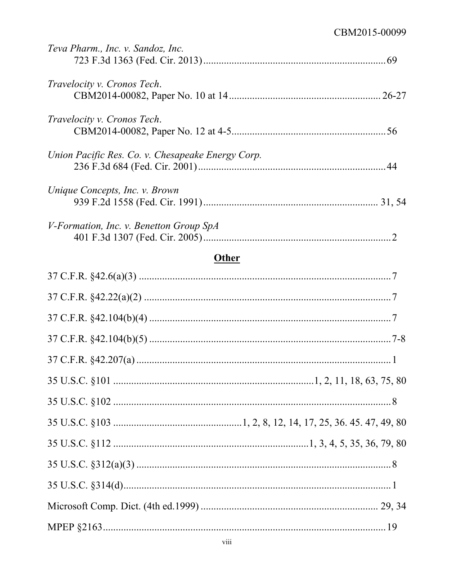| Teva Pharm., Inc. v. Sandoz, Inc.                 |  |
|---------------------------------------------------|--|
| Travelocity v. Cronos Tech.                       |  |
| <i>Travelocity v. Cronos Tech.</i>                |  |
| Union Pacific Res. Co. v. Chesapeake Energy Corp. |  |
| Unique Concepts, Inc. v. Brown                    |  |
| V-Formation, Inc. v. Benetton Group SpA           |  |
| <b>Other</b>                                      |  |
|                                                   |  |
|                                                   |  |
|                                                   |  |
|                                                   |  |
|                                                   |  |
|                                                   |  |
|                                                   |  |
|                                                   |  |
|                                                   |  |
|                                                   |  |
|                                                   |  |
|                                                   |  |
|                                                   |  |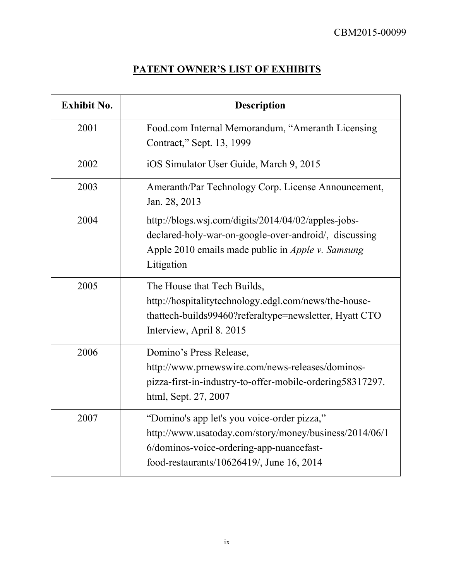## **PATENT OWNER'S LIST OF EXHIBITS**

| <b>Exhibit No.</b> | <b>Description</b>                                                                                                                                                                             |
|--------------------|------------------------------------------------------------------------------------------------------------------------------------------------------------------------------------------------|
| 2001               | Food.com Internal Memorandum, "Ameranth Licensing<br>Contract," Sept. 13, 1999                                                                                                                 |
| 2002               | iOS Simulator User Guide, March 9, 2015                                                                                                                                                        |
| 2003               | Ameranth/Par Technology Corp. License Announcement,<br>Jan. 28, 2013                                                                                                                           |
| 2004               | http://blogs.wsj.com/digits/2014/04/02/apples-jobs-<br>declared-holy-war-on-google-over-android/, discussing<br>Apple 2010 emails made public in <i>Apple v. Samsung</i><br>Litigation         |
| 2005               | The House that Tech Builds,<br>http://hospitalitytechnology.edgl.com/news/the-house-<br>thattech-builds99460?referaltype=newsletter, Hyatt CTO<br>Interview, April 8. 2015                     |
| 2006               | Domino's Press Release,<br>http://www.prnewswire.com/news-releases/dominos-<br>pizza-first-in-industry-to-offer-mobile-ordering58317297.<br>html, Sept. 27, 2007                               |
| 2007               | "Domino's app let's you voice-order pizza,"<br>http://www.usatoday.com/story/money/business/2014/06/1<br>6/dominos-voice-ordering-app-nuancefast-<br>food-restaurants/10626419/, June 16, 2014 |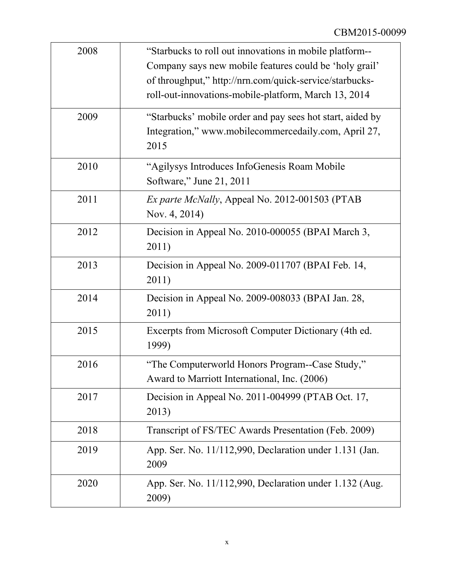| 2008 | "Starbucks to roll out innovations in mobile platform--<br>Company says new mobile features could be 'holy grail'<br>of throughput," http://nrn.com/quick-service/starbucks-<br>roll-out-innovations-mobile-platform, March 13, 2014 |
|------|--------------------------------------------------------------------------------------------------------------------------------------------------------------------------------------------------------------------------------------|
| 2009 | "Starbucks' mobile order and pay sees hot start, aided by<br>Integration," www.mobilecommercedaily.com, April 27,<br>2015                                                                                                            |
| 2010 | "Agilysys Introduces InfoGenesis Roam Mobile<br>Software," June 21, 2011                                                                                                                                                             |
| 2011 | <i>Ex parte McNally</i> , Appeal No. 2012-001503 (PTAB<br>Nov. 4, 2014)                                                                                                                                                              |
| 2012 | Decision in Appeal No. 2010-000055 (BPAI March 3,<br>2011)                                                                                                                                                                           |
| 2013 | Decision in Appeal No. 2009-011707 (BPAI Feb. 14,<br>2011)                                                                                                                                                                           |
| 2014 | Decision in Appeal No. 2009-008033 (BPAI Jan. 28,<br>2011)                                                                                                                                                                           |
| 2015 | Excerpts from Microsoft Computer Dictionary (4th ed.<br>1999)                                                                                                                                                                        |
| 2016 | "The Computerworld Honors Program--Case Study,"<br>Award to Marriott International, Inc. (2006)                                                                                                                                      |
| 2017 | Decision in Appeal No. 2011-004999 (PTAB Oct. 17,<br>2013)                                                                                                                                                                           |
| 2018 | Transcript of FS/TEC Awards Presentation (Feb. 2009)                                                                                                                                                                                 |
| 2019 | App. Ser. No. 11/112,990, Declaration under 1.131 (Jan.<br>2009                                                                                                                                                                      |
| 2020 | App. Ser. No. 11/112,990, Declaration under 1.132 (Aug.<br>2009)                                                                                                                                                                     |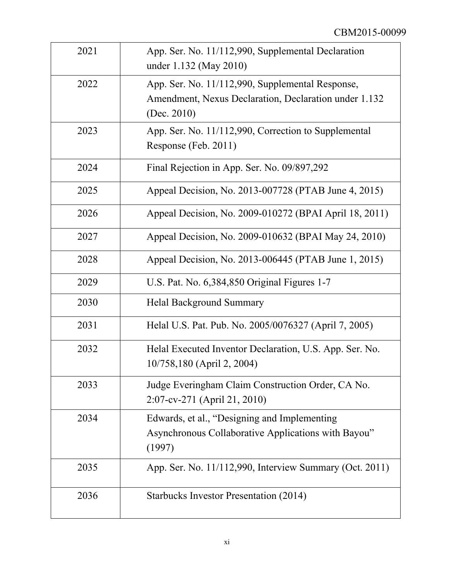| 2021 | App. Ser. No. 11/112,990, Supplemental Declaration<br>under 1.132 (May 2010)                                                |
|------|-----------------------------------------------------------------------------------------------------------------------------|
| 2022 | App. Ser. No. 11/112,990, Supplemental Response,<br>Amendment, Nexus Declaration, Declaration under 1.132<br>(Dec. $2010$ ) |
| 2023 | App. Ser. No. 11/112,990, Correction to Supplemental<br>Response (Feb. 2011)                                                |
| 2024 | Final Rejection in App. Ser. No. 09/897,292                                                                                 |
| 2025 | Appeal Decision, No. 2013-007728 (PTAB June 4, 2015)                                                                        |
| 2026 | Appeal Decision, No. 2009-010272 (BPAI April 18, 2011)                                                                      |
| 2027 | Appeal Decision, No. 2009-010632 (BPAI May 24, 2010)                                                                        |
| 2028 | Appeal Decision, No. 2013-006445 (PTAB June 1, 2015)                                                                        |
| 2029 | U.S. Pat. No. 6,384,850 Original Figures 1-7                                                                                |
| 2030 | <b>Helal Background Summary</b>                                                                                             |
| 2031 | Helal U.S. Pat. Pub. No. 2005/0076327 (April 7, 2005)                                                                       |
| 2032 | Helal Executed Inventor Declaration, U.S. App. Ser. No.<br>10/758,180 (April 2, 2004)                                       |
| 2033 | Judge Everingham Claim Construction Order, CA No.<br>2:07-cv-271 (April 21, 2010)                                           |
| 2034 | Edwards, et al., "Designing and Implementing<br>Asynchronous Collaborative Applications with Bayou"<br>(1997)               |
| 2035 | App. Ser. No. 11/112,990, Interview Summary (Oct. 2011)                                                                     |
| 2036 | <b>Starbucks Investor Presentation (2014)</b>                                                                               |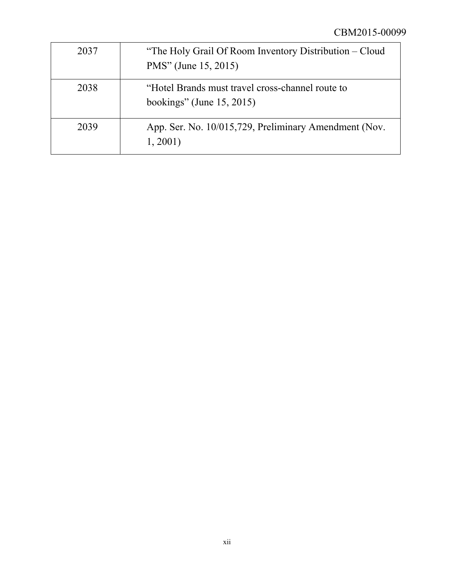| 2037 | "The Holy Grail Of Room Inventory Distribution – Cloud<br>PMS" (June 15, 2015) |
|------|--------------------------------------------------------------------------------|
| 2038 | "Hotel Brands must travel cross-channel route to<br>bookings" (June 15, 2015)  |
| 2039 | App. Ser. No. 10/015,729, Preliminary Amendment (Nov.<br>1, 2001               |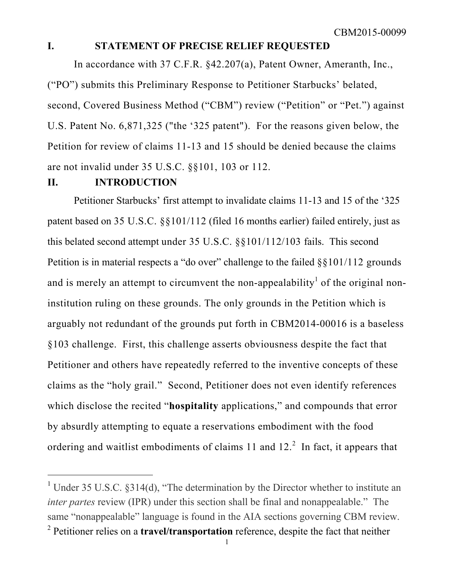#### **I. STATEMENT OF PRECISE RELIEF REQUESTED**

In accordance with 37 C.F.R. §42.207(a), Patent Owner, Ameranth, Inc., ("PO") submits this Preliminary Response to Petitioner Starbucks' belated, second, Covered Business Method ("CBM") review ("Petition" or "Pet.") against U.S. Patent No. 6,871,325 ("the '325 patent"). For the reasons given below, the Petition for review of claims 11-13 and 15 should be denied because the claims are not invalid under 35 U.S.C. §§101, 103 or 112.

#### **II. INTRODUCTION**

Petitioner Starbucks' first attempt to invalidate claims 11-13 and 15 of the '325 patent based on 35 U.S.C. §§101/112 (filed 16 months earlier) failed entirely, just as this belated second attempt under 35 U.S.C. §§101/112/103 fails. This second Petition is in material respects a "do over" challenge to the failed  $\S$ §101/112 grounds and is merely an attempt to circumvent the non-appealability<sup>1</sup> of the original noninstitution ruling on these grounds. The only grounds in the Petition which is arguably not redundant of the grounds put forth in CBM2014-00016 is a baseless §103 challenge. First, this challenge asserts obviousness despite the fact that Petitioner and others have repeatedly referred to the inventive concepts of these claims as the "holy grail." Second, Petitioner does not even identify references which disclose the recited "**hospitality** applications," and compounds that error by absurdly attempting to equate a reservations embodiment with the food ordering and waitlist embodiments of claims 11 and  $12<sup>2</sup>$  In fact, it appears that

<sup>&</sup>lt;sup>1</sup> Under 35 U.S.C. §314(d), "The determination by the Director whether to institute an *inter partes* review (IPR) under this section shall be final and nonappealable." The same "nonappealable" language is found in the AIA sections governing CBM review. 2 Petitioner relies on a **travel/transportation** reference, despite the fact that neither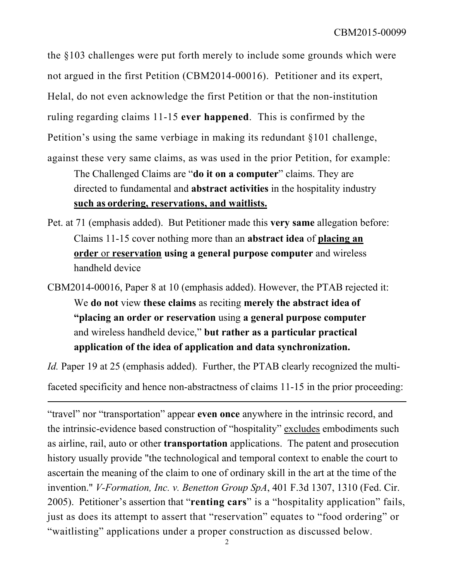the §103 challenges were put forth merely to include some grounds which were not argued in the first Petition (CBM2014-00016). Petitioner and its expert, Helal, do not even acknowledge the first Petition or that the non-institution ruling regarding claims 11-15 **ever happened**. This is confirmed by the Petition's using the same verbiage in making its redundant §101 challenge, against these very same claims, as was used in the prior Petition, for example:

The Challenged Claims are "**do it on a computer**" claims. They are directed to fundamental and **abstract activities** in the hospitality industry **such as ordering, reservations, and waitlists.**

- Pet. at 71 (emphasis added). But Petitioner made this **very same** allegation before: Claims 11-15 cover nothing more than an **abstract idea** of **placing an order** or **reservation using a general purpose computer** and wireless handheld device
- CBM2014-00016, Paper 8 at 10 (emphasis added). However, the PTAB rejected it: We **do not** view **these claims** as reciting **merely the abstract idea of "placing an order or reservation** using **a general purpose computer** and wireless handheld device," **but rather as a particular practical application of the idea of application and data synchronization.**

*Id.* Paper 19 at 25 (emphasis added). Further, the PTAB clearly recognized the multi-

faceted specificity and hence non-abstractness of claims 11-15 in the prior proceeding:

"travel" nor "transportation" appear **even once** anywhere in the intrinsic record, and the intrinsic-evidence based construction of "hospitality" excludes embodiments such as airline, rail, auto or other **transportation** applications. The patent and prosecution history usually provide "the technological and temporal context to enable the court to ascertain the meaning of the claim to one of ordinary skill in the art at the time of the invention." *V-Formation, Inc. v. Benetton Group SpA*, 401 F.3d 1307, 1310 (Fed. Cir. 2005). Petitioner's assertion that "**renting cars**" is a "hospitality application" fails, just as does its attempt to assert that "reservation" equates to "food ordering" or "waitlisting" applications under a proper construction as discussed below.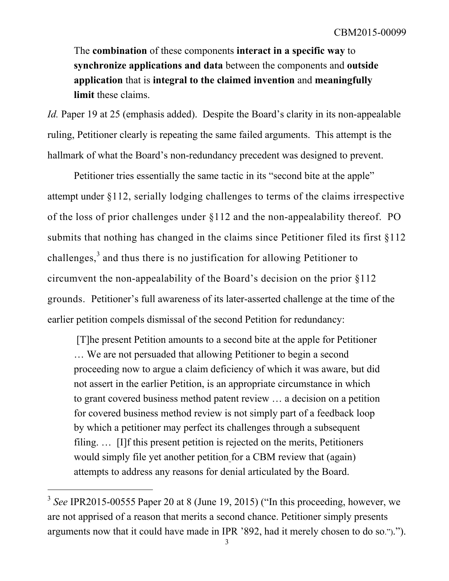The **combination** of these components **interact in a specific way** to **synchronize applications and data** between the components and **outside application** that is **integral to the claimed invention** and **meaningfully limit** these claims.

*Id.* Paper 19 at 25 (emphasis added). Despite the Board's clarity in its non-appealable ruling, Petitioner clearly is repeating the same failed arguments. This attempt is the hallmark of what the Board's non-redundancy precedent was designed to prevent.

Petitioner tries essentially the same tactic in its "second bite at the apple" attempt under §112, serially lodging challenges to terms of the claims irrespective of the loss of prior challenges under §112 and the non-appealability thereof. PO submits that nothing has changed in the claims since Petitioner filed its first §112 challenges,<sup>3</sup> and thus there is no justification for allowing Petitioner to circumvent the non-appealability of the Board's decision on the prior §112 grounds. Petitioner's full awareness of its later-asserted challenge at the time of the earlier petition compels dismissal of the second Petition for redundancy:

[T]he present Petition amounts to a second bite at the apple for Petitioner … We are not persuaded that allowing Petitioner to begin a second proceeding now to argue a claim deficiency of which it was aware, but did not assert in the earlier Petition, is an appropriate circumstance in which to grant covered business method patent review … a decision on a petition for covered business method review is not simply part of a feedback loop by which a petitioner may perfect its challenges through a subsequent filing. … [I]f this present petition is rejected on the merits, Petitioners would simply file yet another petition for a CBM review that (again) attempts to address any reasons for denial articulated by the Board.

<sup>&</sup>lt;sup>3</sup> See IPR2015-00555 Paper 20 at 8 (June 19, 2015) ("In this proceeding, however, we are not apprised of a reason that merits a second chance. Petitioner simply presents arguments now that it could have made in IPR '892, had it merely chosen to do so.").").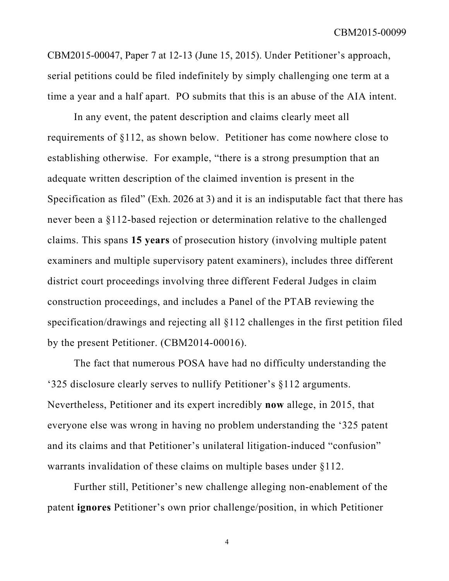CBM2015-00047, Paper 7 at 12-13 (June 15, 2015). Under Petitioner's approach, serial petitions could be filed indefinitely by simply challenging one term at a time a year and a half apart. PO submits that this is an abuse of the AIA intent.

In any event, the patent description and claims clearly meet all requirements of §112, as shown below. Petitioner has come nowhere close to establishing otherwise. For example, "there is a strong presumption that an adequate written description of the claimed invention is present in the Specification as filed" (Exh. 2026 at 3) and it is an indisputable fact that there has never been a §112-based rejection or determination relative to the challenged claims. This spans **15 years** of prosecution history (involving multiple patent examiners and multiple supervisory patent examiners), includes three different district court proceedings involving three different Federal Judges in claim construction proceedings, and includes a Panel of the PTAB reviewing the specification/drawings and rejecting all §112 challenges in the first petition filed by the present Petitioner. (CBM2014-00016).

The fact that numerous POSA have had no difficulty understanding the '325 disclosure clearly serves to nullify Petitioner's §112 arguments. Nevertheless, Petitioner and its expert incredibly **now** allege, in 2015, that everyone else was wrong in having no problem understanding the '325 patent and its claims and that Petitioner's unilateral litigation-induced "confusion" warrants invalidation of these claims on multiple bases under §112.

Further still, Petitioner's new challenge alleging non-enablement of the patent **ignores** Petitioner's own prior challenge/position, in which Petitioner

4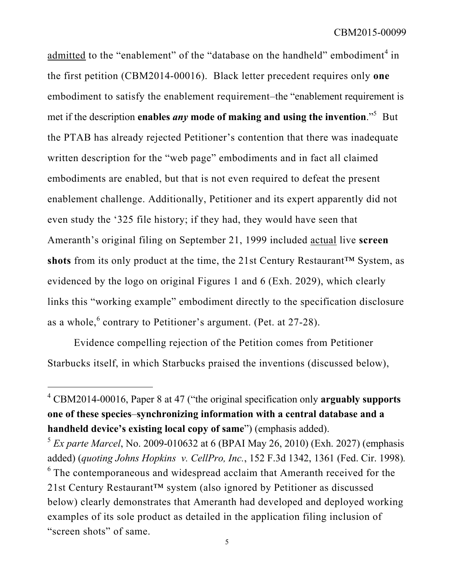admitted to the "enablement" of the "database on the handheld" embodiment<sup>4</sup> in the first petition (CBM2014-00016). Black letter precedent requires only **one** embodiment to satisfy the enablement requirement–the "enablement requirement is met if the description **enables** *any* **mode of making and using the invention**."<sup>5</sup> But the PTAB has already rejected Petitioner's contention that there was inadequate written description for the "web page" embodiments and in fact all claimed embodiments are enabled, but that is not even required to defeat the present enablement challenge. Additionally, Petitioner and its expert apparently did not even study the '325 file history; if they had, they would have seen that Ameranth's original filing on September 21, 1999 included actual live **screen shots** from its only product at the time, the 21st Century Restaurant™ System, as evidenced by the logo on original Figures 1 and 6 (Exh. 2029), which clearly links this "working example" embodiment directly to the specification disclosure as a whole, $6$  contrary to Petitioner's argument. (Pet. at 27-28).

Evidence compelling rejection of the Petition comes from Petitioner Starbucks itself, in which Starbucks praised the inventions (discussed below),

5 *Ex parte Marcel*, No. 2009-010632 at 6 (BPAI May 26, 2010) (Exh. 2027) (emphasis added) (*quoting Johns Hopkins v. CellPro, Inc.*, 152 F.3d 1342, 1361 (Fed. Cir. 1998)*.*  $6$  The contemporaneous and widespread acclaim that Ameranth received for the 21st Century Restaurant™ system (also ignored by Petitioner as discussed below) clearly demonstrates that Ameranth had developed and deployed working examples of its sole product as detailed in the application filing inclusion of "screen shots" of same.

<sup>4</sup> CBM2014-00016, Paper 8 at 47 ("the original specification only **arguably supports one of these species**–**synchronizing information with a central database and a handheld device's existing local copy of same**") (emphasis added).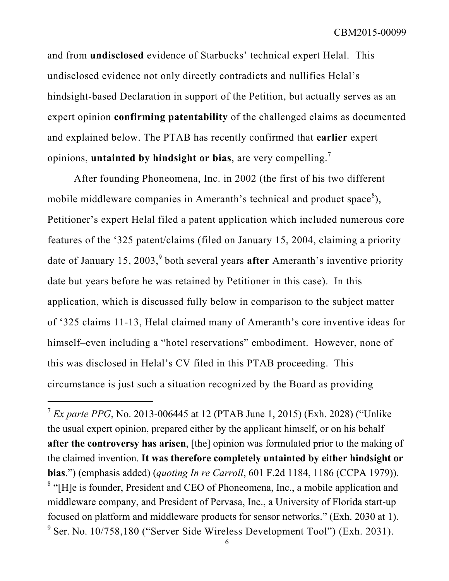and from **undisclosed** evidence of Starbucks' technical expert Helal. This undisclosed evidence not only directly contradicts and nullifies Helal's hindsight-based Declaration in support of the Petition, but actually serves as an expert opinion **confirming patentability** of the challenged claims as documented and explained below. The PTAB has recently confirmed that **earlier** expert opinions, **untainted by hindsight or bias**, are very compelling.<sup>7</sup>

After founding Phoneomena, Inc. in 2002 (the first of his two different mobile middleware companies in Ameranth's technical and product space<sup>8</sup>), Petitioner's expert Helal filed a patent application which included numerous core features of the '325 patent/claims (filed on January 15, 2004, claiming a priority date of January 15, 2003,<sup>9</sup> both several years **after** Ameranth's inventive priority date but years before he was retained by Petitioner in this case). In this application, which is discussed fully below in comparison to the subject matter of '325 claims 11-13, Helal claimed many of Ameranth's core inventive ideas for himself–even including a "hotel reservations" embodiment. However, none of this was disclosed in Helal's CV filed in this PTAB proceeding. This circumstance is just such a situation recognized by the Board as providing

<sup>7</sup> *Ex parte PPG*, No. 2013-006445 at 12 (PTAB June 1, 2015) (Exh. 2028) ("Unlike the usual expert opinion, prepared either by the applicant himself, or on his behalf **after the controversy has arisen**, [the] opinion was formulated prior to the making of the claimed invention. **It was therefore completely untainted by either hindsight or bias**.") (emphasis added) (*quoting In re Carroll*, 601 F.2d 1184, 1186 (CCPA 1979)). <sup>8</sup> "[H]e is founder, President and CEO of Phoneomena, Inc., a mobile application and middleware company, and President of Pervasa, Inc., a University of Florida start-up focused on platform and middleware products for sensor networks." (Exh. 2030 at 1). <sup>9</sup> Ser. No. 10/758,180 ("Server Side Wireless Development Tool") (Exh. 2031).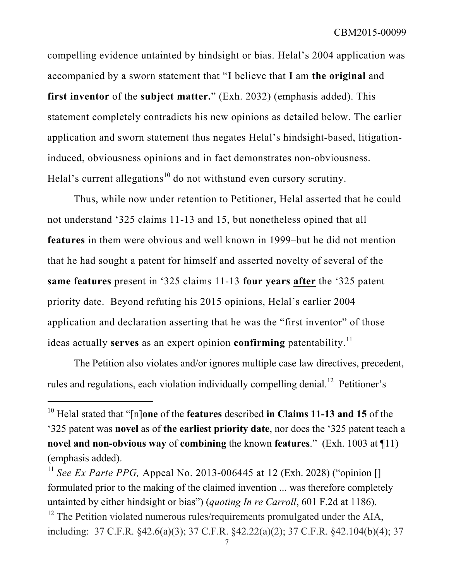compelling evidence untainted by hindsight or bias. Helal's 2004 application was accompanied by a sworn statement that "**I** believe that **I** am **the original** and **first inventor** of the **subject matter.**" (Exh. 2032) (emphasis added). This statement completely contradicts his new opinions as detailed below. The earlier application and sworn statement thus negates Helal's hindsight-based, litigationinduced, obviousness opinions and in fact demonstrates non-obviousness. Helal's current allegations<sup>10</sup> do not withstand even cursory scrutiny.

Thus, while now under retention to Petitioner, Helal asserted that he could not understand '325 claims 11-13 and 15, but nonetheless opined that all **features** in them were obvious and well known in 1999–but he did not mention that he had sought a patent for himself and asserted novelty of several of the **same features** present in '325 claims 11-13 **four years after** the '325 patent priority date. Beyond refuting his 2015 opinions, Helal's earlier 2004 application and declaration asserting that he was the "first inventor" of those ideas actually **serves** as an expert opinion **confirming** patentability.<sup>11</sup>

The Petition also violates and/or ignores multiple case law directives, precedent, rules and regulations, each violation individually compelling denial.<sup>12</sup> Petitioner's

<sup>10</sup> Helal stated that "[n]**one** of the **features** described **in Claims 11-13 and 15** of the '325 patent was **novel** as of **the earliest priority date**, nor does the '325 patent teach a **novel and non-obvious way** of **combining** the known **features**." (Exh. 1003 at ¶11) (emphasis added).

<sup>11</sup> *See Ex Parte PPG,* Appeal No. 2013-006445 at 12 (Exh. 2028) ("opinion [] formulated prior to the making of the claimed invention ... was therefore completely untainted by either hindsight or bias") (*quoting In re Carroll*, 601 F.2d at 1186).  $12$  The Petition violated numerous rules/requirements promulgated under the AIA, including: 37 C.F.R. §42.6(a)(3); 37 C.F.R. §42.22(a)(2); 37 C.F.R. §42.104(b)(4); 37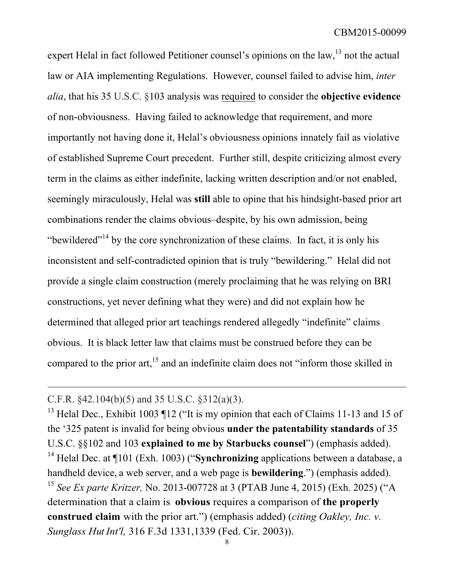expert Helal in fact followed Petitioner counsel's opinions on the law,  $13$  not the actual law or AIA implementing Regulations. However, counsel failed to advise him, *inter alia*, that his 35 U.S.C. §103 analysis was required to consider the **objective evidence** of non-obviousness. Having failed to acknowledge that requirement, and more importantly not having done it, Helal's obviousness opinions innately fail as violative of established Supreme Court precedent. Further still, despite criticizing almost every term in the claims as either indefinite, lacking written description and/or not enabled, seemingly miraculously, Helal was **still** able to opine that his hindsight-based prior art combinations render the claims obvious–despite, by his own admission, being "bewildered"<sup>14</sup> by the core synchronization of these claims. In fact, it is only his inconsistent and self-contradicted opinion that is truly "bewildering." Helal did not provide a single claim construction (merely proclaiming that he was relying on BRI constructions, yet never defining what they were) and did not explain how he determined that alleged prior art teachings rendered allegedly "indefinite" claims obvious. It is black letter law that claims must be construed before they can be compared to the prior art,<sup>15</sup> and an indefinite claim does not "inform those skilled in

### C.F.R. §42.104(b)(5) and 35 U.S.C. §312(a)(3).

<sup>13</sup> Helal Dec., Exhibit 1003  $\P$ 12 ("It is my opinion that each of Claims 11-13 and 15 of the '325 patent is invalid for being obvious **under the patentability standards** of 35 U.S.C. §§102 and 103 **explained to me by Starbucks counsel**") (emphasis added). <sup>14</sup> Helal Dec. at ¶101 (Exh. 1003) ("**Synchronizing** applications between a database, a handheld device, a web server, and a web page is **bewildering**.") (emphasis added). <sup>15</sup> *See Ex parte Kritzer,* No. 2013-007728 at 3 (PTAB June 4, 2015) (Exh. 2025) ("A determination that a claim is **obvious** requires a comparison of **the properly construed claim** with the prior art.") (emphasis added) (*citing Oakley, Inc. v. Sunglass Hut Int'l,* 316 F.3d 1331,1339 (Fed. Cir. 2003)).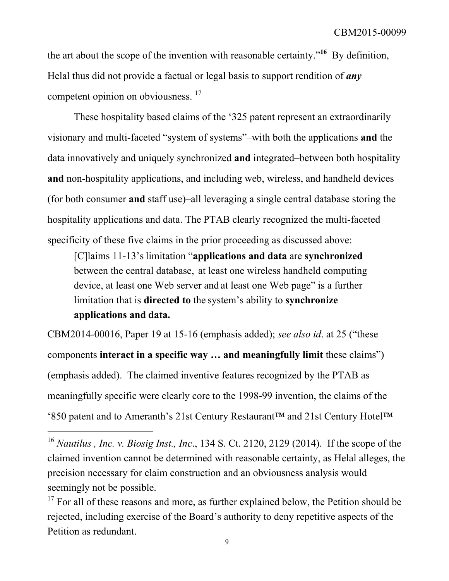the art about the scope of the invention with reasonable certainty."**<sup>16</sup>** By definition, Helal thus did not provide a factual or legal basis to support rendition of *any* competent opinion on obviousness.<sup>17</sup>

These hospitality based claims of the '325 patent represent an extraordinarily visionary and multi-faceted "system of systems"–with both the applications **and** the data innovatively and uniquely synchronized **and** integrated–between both hospitality **and** non-hospitality applications, and including web, wireless, and handheld devices (for both consumer **and** staff use)–all leveraging a single central database storing the hospitality applications and data. The PTAB clearly recognized the multi-faceted specificity of these five claims in the prior proceeding as discussed above:

[C]laims 11-13's limitation "**applications and data** are **synchronized** between the central database, at least one wireless handheld computing device, at least one Web server and at least one Web page" is a further limitation that is **directed to** the system's ability to **synchronize applications and data.**

CBM2014-00016, Paper 19 at 15-16 (emphasis added); *see also id*. at 25 ("these components **interact in a specific way … and meaningfully limit** these claims") (emphasis added). The claimed inventive features recognized by the PTAB as meaningfully specific were clearly core to the 1998-99 invention, the claims of the '850 patent and to Ameranth's 21st Century Restaurant™ and 21st Century Hotel™

<sup>16</sup> *Nautilus , Inc. v. Biosig Inst., Inc*., 134 S. Ct. 2120, 2129 (2014). If the scope of the claimed invention cannot be determined with reasonable certainty, as Helal alleges, the precision necessary for claim construction and an obviousness analysis would seemingly not be possible.

 $17$  For all of these reasons and more, as further explained below, the Petition should be rejected, including exercise of the Board's authority to deny repetitive aspects of the Petition as redundant.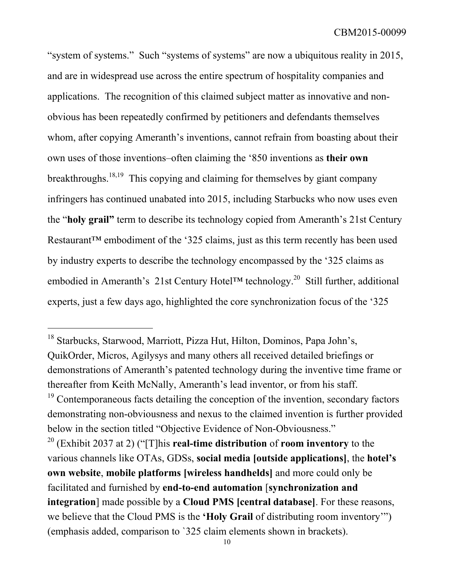"system of systems." Such "systems of systems" are now a ubiquitous reality in 2015, and are in widespread use across the entire spectrum of hospitality companies and applications. The recognition of this claimed subject matter as innovative and nonobvious has been repeatedly confirmed by petitioners and defendants themselves whom, after copying Ameranth's inventions, cannot refrain from boasting about their own uses of those inventions–often claiming the '850 inventions as **their own** breakthroughs.<sup>18,19</sup> This copying and claiming for themselves by giant company infringers has continued unabated into 2015, including Starbucks who now uses even the "**holy grail"** term to describe its technology copied from Ameranth's 21st Century Restaurant™ embodiment of the '325 claims, just as this term recently has been used by industry experts to describe the technology encompassed by the '325 claims as embodied in Ameranth's 21st Century Hotel™ technology.<sup>20</sup> Still further, additional experts, just a few days ago, highlighted the core synchronization focus of the '325

various channels like OTAs, GDSs, **social media [outside applications]**, the **hotel's own website**, **mobile platforms [wireless handhelds]** and more could only be facilitated and furnished by **end-to-end automation** [**synchronization and integration**] made possible by a **Cloud PMS [central database]**. For these reasons, we believe that the Cloud PMS is the **'Holy Grail** of distributing room inventory'") (emphasis added, comparison to `325 claim elements shown in brackets).

<sup>18</sup> Starbucks, Starwood, Marriott, Pizza Hut, Hilton, Dominos, Papa John's, QuikOrder, Micros, Agilysys and many others all received detailed briefings or demonstrations of Ameranth's patented technology during the inventive time frame or thereafter from Keith McNally, Ameranth's lead inventor, or from his staff. <sup>19</sup> Contemporaneous facts detailing the conception of the invention, secondary factors demonstrating non-obviousness and nexus to the claimed invention is further provided below in the section titled "Objective Evidence of Non-Obviousness." <sup>20</sup> (Exhibit 2037 at 2) ("[T]his **real-time distribution** of **room inventory** to the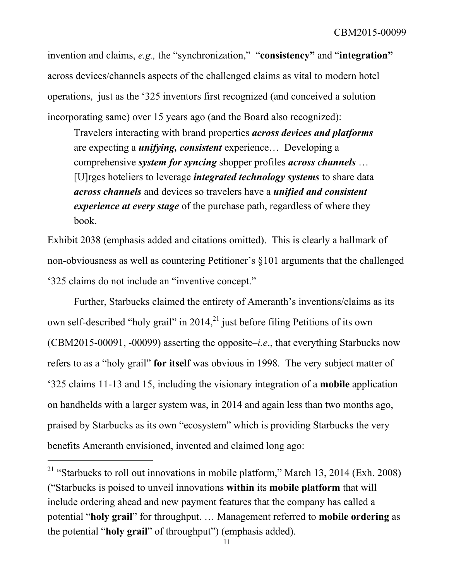invention and claims, *e.g.,* the "synchronization," "**consistency"** and "**integration"** across devices/channels aspects of the challenged claims as vital to modern hotel operations, just as the '325 inventors first recognized (and conceived a solution incorporating same) over 15 years ago (and the Board also recognized):

Travelers interacting with brand properties *across devices and platforms* are expecting a *unifying, consistent* experience… Developing a comprehensive *system for syncing* shopper profiles *across channels* … [U]rges hoteliers to leverage *integrated technology systems* to share data *across channels* and devices so travelers have a *unified and consistent experience at every stage* of the purchase path, regardless of where they book.

Exhibit 2038 (emphasis added and citations omitted). This is clearly a hallmark of non-obviousness as well as countering Petitioner's §101 arguments that the challenged '325 claims do not include an "inventive concept."

Further, Starbucks claimed the entirety of Ameranth's inventions/claims as its own self-described "holy grail" in  $2014$ ,  $^{21}$  just before filing Petitions of its own (CBM2015-00091, -00099) asserting the opposite–*i.e*., that everything Starbucks now refers to as a "holy grail" **for itself** was obvious in 1998. The very subject matter of '325 claims 11-13 and 15, including the visionary integration of a **mobile** application on handhelds with a larger system was, in 2014 and again less than two months ago, praised by Starbucks as its own "ecosystem" which is providing Starbucks the very benefits Ameranth envisioned, invented and claimed long ago:

<sup>&</sup>lt;sup>21</sup> "Starbucks to roll out innovations in mobile platform," March 13, 2014 (Exh. 2008) ("Starbucks is poised to unveil innovations **within** its **mobile platform** that will include ordering ahead and new payment features that the company has called a potential "**holy grail**" for throughput. … Management referred to **mobile ordering** as the potential "**holy grail**" of throughput") (emphasis added).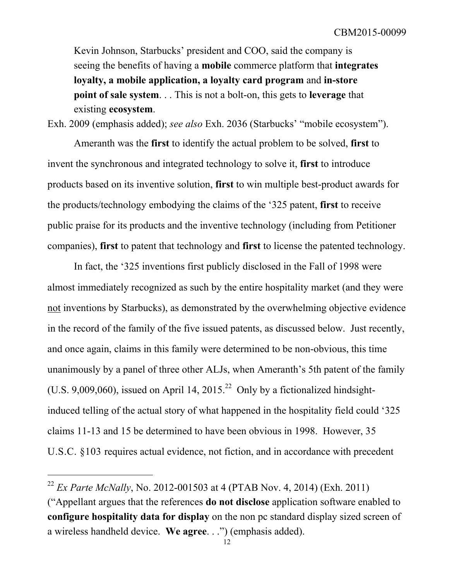Kevin Johnson, Starbucks' president and COO, said the company is seeing the benefits of having a **mobile** commerce platform that **integrates loyalty, a mobile application, a loyalty card program** and **in-store point of sale system**. . . This is not a bolt-on, this gets to **leverage** that existing **ecosystem**.

Exh. 2009 (emphasis added); *see also* Exh. 2036 (Starbucks' "mobile ecosystem").

Ameranth was the **first** to identify the actual problem to be solved, **first** to invent the synchronous and integrated technology to solve it, **first** to introduce products based on its inventive solution, **first** to win multiple best-product awards for the products/technology embodying the claims of the '325 patent, **first** to receive public praise for its products and the inventive technology (including from Petitioner companies), **first** to patent that technology and **first** to license the patented technology.

In fact, the '325 inventions first publicly disclosed in the Fall of 1998 were almost immediately recognized as such by the entire hospitality market (and they were not inventions by Starbucks), as demonstrated by the overwhelming objective evidence in the record of the family of the five issued patents, as discussed below. Just recently, and once again, claims in this family were determined to be non-obvious, this time unanimously by a panel of three other ALJs, when Ameranth's 5th patent of the family (U.S. 9,009,060), issued on April 14, 2015.<sup>22</sup> Only by a fictionalized hindsightinduced telling of the actual story of what happened in the hospitality field could '325 claims 11-13 and 15 be determined to have been obvious in 1998. However, 35 U.S.C. §103 requires actual evidence, not fiction, and in accordance with precedent

<sup>22</sup> *Ex Parte McNally*, No. 2012-001503 at 4 (PTAB Nov. 4, 2014) (Exh. 2011) ("Appellant argues that the references **do not disclose** application software enabled to **configure hospitality data for display** on the non pc standard display sized screen of a wireless handheld device. **We agree**. . .") (emphasis added).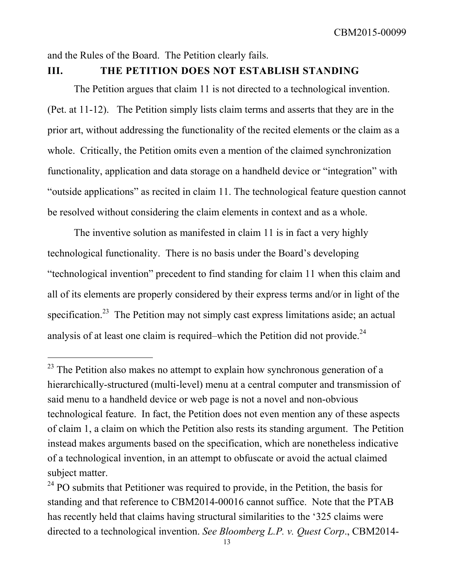and the Rules of the Board. The Petition clearly fails.

#### **III. THE PETITION DOES NOT ESTABLISH STANDING**

The Petition argues that claim 11 is not directed to a technological invention. (Pet. at 11-12). The Petition simply lists claim terms and asserts that they are in the prior art, without addressing the functionality of the recited elements or the claim as a whole. Critically, the Petition omits even a mention of the claimed synchronization functionality, application and data storage on a handheld device or "integration" with "outside applications" as recited in claim 11. The technological feature question cannot be resolved without considering the claim elements in context and as a whole.

The inventive solution as manifested in claim 11 is in fact a very highly technological functionality. There is no basis under the Board's developing "technological invention" precedent to find standing for claim 11 when this claim and all of its elements are properly considered by their express terms and/or in light of the specification.<sup>23</sup> The Petition may not simply cast express limitations aside; an actual analysis of at least one claim is required–which the Petition did not provide.<sup>24</sup>

<sup>&</sup>lt;sup>23</sup> The Petition also makes no attempt to explain how synchronous generation of a hierarchically-structured (multi-level) menu at a central computer and transmission of said menu to a handheld device or web page is not a novel and non-obvious technological feature. In fact, the Petition does not even mention any of these aspects of claim 1, a claim on which the Petition also rests its standing argument. The Petition instead makes arguments based on the specification, which are nonetheless indicative of a technological invention, in an attempt to obfuscate or avoid the actual claimed subject matter.

<sup>&</sup>lt;sup>24</sup> PO submits that Petitioner was required to provide, in the Petition, the basis for standing and that reference to CBM2014-00016 cannot suffice. Note that the PTAB has recently held that claims having structural similarities to the '325 claims were directed to a technological invention. *See Bloomberg L.P. v. Quest Corp*., CBM2014-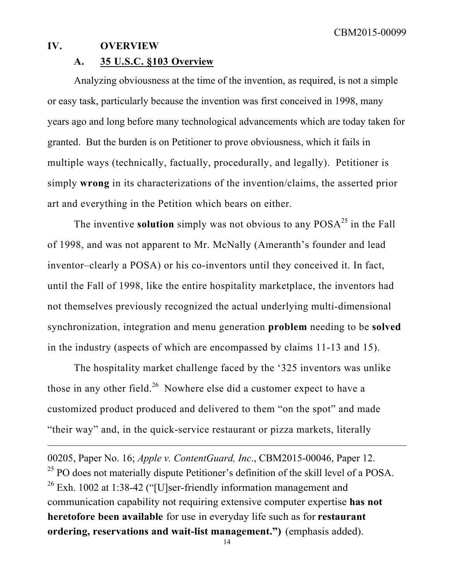#### **IV. OVERVIEW**

### **A. 35 U.S.C. §103 Overview**

Analyzing obviousness at the time of the invention, as required, is not a simple or easy task, particularly because the invention was first conceived in 1998, many years ago and long before many technological advancements which are today taken for granted. But the burden is on Petitioner to prove obviousness, which it fails in multiple ways (technically, factually, procedurally, and legally). Petitioner is simply **wrong** in its characterizations of the invention/claims, the asserted prior art and everything in the Petition which bears on either.

The inventive **solution** simply was not obvious to any POSA<sup>25</sup> in the Fall of 1998, and was not apparent to Mr. McNally (Ameranth's founder and lead inventor–clearly a POSA) or his co-inventors until they conceived it. In fact, until the Fall of 1998, like the entire hospitality marketplace, the inventors had not themselves previously recognized the actual underlying multi-dimensional synchronization, integration and menu generation **problem** needing to be **solved** in the industry (aspects of which are encompassed by claims 11-13 and 15).

The hospitality market challenge faced by the '325 inventors was unlike those in any other field.<sup>26</sup> Nowhere else did a customer expect to have a customized product produced and delivered to them "on the spot" and made "their way" and, in the quick-service restaurant or pizza markets, literally

00205, Paper No. 16; *Apple v. ContentGuard, Inc*., CBM2015-00046, Paper 12.  $^{25}$  PO does not materially dispute Petitioner's definition of the skill level of a POSA.  $26$  Exh. 1002 at 1:38-42 ("[U]ser-friendly information management and communication capability not requiring extensive computer expertise **has not heretofore been available** for use in everyday life such as for **restaurant ordering, reservations and wait-list management.")** (emphasis added).

14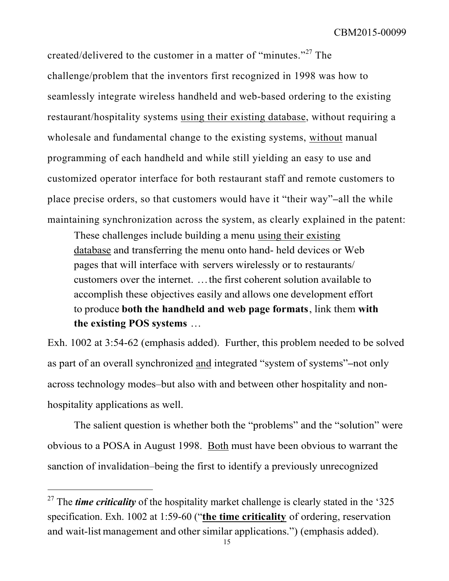created/delivered to the customer in a matter of "minutes."<sup>27</sup> The challenge/problem that the inventors first recognized in 1998 was how to seamlessly integrate wireless handheld and web-based ordering to the existing restaurant/hospitality systems using their existing database, without requiring a wholesale and fundamental change to the existing systems, without manual programming of each handheld and while still yielding an easy to use and customized operator interface for both restaurant staff and remote customers to place precise orders, so that customers would have it "their way"**–**all the while maintaining synchronization across the system, as clearly explained in the patent:

These challenges include building a menu using their existing database and transferring the menu onto hand- held devices or Web pages that will interface with servers wirelessly or to restaurants/ customers over the internet. …the first coherent solution available to accomplish these objectives easily and allows one development effort to produce **both the handheld and web page formats**, link them **with the existing POS systems** …

Exh. 1002 at 3:54-62 (emphasis added). Further, this problem needed to be solved as part of an overall synchronized and integrated "system of systems"**–**not only across technology modes–but also with and between other hospitality and nonhospitality applications as well.

The salient question is whether both the "problems" and the "solution" were obvious to a POSA in August 1998. Both must have been obvious to warrant the sanction of invalidation–being the first to identify a previously unrecognized

<sup>&</sup>lt;sup>27</sup> The *time criticality* of the hospitality market challenge is clearly stated in the '325 specification. Exh. 1002 at 1:59-60 ("**the time criticality** of ordering, reservation and wait-list management and other similar applications.") (emphasis added).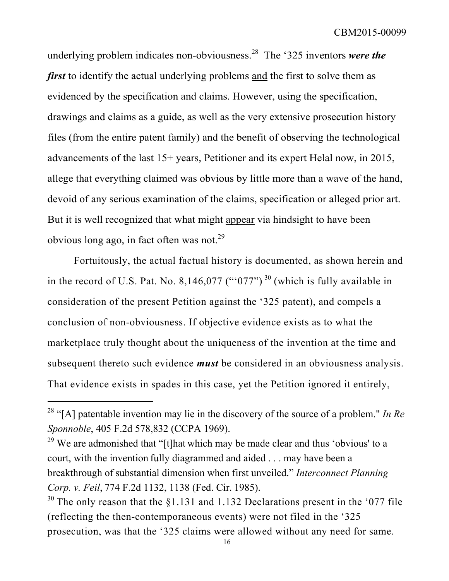underlying problem indicates non-obviousness.<sup>28</sup> The '325 inventors *were the first* to identify the actual underlying problems and the first to solve them as evidenced by the specification and claims. However, using the specification, drawings and claims as a guide, as well as the very extensive prosecution history files (from the entire patent family) and the benefit of observing the technological advancements of the last 15+ years, Petitioner and its expert Helal now, in 2015, allege that everything claimed was obvious by little more than a wave of the hand, devoid of any serious examination of the claims, specification or alleged prior art. But it is well recognized that what might appear via hindsight to have been obvious long ago, in fact often was not.<sup>29</sup>

Fortuitously, the actual factual history is documented, as shown herein and in the record of U.S. Pat. No. 8,146,077 (" $077"$ )<sup>30</sup> (which is fully available in consideration of the present Petition against the '325 patent), and compels a conclusion of non-obviousness. If objective evidence exists as to what the marketplace truly thought about the uniqueness of the invention at the time and subsequent thereto such evidence *must* be considered in an obviousness analysis. That evidence exists in spades in this case, yet the Petition ignored it entirely,

<sup>29</sup> We are admonished that "[t]hat which may be made clear and thus 'obvious' to a court, with the invention fully diagrammed and aided . . . may have been a breakthrough of substantial dimension when first unveiled." *Interconnect Planning Corp. v. Feil*, 774 F.2d 1132, 1138 (Fed. Cir. 1985).

<sup>28</sup> "[A] patentable invention may lie in the discovery of the source of a problem." *In Re Sponnoble*, 405 F.2d 578,832 (CCPA 1969).

<sup>&</sup>lt;sup>30</sup> The only reason that the §1.131 and 1.132 Declarations present in the '077 file (reflecting the then-contemporaneous events) were not filed in the '325 prosecution, was that the '325 claims were allowed without any need for same.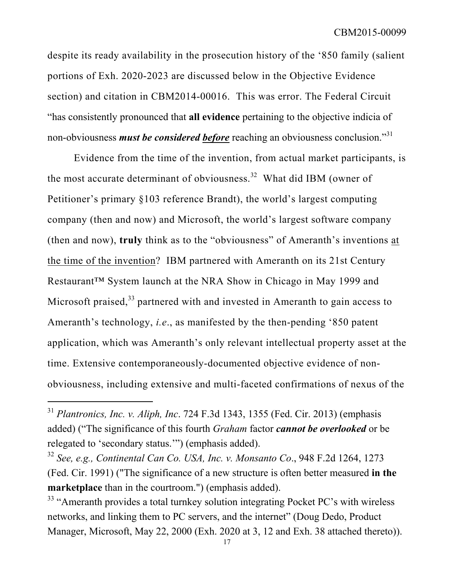despite its ready availability in the prosecution history of the '850 family (salient portions of Exh. 2020-2023 are discussed below in the Objective Evidence section) and citation in CBM2014-00016. This was error. The Federal Circuit "has consistently pronounced that **all evidence** pertaining to the objective indicia of non-obviousness *must be considered before* reaching an obviousness conclusion.<sup>331</sup>

Evidence from the time of the invention, from actual market participants, is the most accurate determinant of obviousness.<sup>32</sup> What did IBM (owner of Petitioner's primary §103 reference Brandt), the world's largest computing company (then and now) and Microsoft, the world's largest software company (then and now), **truly** think as to the "obviousness" of Ameranth's inventions at the time of the invention? IBM partnered with Ameranth on its 21st Century Restaurant™ System launch at the NRA Show in Chicago in May 1999 and Microsoft praised, $33$  partnered with and invested in Ameranth to gain access to Ameranth's technology, *i.e*., as manifested by the then-pending '850 patent application, which was Ameranth's only relevant intellectual property asset at the time. Extensive contemporaneously-documented objective evidence of nonobviousness, including extensive and multi-faceted confirmations of nexus of the

<sup>31</sup> *Plantronics, Inc. v. Aliph, Inc*. 724 F.3d 1343, 1355 (Fed. Cir. 2013) (emphasis added) ("The significance of this fourth *Graham* factor *cannot be overlooked* or be relegated to 'secondary status.'") (emphasis added).

<sup>32</sup> *See, e.g., Continental Can Co. USA, Inc. v. Monsanto Co*., 948 F.2d 1264, 1273 (Fed. Cir. 1991) ("The significance of a new structure is often better measured **in the marketplace** than in the courtroom.") (emphasis added).

<sup>&</sup>lt;sup>33</sup> "Ameranth provides a total turnkey solution integrating Pocket PC's with wireless networks, and linking them to PC servers, and the internet" (Doug Dedo, Product Manager, Microsoft, May 22, 2000 (Exh. 2020 at 3, 12 and Exh. 38 attached thereto)).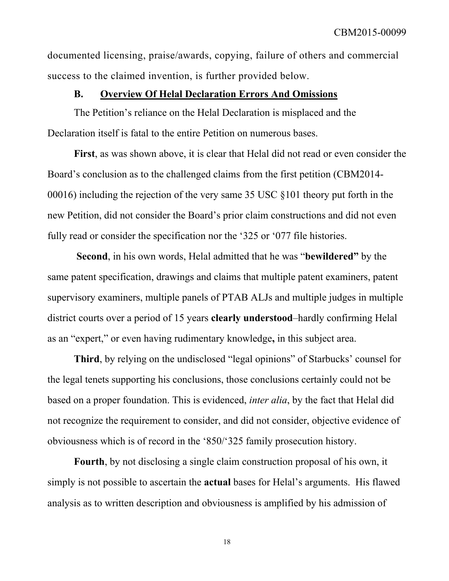documented licensing, praise/awards, copying, failure of others and commercial success to the claimed invention, is further provided below.

#### **B. Overview Of Helal Declaration Errors And Omissions**

The Petition's reliance on the Helal Declaration is misplaced and the Declaration itself is fatal to the entire Petition on numerous bases.

**First**, as was shown above, it is clear that Helal did not read or even consider the Board's conclusion as to the challenged claims from the first petition (CBM2014- 00016) including the rejection of the very same 35 USC §101 theory put forth in the new Petition, did not consider the Board's prior claim constructions and did not even fully read or consider the specification nor the '325 or '077 file histories.

**Second**, in his own words, Helal admitted that he was "**bewildered"** by the same patent specification, drawings and claims that multiple patent examiners, patent supervisory examiners, multiple panels of PTAB ALJs and multiple judges in multiple district courts over a period of 15 years **clearly understood**–hardly confirming Helal as an "expert," or even having rudimentary knowledge**,** in this subject area.

**Third**, by relying on the undisclosed "legal opinions" of Starbucks' counsel for the legal tenets supporting his conclusions, those conclusions certainly could not be based on a proper foundation. This is evidenced, *inter alia*, by the fact that Helal did not recognize the requirement to consider, and did not consider, objective evidence of obviousness which is of record in the '850/'325 family prosecution history.

**Fourth**, by not disclosing a single claim construction proposal of his own, it simply is not possible to ascertain the **actual** bases for Helal's arguments. His flawed analysis as to written description and obviousness is amplified by his admission of

18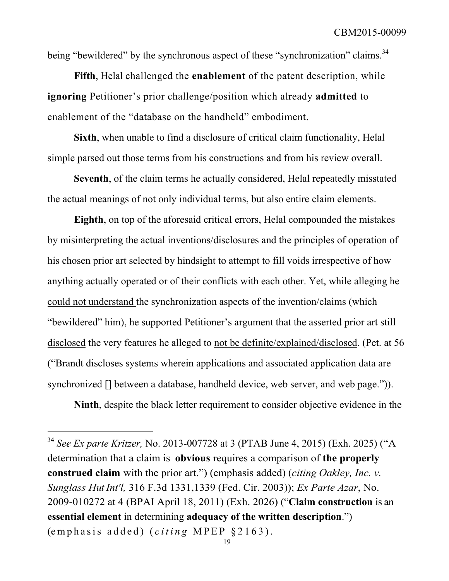being "bewildered" by the synchronous aspect of these "synchronization" claims.<sup>34</sup>

**Fifth**, Helal challenged the **enablement** of the patent description, while **ignoring** Petitioner's prior challenge/position which already **admitted** to enablement of the "database on the handheld" embodiment.

**Sixth**, when unable to find a disclosure of critical claim functionality, Helal simple parsed out those terms from his constructions and from his review overall.

**Seventh**, of the claim terms he actually considered, Helal repeatedly misstated the actual meanings of not only individual terms, but also entire claim elements.

**Eighth**, on top of the aforesaid critical errors, Helal compounded the mistakes by misinterpreting the actual inventions/disclosures and the principles of operation of his chosen prior art selected by hindsight to attempt to fill voids irrespective of how anything actually operated or of their conflicts with each other. Yet, while alleging he could not understand the synchronization aspects of the invention/claims (which "bewildered" him), he supported Petitioner's argument that the asserted prior art still disclosed the very features he alleged to not be definite/explained/disclosed. (Pet. at 56 ("Brandt discloses systems wherein applications and associated application data are synchronized [] between a database, handheld device, web server, and web page.")).

**Ninth**, despite the black letter requirement to consider objective evidence in the

<sup>34</sup> *See Ex parte Kritzer,* No. 2013-007728 at 3 (PTAB June 4, 2015) (Exh. 2025) ("A determination that a claim is **obvious** requires a comparison of **the properly construed claim** with the prior art.") (emphasis added) (*citing Oakley, Inc. v. Sunglass Hut Int'l,* 316 F.3d 1331,1339 (Fed. Cir. 2003)); *Ex Parte Azar*, No. 2009-010272 at 4 (BPAI April 18, 2011) (Exh. 2026) ("**Claim construction** is an **essential element** in determining **adequacy of the written description**.") (emphasis added) (*citing* MPEP §2163).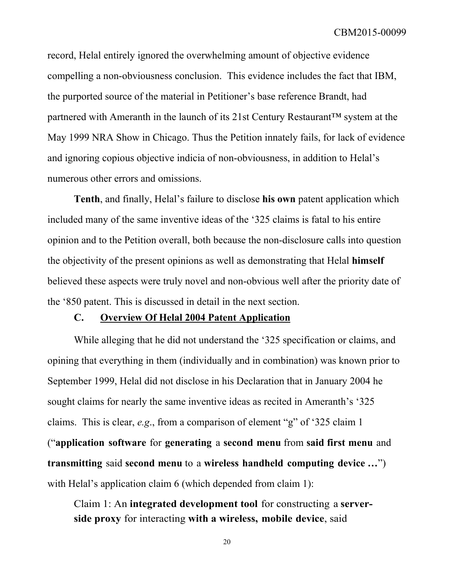record, Helal entirely ignored the overwhelming amount of objective evidence compelling a non-obviousness conclusion. This evidence includes the fact that IBM, the purported source of the material in Petitioner's base reference Brandt, had partnered with Ameranth in the launch of its 21st Century Restaurant™ system at the May 1999 NRA Show in Chicago. Thus the Petition innately fails, for lack of evidence and ignoring copious objective indicia of non-obviousness, in addition to Helal's numerous other errors and omissions.

**Tenth**, and finally, Helal's failure to disclose **his own** patent application which included many of the same inventive ideas of the '325 claims is fatal to his entire opinion and to the Petition overall, both because the non-disclosure calls into question the objectivity of the present opinions as well as demonstrating that Helal **himself** believed these aspects were truly novel and non-obvious well after the priority date of the '850 patent. This is discussed in detail in the next section.

#### **C. Overview Of Helal 2004 Patent Application**

While alleging that he did not understand the '325 specification or claims, and opining that everything in them (individually and in combination) was known prior to September 1999, Helal did not disclose in his Declaration that in January 2004 he sought claims for nearly the same inventive ideas as recited in Ameranth's '325 claims. This is clear, *e.g*., from a comparison of element "g" of '325 claim 1 ("**application software** for **generating** a **second menu** from **said first menu** and **transmitting** said **second menu** to a **wireless handheld computing device …**") with Helal's application claim 6 (which depended from claim 1):

Claim 1: An **integrated development tool** for constructing a **serverside proxy** for interacting **with a wireless, mobile device**, said

20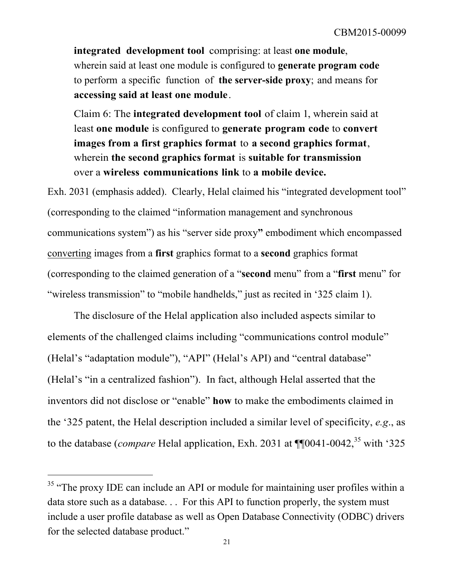**integrated development tool** comprising: at least **one module**, wherein said at least one module is configured to **generate program code** to perform a specific function of **the server-side proxy**; and means for **accessing said at least one module**.

Claim 6: The **integrated development tool** of claim 1, wherein said at least **one module** is configured to **generate program code** to **convert images from a first graphics format** to **a second graphics format**, wherein **the second graphics format** is **suitable for transmission** over a **wireless communications link** to **a mobile device.**

Exh. 2031 (emphasis added). Clearly, Helal claimed his "integrated development tool" (corresponding to the claimed "information management and synchronous communications system") as his "server side proxy**"** embodiment which encompassed converting images from a **first** graphics format to a **second** graphics format (corresponding to the claimed generation of a "**second** menu" from a "**first** menu" for "wireless transmission" to "mobile handhelds," just as recited in '325 claim 1).

The disclosure of the Helal application also included aspects similar to elements of the challenged claims including "communications control module" (Helal's "adaptation module"), "API" (Helal's API) and "central database" (Helal's "in a centralized fashion"). In fact, although Helal asserted that the inventors did not disclose or "enable" **how** to make the embodiments claimed in the '325 patent, the Helal description included a similar level of specificity, *e.g*., as to the database (*compare* Helal application, Exh. 2031 at ¶[0041-0042,<sup>35</sup> with '325

<sup>&</sup>lt;sup>35</sup> "The proxy IDE can include an API or module for maintaining user profiles within a data store such as a database. . . For this API to function properly, the system must include a user profile database as well as Open Database Connectivity (ODBC) drivers for the selected database product."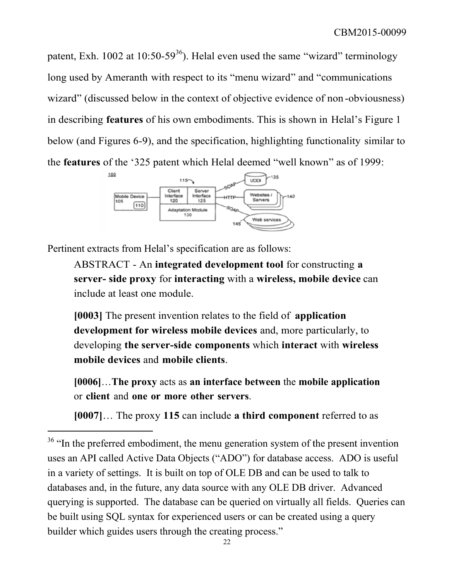patent, Exh. 1002 at 10:50-59<sup>36</sup>). Helal even used the same "wizard" terminology long used by Ameranth with respect to its "menu wizard" and "communications<br>wizard" (discussed below in the context of objective evidence of non-obviousne wizard" (discussed below in the context of objective evidence of non-obviousness) in describing features of his own embodiments. This is shown in Helal's Figure below (and Figures 6-9), and the specification, highlighting functionality similar to the **features** of the '325 patent which Helal deemed "well known" as of 1999: xh. 1002 at 10:50-59<sup>36</sup>). IIelal even used the same "wizard" terminology<br>
dby Ameranth with respect to its "menu wizard" and "communications<br>
(discussed below in the context of objective evidence of non-obviousness)<br>
bin long used by Ameranth with respect to its "menu wizard" and "communications<br>wizard" (discussed below in the context of objective evidence of non-obviousness)<br>in describing features of his own embodiments. This is shown in tent, Exh. 1002 at 10:50-59<sup>th</sup>). Helal even used the same "wizard" tent used oby Ameranth with respect to its "menu wizard" and "commuzizard" (discussed below in the context of objective evidence of non-odescribing featu . 1002 at 10:50-59<sup>36</sup>). Helal even used the same "wizard" termine<br>
y Ameranth with respect to its "menu wizard" and "communicat<br>
seussed below in the context of objective evidence of non-obvious<br>
g features 6-9), and the 002 at 10:50-59<sup>36</sup>). Helal even used the same "wizard" termino<br>Ameranth with respect to its "menu wizard" and "communicati<br>used below in the context of objective evidence of non-obviou<br>features of his own embodiments. Th patent, Exh. 1002 at 10:50-59<sup>36</sup>). Helal even used the<br>long used by Ameranth with respect to its "menu wi<br>wizard" (discussed below in the context of objective<br>in describing **features** of his own embodiments. This<br>below ( kh. 1002 at 10:50-59<sup>36</sup>). Helal even used the sam<br>
lby Ameranth with respect to its "menu wizard"<br>
discussed below in the context of objective evid<br>
ing features of his own embodiments. This is s<br>
ad Figures 6-9), and th ised by Ameranth with respect to its "menu wizard" and "communications<br>
d" (discussed below in the context of objective evidence of non-obviousnes:<br>
criting fractures of his own embodiments. This is shown in Helal's Figure nt, Exh. 1002 at 10:50-59<sup>th</sup>). Helal even used the same "wizard" terminology<br>used by Ameranth with respect to its "menu wizard" and "communication<br>and" (discussed below in the context of objective evidence of non-obvious It is "menu wizard" and "communication<br>thext of objective evidence of non-obviousn<br>mbodiments. This is shown in Helal's Figure<br>ecification, highlighting functionality similar<br>the Helal deemed "well known" as of 1999:<br> $\frac{1$ specification, highlighting functionality<br>internal membodiments. This is shown in Helal<br>specification, highlighting functionality<br>thich Helal deemed "well known" as o the context of objective evidence of non-ob-<br>
own embodiments. This is shown in Helal's<br>
the specification, highlighting functionality<br>
the specification, highlighting functionality<br>
<sup>145</sup><br>
<sup>145</sup><br>
<sup>145</sup><br>
<sup>145</sup><br>
<sup>145</sup><br>
<sup>145</sup> by Ameranth with respect to its "menu wizard" and "commissions delow in the context of objective evidence of non-<br>ing features of his own embodiments. This is shown in Held<br>d Figures 6-9), and the specification, highlight long used by Ameranth with respect to its "menu wizard" and "co<br>wizard" (discussed below in the context of objective evidence of r<br>in describing features of his own embodiments. This is shown in<br>below (and Figures 6-9), a eranth with respect to its "menu wizard" and<br>ed below in the context of objective evidence<br>tures of his own embodiments. This is shown<br>res 6-9), and the specification, highlighting fu<br>is  $\frac{1000}{100}$ <br> $\frac{1000}{100}$ <br> $\frac{$ Exercise evidence of non-obvious<br>
Sective evidence of non-obvious<br>
S. This is shown in Helal's Figure highlighting functionality simi<br>
emed "well known" as of 1999:<br>
We derive the survey of the survey of the survey of the (discussed below in the context of objective evidence of non-obviousn<br>bing features of his own embodiments. This is shown in Helal's Figure<br>Ind Figures 6-9), and the specification, highlighting functionality similar<br>Inter chi. 1002 at 10:50-59<sup>36</sup>). Helal even used the same "wizard" terminolog<br>by Ameranth with respect to its "menu wizard" and "communications<br>discussed below in the context of objective evidence of non-obviousnes<br>ing feature CBM2015<br>
CBM2015<br>
CBM2015<br>
CBM2015<br>
CBM2015<br>
USA, the street of the specification, highlighting functionality is<br>
variable and the specification, highlighting functionality since<br>
variable and Higures 6-9), and the specif wizard" (discussed below in the context of objective evidence of non-obviousne<br>in describing **features** of his own embodiments. This is shown in Helal's Figure<br>helow (and Figures 6-9), and the specification, highlighting discussed below in the context of objective evidence of non-obviousness)<br>sing **features** of his own embodiments. This is shown in Helal's Figure 1<br>and Figures 6-9), and the specification, highlighting functionality simila CBM2015-000<br>
Exh. 1002 at 10:50-59<sup>36</sup>). Helal even used the same "wizard" terminology<br>
ed by Ameranth with respect to its "menu wizard" and "communications"<br>
(discussed below in the context of objective evidence of non-o s Figure 1<br>similar to<br>1999: CBM2015-00099<br>
can th vith respect to its "menu wizard" and "communications<br>
below in the context of objective evidence of non-obviousness)<br>
res of his own embodiments. This is shown in IIelal's Figure 1<br>
6-9), and the sp **CBM2015-00099**<br>
Spect to its "menu wizard" and "communications<br>
spect to its "menu wizard" and "communications<br>
e context of objective evidence of non-obviousness)<br>
wn embodiments. This is shown in Helal's Figure 1<br>
the



Pertinent extracts from Helal's specification are as follows

ABSTRACT - An integrated development tool for constructing a **server-** side proxy for interacting include at least one module. Include at least one module.<br> **[0003]** The present invention relates to the field of **application** An **integrated development tool** for<br> **roxy** for **interacting** with a **wireless**<br> **t** one module.<br>
esent invention relates to the field of<br> **for wireless mobile devices** and, mo with a wireless, mobile device can

**development for wireless mobile devices** development for wireless mobile devices and, more particularly, to<br>developing the server-side components which interact with wireless mobile devices and mobile clients. 0003] T<br>levelopi<br>levelopi<br>nobile o<br>0006]...<br><sup>or</sup> client for wireless mobile devices and, more particularly, to

mobile devices and mobile clients.<br>[0006]...The proxy acts as an interface between the mobile application or client and one or more other servers.

**[0007 0007]**… The proxy **115** can include **a third component** referred to to as

<sup>&</sup>lt;sup>36</sup> "In the preferred embodiment, the menu generation system of the present invention uses an API called Active Data Objects ("ADO") for database access. ADO is useful in a variety of settings. It is built on top of OLE D uses an API called Active Data Objects ("ADO") for database access. ADO is useful in a variety of settings. It is built on top of OLE DB and can be used to talk to in a variety of settings. It is built on top of OLE DB and can be used to talk to databases and, in the future, any data source with any OLE DB driver. Advanced querying is supported. The database can be queried on virtually all fields. Queries can be built using SQL syntax for experienced users or can be created using a query builder which guides users through the creating process." It all Queries built **features** wizard" (discussed below in the context of objective evidence of non-obvious<br>in describing features of his own embodiments. This is shown in Helal's Figures<br>below (and Figures 6-9), and the specification, highlighting fun the SQL of the SQL or the context of objective every features of his own embodiments. This is<br>igures 6-9), and the specification, highlighter the '325 patent which Helal deemed "was noted to the specification of the specif uses an API called Active Data Objects ("ADO") for database access.<br>
in a variety of settings. It is built on top of OLE DB and can be used t<br>
databases and, in the future, any data source with any OLE DB driver.<br>
querying of his own embodiments. This is shown in Helal's Figure), and the specification, highlighting functionality simil<br>
ES patent which Helal deemed "well known" as of 1999:<br>  $\frac{1}{\sqrt{100}}$ <br>  $\frac{1}{\sqrt{100}}$ <br>  $\frac{1}{\sqrt{100}}$ <br>  $\frac$ source with any OLE DB driver. Advance<br>can be queried on virtually all fields. Quer<br>enced users or can be created using a query The present invention relates to the field of **appliment for wireless mobile devices** and, more parting the **server-side components** which **interact** devices and **mobile clients**.<br>The proxy acts as an interface between the OLE DB and can be used to talk to diments. This is shown in Helal's Figure 1<br>
ication, highlighting functionality similar to<br>
lead deemed "well known" as of 1999:<br>
were the unity of the Unity of the Unity of the Unity of the Unity of the Unity of the Unite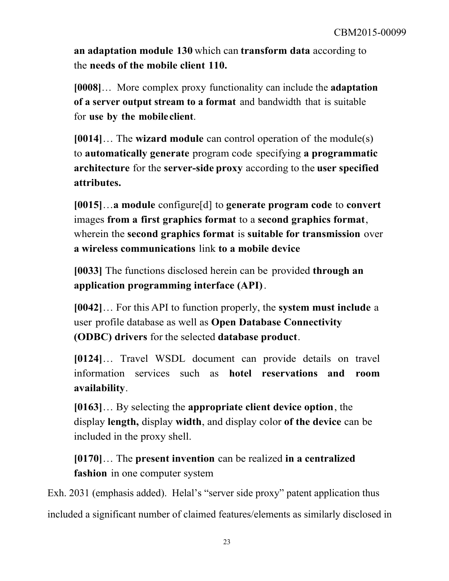**an adaptation module 130** which can **transform data** according to the **needs of the mobile client 110.**

**[0008]**… More complex proxy functionality can include the **adaptation of a server output stream to a format** and bandwidth that is suitable for **use by the mobileclient**.

**[0014]**… The **wizard module** can control operation of the module(s) to **automatically generate** program code specifying **a programmatic architecture** for the **server-side proxy** according to the **user specified attributes.**

**[0015]**…**a module** configure[d] to **generate program code** to **convert** images **from a first graphics format** to a **second graphics format**, wherein the **second graphics format** is **suitable for transmission** over **a wireless communications** link **to a mobile device**

**[0033]** The functions disclosed herein can be provided **through an application programming interface (API)**.

**[0042]**… For this API to function properly, the **system must include** a user profile database as well as **Open Database Connectivity (ODBC) drivers** for the selected **database product**.

**[0124]**… Travel WSDL document can provide details on travel information services such as **hotel reservations and room availability**.

**[0163]**… By selecting the **appropriate client device option**, the display **length,** display **width**, and display color **of the device** can be included in the proxy shell.

**[0170]**… The **present invention** can be realized **in a centralized fashion** in one computer system

Exh. 2031 (emphasis added). Helal's "server side proxy" patent application thus included a significant number of claimed features/elements as similarly disclosed in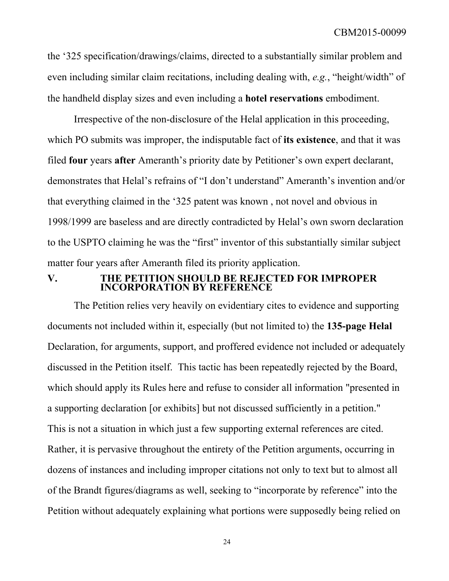the '325 specification/drawings/claims, directed to a substantially similar problem and even including similar claim recitations, including dealing with, *e.g.*, "height/width" of the handheld display sizes and even including a **hotel reservations** embodiment.

Irrespective of the non-disclosure of the Helal application in this proceeding, which PO submits was improper, the indisputable fact of **its existence**, and that it was filed **four** years **after** Ameranth's priority date by Petitioner's own expert declarant, demonstrates that Helal's refrains of "I don't understand" Ameranth's invention and/or that everything claimed in the '325 patent was known , not novel and obvious in 1998/1999 are baseless and are directly contradicted by Helal's own sworn declaration to the USPTO claiming he was the "first" inventor of this substantially similar subject matter four years after Ameranth filed its priority application.

#### **V. THE PETITION SHOULD BE REJECTED FOR IMPROPER INCORPORATION BY REFERENCE**

The Petition relies very heavily on evidentiary cites to evidence and supporting documents not included within it, especially (but not limited to) the **135-page Helal** Declaration, for arguments, support, and proffered evidence not included or adequately discussed in the Petition itself. This tactic has been repeatedly rejected by the Board, which should apply its Rules here and refuse to consider all information "presented in a supporting declaration [or exhibits] but not discussed sufficiently in a petition." This is not a situation in which just a few supporting external references are cited. Rather, it is pervasive throughout the entirety of the Petition arguments, occurring in dozens of instances and including improper citations not only to text but to almost all of the Brandt figures/diagrams as well, seeking to "incorporate by reference" into the Petition without adequately explaining what portions were supposedly being relied on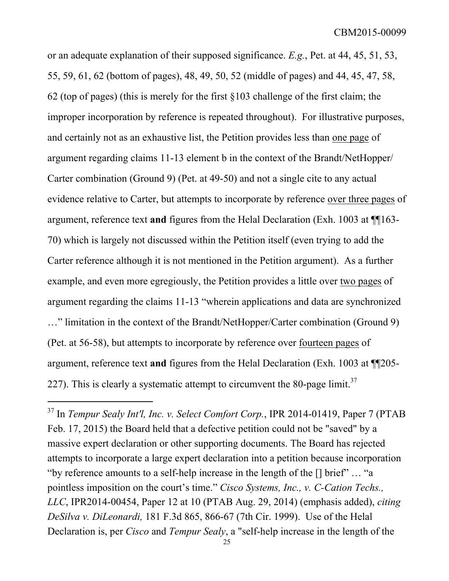or an adequate explanation of their supposed significance. *E.g.*, Pet. at 44, 45, 51, 53, 55, 59, 61, 62 (bottom of pages), 48, 49, 50, 52 (middle of pages) and 44, 45, 47, 58, 62 (top of pages) (this is merely for the first §103 challenge of the first claim; the improper incorporation by reference is repeated throughout). For illustrative purposes, and certainly not as an exhaustive list, the Petition provides less than one page of argument regarding claims 11-13 element b in the context of the Brandt/NetHopper/ Carter combination (Ground 9) (Pet. at 49-50) and not a single cite to any actual evidence relative to Carter, but attempts to incorporate by reference over three pages of argument, reference text **and** figures from the Helal Declaration (Exh. 1003 at ¶¶163- 70) which is largely not discussed within the Petition itself (even trying to add the Carter reference although it is not mentioned in the Petition argument). As a further example, and even more egregiously, the Petition provides a little over two pages of argument regarding the claims 11-13 "wherein applications and data are synchronized …" limitation in the context of the Brandt/NetHopper/Carter combination (Ground 9) (Pet. at 56-58), but attempts to incorporate by reference over fourteen pages of argument, reference text **and** figures from the Helal Declaration (Exh. 1003 at ¶¶205- 227). This is clearly a systematic attempt to circumvent the 80-page limit.<sup>37</sup>

<sup>37</sup> In *Tempur Sealy Int'l, Inc. v. Select Comfort Corp.*, IPR 2014-01419, Paper 7 (PTAB Feb. 17, 2015) the Board held that a defective petition could not be "saved" by a massive expert declaration or other supporting documents. The Board has rejected attempts to incorporate a large expert declaration into a petition because incorporation "by reference amounts to a self-help increase in the length of the [] brief" … "a pointless imposition on the court's time." *Cisco Systems, Inc., v. C-Cation Techs., LLC*, IPR2014-00454, Paper 12 at 10 (PTAB Aug. 29, 2014) (emphasis added), *citing DeSilva v. DiLeonardi,* 181 F.3d 865, 866-67 (7th Cir. 1999). Use of the Helal Declaration is, per *Cisco* and *Tempur Sealy*, a "self-help increase in the length of the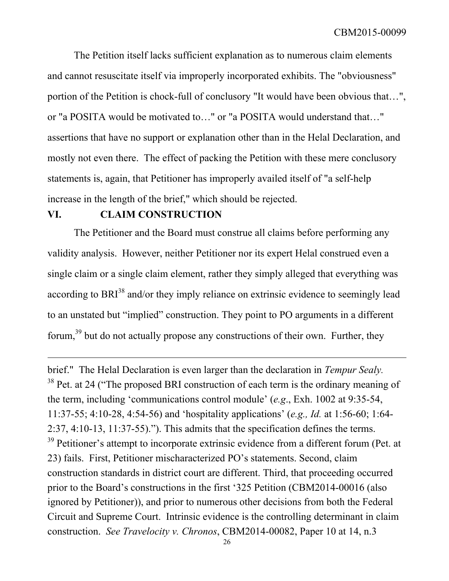The Petition itself lacks sufficient explanation as to numerous claim elements and cannot resuscitate itself via improperly incorporated exhibits. The "obviousness" portion of the Petition is chock-full of conclusory "It would have been obvious that…", or "a POSITA would be motivated to…" or "a POSITA would understand that…" assertions that have no support or explanation other than in the Helal Declaration, and mostly not even there. The effect of packing the Petition with these mere conclusory statements is, again, that Petitioner has improperly availed itself of "a self-help increase in the length of the brief," which should be rejected.

## **VI. CLAIM CONSTRUCTION**

The Petitioner and the Board must construe all claims before performing any validity analysis. However, neither Petitioner nor its expert Helal construed even a single claim or a single claim element, rather they simply alleged that everything was according to BRI<sup>38</sup> and/or they imply reliance on extrinsic evidence to seemingly lead to an unstated but "implied" construction. They point to PO arguments in a different forum,<sup>39</sup> but do not actually propose any constructions of their own. Further, they

brief." The Helal Declaration is even larger than the declaration in *Tempur Sealy.* <sup>38</sup> Pet. at 24 ("The proposed BRI construction of each term is the ordinary meaning of the term, including 'communications control module' (*e.g*., Exh. 1002 at 9:35-54, 11:37-55; 4:10-28, 4:54-56) and 'hospitality applications' (*e.g., Id.* at 1:56-60; 1:64- 2:37, 4:10-13, 11:37-55)."). This admits that the specification defines the terms. <sup>39</sup> Petitioner's attempt to incorporate extrinsic evidence from a different forum (Pet. at 23) fails. First, Petitioner mischaracterized PO's statements. Second, claim construction standards in district court are different. Third, that proceeding occurred prior to the Board's constructions in the first '325 Petition (CBM2014-00016 (also ignored by Petitioner)), and prior to numerous other decisions from both the Federal Circuit and Supreme Court. Intrinsic evidence is the controlling determinant in claim construction. *See Travelocity v. Chronos*, CBM2014-00082, Paper 10 at 14, n.3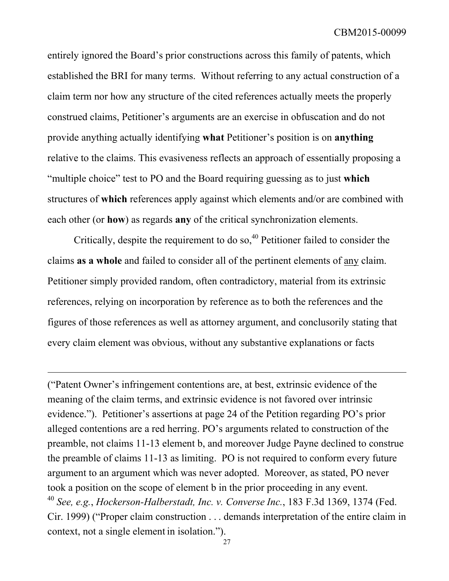entirely ignored the Board's prior constructions across this family of patents, which established the BRI for many terms. Without referring to any actual construction of a claim term nor how any structure of the cited references actually meets the properly construed claims, Petitioner's arguments are an exercise in obfuscation and do not provide anything actually identifying **what** Petitioner's position is on **anything** relative to the claims. This evasiveness reflects an approach of essentially proposing a "multiple choice" test to PO and the Board requiring guessing as to just **which** structures of **which** references apply against which elements and/or are combined with each other (or **how**) as regards **any** of the critical synchronization elements.

Critically, despite the requirement to do so, $40$  Petitioner failed to consider the claims **as a whole** and failed to consider all of the pertinent elements of any claim. Petitioner simply provided random, often contradictory, material from its extrinsic references, relying on incorporation by reference as to both the references and the figures of those references as well as attorney argument, and conclusorily stating that every claim element was obvious, without any substantive explanations or facts

("Patent Owner's infringement contentions are, at best, extrinsic evidence of the meaning of the claim terms, and extrinsic evidence is not favored over intrinsic evidence."). Petitioner's assertions at page 24 of the Petition regarding PO's prior alleged contentions are a red herring. PO's arguments related to construction of the preamble, not claims 11-13 element b, and moreover Judge Payne declined to construe the preamble of claims 11-13 as limiting. PO is not required to conform every future argument to an argument which was never adopted. Moreover, as stated, PO never took a position on the scope of element b in the prior proceeding in any event. <sup>40</sup> *See, e.g.*, *Hockerson-Halberstadt, Inc. v. Converse Inc.*, 183 F.3d 1369, 1374 (Fed. Cir. 1999) ("Proper claim construction . . . demands interpretation of the entire claim in context, not a single element in isolation.").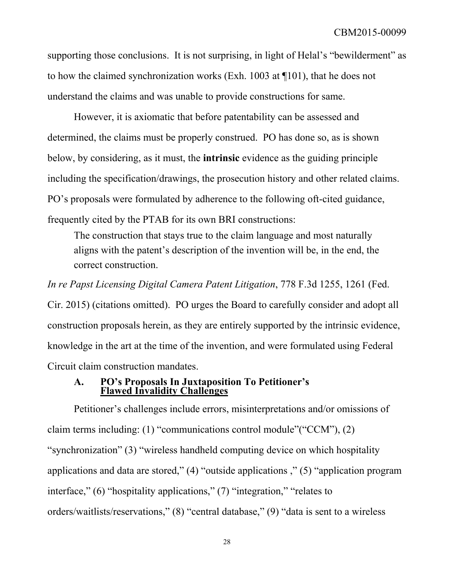supporting those conclusions. It is not surprising, in light of Helal's "bewilderment" as to how the claimed synchronization works (Exh. 1003 at ¶101), that he does not understand the claims and was unable to provide constructions for same.

However, it is axiomatic that before patentability can be assessed and determined, the claims must be properly construed. PO has done so, as is shown below, by considering, as it must, the **intrinsic** evidence as the guiding principle including the specification/drawings, the prosecution history and other related claims. PO's proposals were formulated by adherence to the following oft-cited guidance, frequently cited by the PTAB for its own BRI constructions:

The construction that stays true to the claim language and most naturally aligns with the patent's description of the invention will be, in the end, the correct construction.

*In re Papst Licensing Digital Camera Patent Litigation*, 778 F.3d 1255, 1261 (Fed. Cir. 2015) (citations omitted). PO urges the Board to carefully consider and adopt all construction proposals herein, as they are entirely supported by the intrinsic evidence, knowledge in the art at the time of the invention, and were formulated using Federal Circuit claim construction mandates.

#### **A. PO's Proposals In Juxtaposition To Petitioner's Flawed Invalidity Challenges**

Petitioner's challenges include errors, misinterpretations and/or omissions of claim terms including: (1) "communications control module"("CCM"), (2) "synchronization" (3) "wireless handheld computing device on which hospitality applications and data are stored," (4) "outside applications ," (5) "application program interface," (6) "hospitality applications," (7) "integration," "relates to orders/waitlists/reservations," (8) "central database," (9) "data is sent to a wireless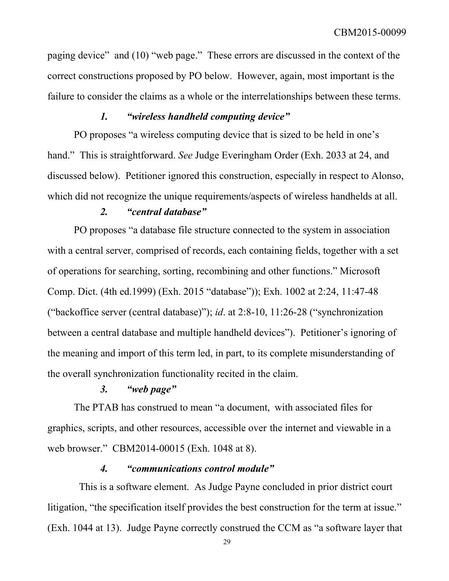paging device" and (10) "web page." These errors are discussed in the context of the correct constructions proposed by PO below. However, again, most important is the failure to consider the claims as a whole or the interrelationships between these terms.

# *1. "wireless handheld computing device"*

PO proposes "a wireless computing device that is sized to be held in one's hand." This is straightforward. *See* Judge Everingham Order (Exh. 2033 at 24, and discussed below). Petitioner ignored this construction, especially in respect to Alonso, which did not recognize the unique requirements/aspects of wireless handhelds at all.

#### *2. "central database"*

PO proposes "a database file structure connected to the system in association with a central server, comprised of records, each containing fields, together with a set of operations for searching, sorting, recombining and other functions." Microsoft Comp. Dict. (4th ed.1999) (Exh. 2015 "database")); Exh. 1002 at 2:24, 11:47-48 ("backoffice server (central database)"); *id*. at 2:8-10, 11:26-28 ("synchronization between a central database and multiple handheld devices"). Petitioner's ignoring of the meaning and import of this term led, in part, to its complete misunderstanding of the overall synchronization functionality recited in the claim.

### *3. "web page"*

The PTAB has construed to mean "a document, with associated files for graphics, scripts, and other resources, accessible over the internet and viewable in a web browser." CBM2014-00015 (Exh. 1048 at 8).

# *4. "communications control module"*

This is a software element. As Judge Payne concluded in prior district court litigation, "the specification itself provides the best construction for the term at issue." (Exh. 1044 at 13). Judge Payne correctly construed the CCM as "a software layer that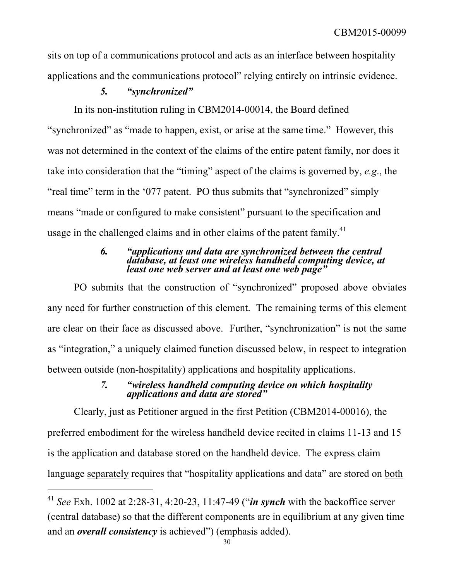sits on top of a communications protocol and acts as an interface between hospitality applications and the communications protocol" relying entirely on intrinsic evidence.

# *5. "synchronized"*

In its non-institution ruling in CBM2014-00014, the Board defined "synchronized" as "made to happen, exist, or arise at the same time." However, this was not determined in the context of the claims of the entire patent family, nor does it take into consideration that the "timing" aspect of the claims is governed by, *e.g*., the "real time" term in the '077 patent. PO thus submits that "synchronized" simply means "made or configured to make consistent" pursuant to the specification and usage in the challenged claims and in other claims of the patent family.<sup>41</sup>

#### *6. "applications and data are synchronized between the central database, at least one wireless handheld computing device, at least one web server and at least one web page"*

PO submits that the construction of "synchronized" proposed above obviates any need for further construction of this element. The remaining terms of this element are clear on their face as discussed above. Further, "synchronization" is not the same as "integration," a uniquely claimed function discussed below, in respect to integration between outside (non-hospitality) applications and hospitality applications.

### *7. "wireless handheld computing device on which hospitality applications and data are stored"*

Clearly, just as Petitioner argued in the first Petition (CBM2014-00016), the preferred embodiment for the wireless handheld device recited in claims 11-13 and 15 is the application and database stored on the handheld device. The express claim language separately requires that "hospitality applications and data" are stored on both

<sup>41</sup> *See* Exh. 1002 at 2:28-31, 4:20-23, 11:47-49 ("*in synch* with the backoffice server (central database) so that the different components are in equilibrium at any given time and an *overall consistency* is achieved") (emphasis added).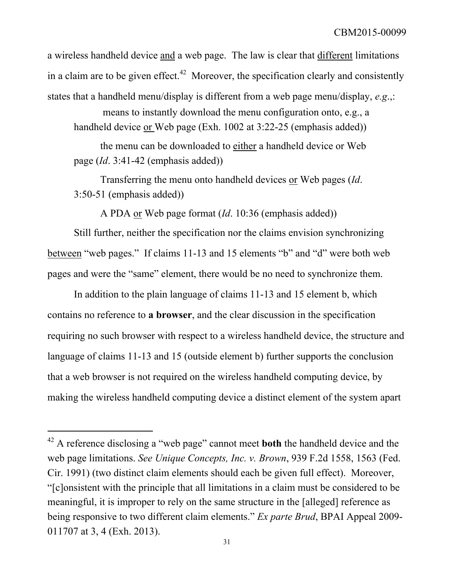a wireless handheld device and a web page. The law is clear that different limitations in a claim are to be given effect.<sup>42</sup> Moreover, the specification clearly and consistently states that a handheld menu/display is different from a web page menu/display, *e.g*.,:

means to instantly download the menu configuration onto, e.g., a handheld device or Web page (Exh. 1002 at 3:22-25 (emphasis added))

the menu can be downloaded to either a handheld device or Web page (*Id*. 3:41-42 (emphasis added))

Transferring the menu onto handheld devices or Web pages (*Id*. 3:50-51 (emphasis added))

A PDA or Web page format (*Id*. 10:36 (emphasis added))

Still further, neither the specification nor the claims envision synchronizing between "web pages." If claims 11-13 and 15 elements "b" and "d" were both web pages and were the "same" element, there would be no need to synchronize them.

In addition to the plain language of claims 11-13 and 15 element b, which contains no reference to **a browser**, and the clear discussion in the specification requiring no such browser with respect to a wireless handheld device, the structure and language of claims 11-13 and 15 (outside element b) further supports the conclusion that a web browser is not required on the wireless handheld computing device, by making the wireless handheld computing device a distinct element of the system apart

<sup>42</sup> A reference disclosing a "web page" cannot meet **both** the handheld device and the web page limitations. *See Unique Concepts, Inc. v. Brown*, 939 F.2d 1558, 1563 (Fed. Cir. 1991) (two distinct claim elements should each be given full effect). Moreover, "[c]onsistent with the principle that all limitations in a claim must be considered to be meaningful, it is improper to rely on the same structure in the [alleged] reference as being responsive to two different claim elements." *Ex parte Brud*, BPAI Appeal 2009- 011707 at 3, 4 (Exh. 2013).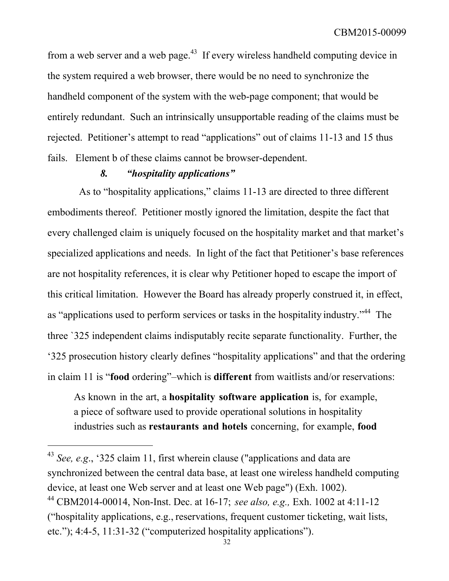from a web server and a web page.<sup>43</sup> If every wireless handheld computing device in the system required a web browser, there would be no need to synchronize the handheld component of the system with the web-page component; that would be entirely redundant. Such an intrinsically unsupportable reading of the claims must be rejected. Petitioner's attempt to read "applications" out of claims 11-13 and 15 thus fails. Element b of these claims cannot be browser-dependent.

## *8. "hospitality applications"*

As to "hospitality applications," claims 11-13 are directed to three different embodiments thereof. Petitioner mostly ignored the limitation, despite the fact that every challenged claim is uniquely focused on the hospitality market and that market's specialized applications and needs. In light of the fact that Petitioner's base references are not hospitality references, it is clear why Petitioner hoped to escape the import of this critical limitation. However the Board has already properly construed it, in effect, as "applications used to perform services or tasks in the hospitality industry."<sup>44</sup> The three `325 independent claims indisputably recite separate functionality. Further, the '325 prosecution history clearly defines "hospitality applications" and that the ordering in claim 11 is "**food** ordering"–which is **different** from waitlists and/or reservations:

As known in the art, a **hospitality software application** is, for example, a piece of software used to provide operational solutions in hospitality industries such as **restaurants and hotels** concerning, for example, **food**

<sup>43</sup> *See, e.g*., '325 claim 11, first wherein clause ("applications and data are synchronized between the central data base, at least one wireless handheld computing device, at least one Web server and at least one Web page") (Exh. 1002). <sup>44</sup> CBM2014-00014, Non-Inst. Dec. at 16-17; *see also, e.g.,* Exh. 1002 at 4:11-12

<sup>(&</sup>quot;hospitality applications, e.g., reservations, frequent customer ticketing, wait lists, etc."); 4:4-5, 11:31-32 ("computerized hospitality applications").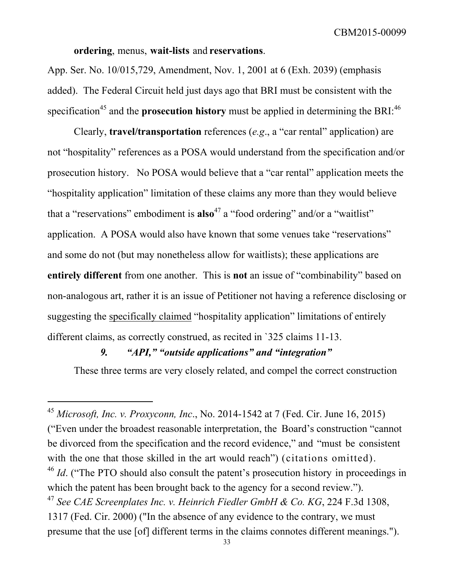# **ordering**, menus, **wait-lists** and **reservations**.

App. Ser. No. 10/015,729, Amendment, Nov. 1, 2001 at 6 (Exh. 2039) (emphasis added). The Federal Circuit held just days ago that BRI must be consistent with the specification<sup>45</sup> and the **prosecution history** must be applied in determining the BRI:<sup>46</sup>

Clearly, **travel/transportation** references (*e.g*., a "car rental" application) are not "hospitality" references as a POSA would understand from the specification and/or prosecution history. No POSA would believe that a "car rental" application meets the "hospitality application" limitation of these claims any more than they would believe that a "reservations" embodiment is **also**<sup>47</sup> a "food ordering" and/or a "waitlist" application. A POSA would also have known that some venues take "reservations" and some do not (but may nonetheless allow for waitlists); these applications are **entirely different** from one another. This is **not** an issue of "combinability" based on non-analogous art, rather it is an issue of Petitioner not having a reference disclosing or suggesting the specifically claimed "hospitality application" limitations of entirely different claims, as correctly construed, as recited in `325 claims 11-13.

# *9. "API," "outside applications" and "integration"*

These three terms are very closely related, and compel the correct construction

<sup>45</sup> *Microsoft, Inc. v. Proxyconn, Inc*., No. 2014-1542 at 7 (Fed. Cir. June 16, 2015) ("Even under the broadest reasonable interpretation, the Board's construction "cannot be divorced from the specification and the record evidence," and "must be consistent with the one that those skilled in the art would reach") (citations omitted). <sup>46</sup> *Id.* ("The PTO should also consult the patent's prosecution history in proceedings in which the patent has been brought back to the agency for a second review."). <sup>47</sup> *See CAE Screenplates Inc. v. Heinrich Fiedler GmbH & Co. KG*, 224 F.3d 1308, 1317 (Fed. Cir. 2000) ("In the absence of any evidence to the contrary, we must presume that the use [of] different terms in the claims connotes different meanings.").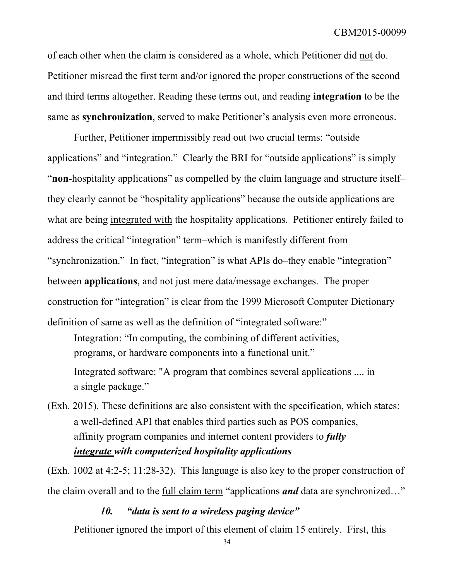#### CBM2015-00099

of each other when the claim is considered as a whole, which Petitioner did not do. Petitioner misread the first term and/or ignored the proper constructions of the second and third terms altogether. Reading these terms out, and reading **integration** to be the same as **synchronization**, served to make Petitioner's analysis even more erroneous.

Further, Petitioner impermissibly read out two crucial terms: "outside applications" and "integration." Clearly the BRI for "outside applications" is simply "**non**-hospitality applications" as compelled by the claim language and structure itself– they clearly cannot be "hospitality applications" because the outside applications are what are being integrated with the hospitality applications. Petitioner entirely failed to address the critical "integration" term–which is manifestly different from "synchronization." In fact, "integration" is what APIs do–they enable "integration" between **applications**, and not just mere data/message exchanges. The proper construction for "integration" is clear from the 1999 Microsoft Computer Dictionary definition of same as well as the definition of "integrated software:"

Integration: "In computing, the combining of different activities, programs, or hardware components into a functional unit."

Integrated software: "A program that combines several applications .... in a single package."

(Exh. 2015). These definitions are also consistent with the specification, which states: a well-defined API that enables third parties such as POS companies, affinity program companies and internet content providers to *fully integrate with computerized hospitality applications*

(Exh. 1002 at 4:2-5; 11:28-32). This language is also key to the proper construction of the claim overall and to the full claim term "applications *and* data are synchronized…"

# *10. "data is sent to a wireless paging device"*

Petitioner ignored the import of this element of claim 15 entirely. First, this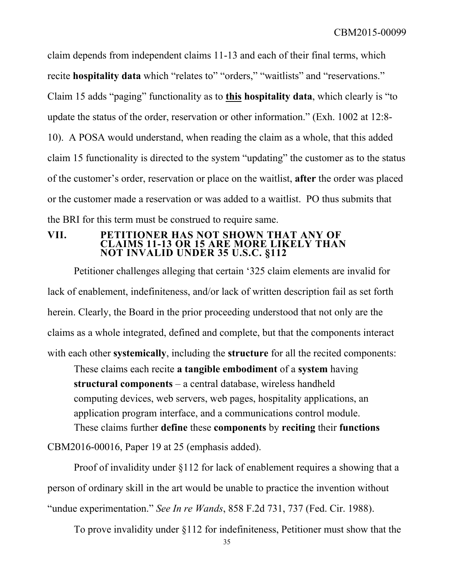claim depends from independent claims 11-13 and each of their final terms, which recite **hospitality data** which "relates to" "orders," "waitlists" and "reservations." Claim 15 adds "paging" functionality as to **this hospitality data**, which clearly is "to update the status of the order, reservation or other information." (Exh. 1002 at 12:8- 10). A POSA would understand, when reading the claim as a whole, that this added claim 15 functionality is directed to the system "updating" the customer as to the status of the customer's order, reservation or place on the waitlist, **after** the order was placed or the customer made a reservation or was added to a waitlist. PO thus submits that the BRI for this term must be construed to require same.

#### **VII. PETITIONER HAS NOT SHOWN THAT ANY OF CLAIMS 11-13 OR 15 ARE MORE LIKELY THAN NOT INVALID UNDER 35 U.S.C. §112**

Petitioner challenges alleging that certain '325 claim elements are invalid for lack of enablement, indefiniteness, and/or lack of written description fail as set forth herein. Clearly, the Board in the prior proceeding understood that not only are the claims as a whole integrated, defined and complete, but that the components interact with each other **systemically**, including the **structure** for all the recited components:

These claims each recite **a tangible embodiment** of a **system** having **structural components** – a central database, wireless handheld computing devices, web servers, web pages, hospitality applications, an application program interface, and a communications control module. These claims further **define** these **components** by **reciting** their **functions**

CBM2016-00016, Paper 19 at 25 (emphasis added).

Proof of invalidity under §112 for lack of enablement requires a showing that a person of ordinary skill in the art would be unable to practice the invention without "undue experimentation." *See In re Wands*, 858 F.2d 731, 737 (Fed. Cir. 1988).

To prove invalidity under §112 for indefiniteness, Petitioner must show that the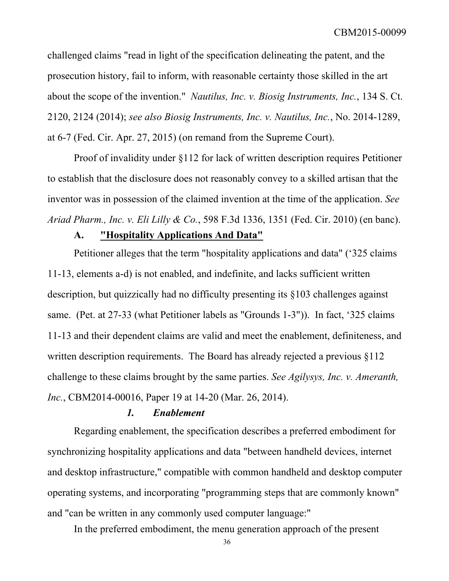challenged claims "read in light of the specification delineating the patent, and the prosecution history, fail to inform, with reasonable certainty those skilled in the art about the scope of the invention." *Nautilus, Inc. v. Biosig Instruments, Inc.*, 134 S. Ct. 2120, 2124 (2014); *see also Biosig Instruments, Inc. v. Nautilus, Inc.*, No. 2014-1289, at 6-7 (Fed. Cir. Apr. 27, 2015) (on remand from the Supreme Court).

Proof of invalidity under §112 for lack of written description requires Petitioner to establish that the disclosure does not reasonably convey to a skilled artisan that the inventor was in possession of the claimed invention at the time of the application. *See Ariad Pharm., Inc. v. Eli Lilly & Co.*, 598 F.3d 1336, 1351 (Fed. Cir. 2010) (en banc).

# **A. "Hospitality Applications And Data"**

Petitioner alleges that the term "hospitality applications and data" ('325 claims 11-13, elements a-d) is not enabled, and indefinite, and lacks sufficient written description, but quizzically had no difficulty presenting its §103 challenges against same. (Pet. at 27-33 (what Petitioner labels as "Grounds 1-3")). In fact, '325 claims 11-13 and their dependent claims are valid and meet the enablement, definiteness, and written description requirements. The Board has already rejected a previous §112 challenge to these claims brought by the same parties. *See Agilysys, Inc. v. Ameranth, Inc.*, CBM2014-00016, Paper 19 at 14-20 (Mar. 26, 2014).

## *1. Enablement*

Regarding enablement, the specification describes a preferred embodiment for synchronizing hospitality applications and data "between handheld devices, internet and desktop infrastructure," compatible with common handheld and desktop computer operating systems, and incorporating "programming steps that are commonly known" and "can be written in any commonly used computer language:"

In the preferred embodiment, the menu generation approach of the present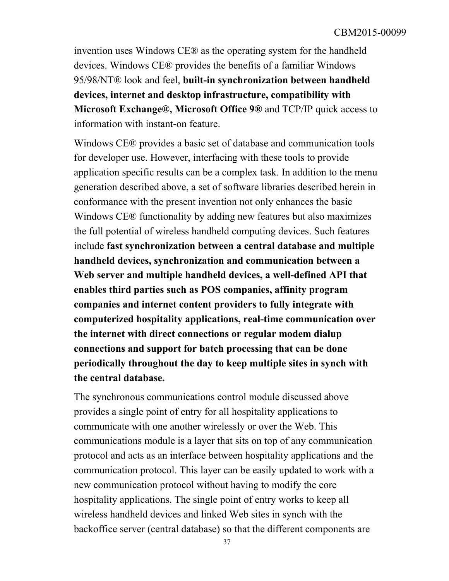invention uses Windows CE® as the operating system for the handheld devices. Windows CE® provides the benefits of a familiar Windows 95/98/NT® look and feel, **built-in synchronization between handheld devices, internet and desktop infrastructure, compatibility with Microsoft Exchange®, Microsoft Office 9®** and TCP/IP quick access to information with instant-on feature.

Windows CE® provides a basic set of database and communication tools for developer use. However, interfacing with these tools to provide application specific results can be a complex task. In addition to the menu generation described above, a set of software libraries described herein in conformance with the present invention not only enhances the basic Windows CE® functionality by adding new features but also maximizes the full potential of wireless handheld computing devices. Such features include **fast synchronization between a central database and multiple handheld devices, synchronization and communication between a Web server and multiple handheld devices, a well-defined API that enables third parties such as POS companies, affinity program companies and internet content providers to fully integrate with computerized hospitality applications, real-time communication over the internet with direct connections or regular modem dialup connections and support for batch processing that can be done periodically throughout the day to keep multiple sites in synch with the central database.**

The synchronous communications control module discussed above provides a single point of entry for all hospitality applications to communicate with one another wirelessly or over the Web. This communications module is a layer that sits on top of any communication protocol and acts as an interface between hospitality applications and the communication protocol. This layer can be easily updated to work with a new communication protocol without having to modify the core hospitality applications. The single point of entry works to keep all wireless handheld devices and linked Web sites in synch with the backoffice server (central database) so that the different components are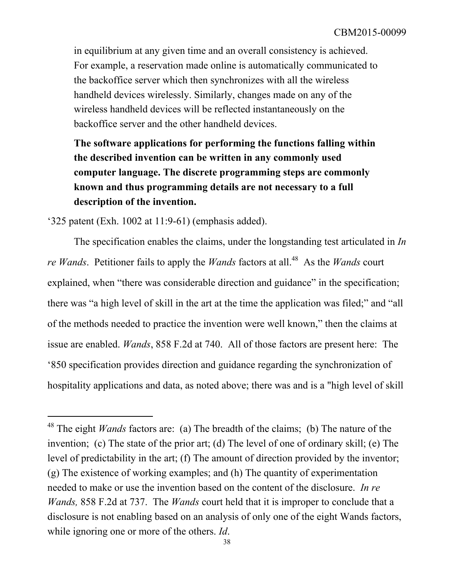in equilibrium at any given time and an overall consistency is achieved. For example, a reservation made online is automatically communicated to the backoffice server which then synchronizes with all the wireless handheld devices wirelessly. Similarly, changes made on any of the wireless handheld devices will be reflected instantaneously on the backoffice server and the other handheld devices.

**The software applications for performing the functions falling within the described invention can be written in any commonly used computer language. The discrete programming steps are commonly known and thus programming details are not necessary to a full description of the invention.**

'325 patent (Exh. 1002 at 11:9-61) (emphasis added).

The specification enables the claims, under the longstanding test articulated in *In re Wands*. Petitioner fails to apply the *Wands* factors at all.<sup>48</sup> As the *Wands* court explained, when "there was considerable direction and guidance" in the specification; there was "a high level of skill in the art at the time the application was filed;" and "all of the methods needed to practice the invention were well known," then the claims at issue are enabled. *Wands*, 858 F.2d at 740. All of those factors are present here: The '850 specification provides direction and guidance regarding the synchronization of hospitality applications and data, as noted above; there was and is a "high level of skill

<sup>48</sup> The eight *Wands* factors are: (a) The breadth of the claims; (b) The nature of the invention; (c) The state of the prior art; (d) The level of one of ordinary skill; (e) The level of predictability in the art; (f) The amount of direction provided by the inventor; (g) The existence of working examples; and (h) The quantity of experimentation needed to make or use the invention based on the content of the disclosure. *In re Wands,* 858 F.2d at 737. The *Wands* court held that it is improper to conclude that a disclosure is not enabling based on an analysis of only one of the eight Wands factors, while ignoring one or more of the others. *Id*.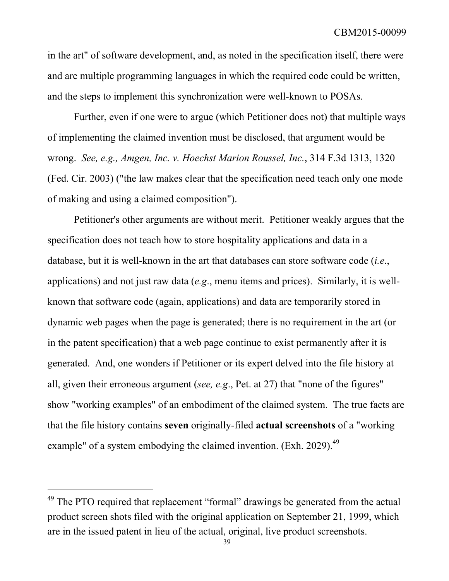in the art" of software development, and, as noted in the specification itself, there were and are multiple programming languages in which the required code could be written, and the steps to implement this synchronization were well-known to POSAs.

Further, even if one were to argue (which Petitioner does not) that multiple ways of implementing the claimed invention must be disclosed, that argument would be wrong. *See, e.g., Amgen, Inc. v. Hoechst Marion Roussel, Inc.*, 314 F.3d 1313, 1320 (Fed. Cir. 2003) ("the law makes clear that the specification need teach only one mode of making and using a claimed composition").

Petitioner's other arguments are without merit. Petitioner weakly argues that the specification does not teach how to store hospitality applications and data in a database, but it is well-known in the art that databases can store software code (*i.e*., applications) and not just raw data (*e.g*., menu items and prices). Similarly, it is wellknown that software code (again, applications) and data are temporarily stored in dynamic web pages when the page is generated; there is no requirement in the art (or in the patent specification) that a web page continue to exist permanently after it is generated. And, one wonders if Petitioner or its expert delved into the file history at all, given their erroneous argument (*see, e.g*., Pet. at 27) that "none of the figures" show "working examples" of an embodiment of the claimed system. The true facts are that the file history contains **seven** originally-filed **actual screenshots** of a "working example" of a system embodying the claimed invention. (Exh. 2029).<sup>49</sup>

<sup>&</sup>lt;sup>49</sup> The PTO required that replacement "formal" drawings be generated from the actual product screen shots filed with the original application on September 21, 1999, which are in the issued patent in lieu of the actual, original, live product screenshots.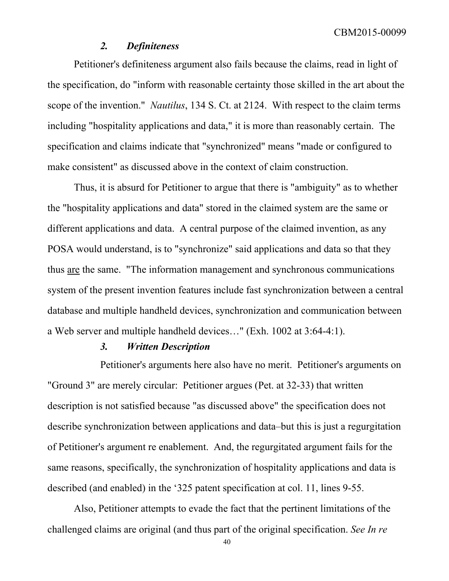CBM2015-00099

## *2. Definiteness*

Petitioner's definiteness argument also fails because the claims, read in light of the specification, do "inform with reasonable certainty those skilled in the art about the scope of the invention." *Nautilus*, 134 S. Ct. at 2124. With respect to the claim terms including "hospitality applications and data," it is more than reasonably certain. The specification and claims indicate that "synchronized" means "made or configured to make consistent" as discussed above in the context of claim construction.

Thus, it is absurd for Petitioner to argue that there is "ambiguity" as to whether the "hospitality applications and data" stored in the claimed system are the same or different applications and data. A central purpose of the claimed invention, as any POSA would understand, is to "synchronize" said applications and data so that they thus are the same. "The information management and synchronous communications system of the present invention features include fast synchronization between a central database and multiple handheld devices, synchronization and communication between a Web server and multiple handheld devices…" (Exh. 1002 at 3:64-4:1).

### *3. Written Description*

Petitioner's arguments here also have no merit. Petitioner's arguments on "Ground 3" are merely circular: Petitioner argues (Pet. at 32-33) that written description is not satisfied because "as discussed above" the specification does not describe synchronization between applications and data–but this is just a regurgitation of Petitioner's argument re enablement. And, the regurgitated argument fails for the same reasons, specifically, the synchronization of hospitality applications and data is described (and enabled) in the '325 patent specification at col. 11, lines 9-55.

Also, Petitioner attempts to evade the fact that the pertinent limitations of the challenged claims are original (and thus part of the original specification. *See In re*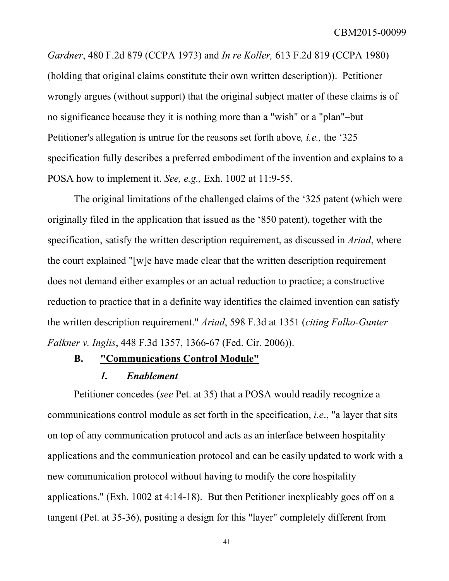*Gardner*, 480 F.2d 879 (CCPA 1973) and *In re Koller,* 613 F.2d 819 (CCPA 1980) (holding that original claims constitute their own written description)). Petitioner wrongly argues (without support) that the original subject matter of these claims is of no significance because they it is nothing more than a "wish" or a "plan"–but Petitioner's allegation is untrue for the reasons set forth above*, i.e.,* the '325 specification fully describes a preferred embodiment of the invention and explains to a POSA how to implement it. *See, e.g.,* Exh. 1002 at 11:9-55.

The original limitations of the challenged claims of the '325 patent (which were originally filed in the application that issued as the '850 patent), together with the specification, satisfy the written description requirement, as discussed in *Ariad*, where the court explained "[w]e have made clear that the written description requirement does not demand either examples or an actual reduction to practice; a constructive reduction to practice that in a definite way identifies the claimed invention can satisfy the written description requirement." *Ariad*, 598 F.3d at 1351 (*citing Falko-Gunter Falkner v. Inglis*, 448 F.3d 1357, 1366-67 (Fed. Cir. 2006)).

### **B. "Communications Control Module"**

## *1. Enablement*

Petitioner concedes (*see* Pet. at 35) that a POSA would readily recognize a communications control module as set forth in the specification, *i.e*., "a layer that sits on top of any communication protocol and acts as an interface between hospitality applications and the communication protocol and can be easily updated to work with a new communication protocol without having to modify the core hospitality applications." (Exh. 1002 at 4:14-18). But then Petitioner inexplicably goes off on a tangent (Pet. at 35-36), positing a design for this "layer" completely different from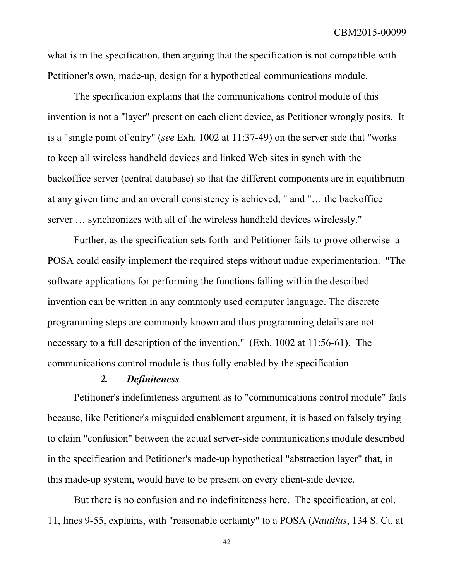CBM2015-00099

what is in the specification, then arguing that the specification is not compatible with Petitioner's own, made-up, design for a hypothetical communications module.

The specification explains that the communications control module of this invention is not a "layer" present on each client device, as Petitioner wrongly posits. It is a "single point of entry" (*see* Exh. 1002 at 11:37-49) on the server side that "works to keep all wireless handheld devices and linked Web sites in synch with the backoffice server (central database) so that the different components are in equilibrium at any given time and an overall consistency is achieved, " and "… the backoffice server … synchronizes with all of the wireless handheld devices wirelessly."

Further, as the specification sets forth–and Petitioner fails to prove otherwise–a POSA could easily implement the required steps without undue experimentation. "The software applications for performing the functions falling within the described invention can be written in any commonly used computer language. The discrete programming steps are commonly known and thus programming details are not necessary to a full description of the invention." (Exh. 1002 at 11:56-61). The communications control module is thus fully enabled by the specification.

#### *2. Definiteness*

Petitioner's indefiniteness argument as to "communications control module" fails because, like Petitioner's misguided enablement argument, it is based on falsely trying to claim "confusion" between the actual server-side communications module described in the specification and Petitioner's made-up hypothetical "abstraction layer" that, in this made-up system, would have to be present on every client-side device.

But there is no confusion and no indefiniteness here. The specification, at col. 11, lines 9-55, explains, with "reasonable certainty" to a POSA (*Nautilus*, 134 S. Ct. at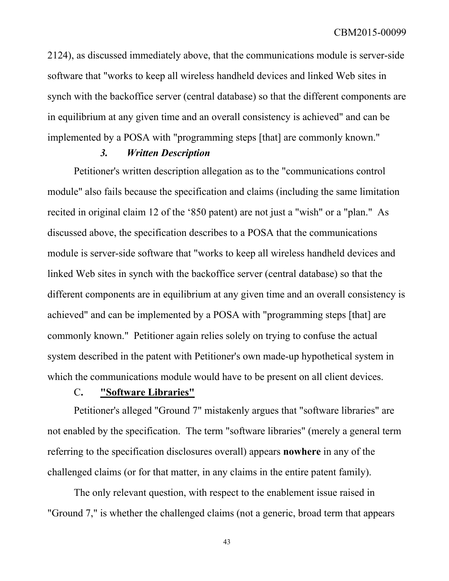2124), as discussed immediately above, that the communications module is server-side software that "works to keep all wireless handheld devices and linked Web sites in synch with the backoffice server (central database) so that the different components are in equilibrium at any given time and an overall consistency is achieved" and can be implemented by a POSA with "programming steps [that] are commonly known."

## *3. Written Description*

Petitioner's written description allegation as to the "communications control module" also fails because the specification and claims (including the same limitation recited in original claim 12 of the '850 patent) are not just a "wish" or a "plan." As discussed above, the specification describes to a POSA that the communications module is server-side software that "works to keep all wireless handheld devices and linked Web sites in synch with the backoffice server (central database) so that the different components are in equilibrium at any given time and an overall consistency is achieved" and can be implemented by a POSA with "programming steps [that] are commonly known." Petitioner again relies solely on trying to confuse the actual system described in the patent with Petitioner's own made-up hypothetical system in which the communications module would have to be present on all client devices.

# C**. "Software Libraries"**

Petitioner's alleged "Ground 7" mistakenly argues that "software libraries" are not enabled by the specification. The term "software libraries" (merely a general term referring to the specification disclosures overall) appears **nowhere** in any of the challenged claims (or for that matter, in any claims in the entire patent family).

The only relevant question, with respect to the enablement issue raised in "Ground 7," is whether the challenged claims (not a generic, broad term that appears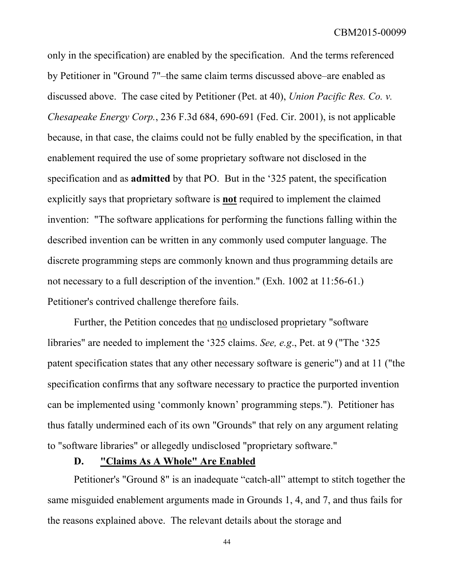only in the specification) are enabled by the specification. And the terms referenced by Petitioner in "Ground 7"–the same claim terms discussed above–are enabled as discussed above. The case cited by Petitioner (Pet. at 40), *Union Pacific Res. Co. v. Chesapeake Energy Corp.*, 236 F.3d 684, 690-691 (Fed. Cir. 2001), is not applicable because, in that case, the claims could not be fully enabled by the specification, in that enablement required the use of some proprietary software not disclosed in the specification and as **admitted** by that PO. But in the '325 patent, the specification explicitly says that proprietary software is **not** required to implement the claimed invention: "The software applications for performing the functions falling within the described invention can be written in any commonly used computer language. The discrete programming steps are commonly known and thus programming details are not necessary to a full description of the invention." (Exh. 1002 at 11:56-61.) Petitioner's contrived challenge therefore fails.

Further, the Petition concedes that no undisclosed proprietary "software libraries" are needed to implement the '325 claims. *See, e.g*., Pet. at 9 ("The '325 patent specification states that any other necessary software is generic") and at 11 ("the specification confirms that any software necessary to practice the purported invention can be implemented using 'commonly known' programming steps."). Petitioner has thus fatally undermined each of its own "Grounds" that rely on any argument relating to "software libraries" or allegedly undisclosed "proprietary software."

# **D. "Claims As A Whole" Are Enabled**

Petitioner's "Ground 8" is an inadequate "catch-all" attempt to stitch together the same misguided enablement arguments made in Grounds 1, 4, and 7, and thus fails for the reasons explained above. The relevant details about the storage and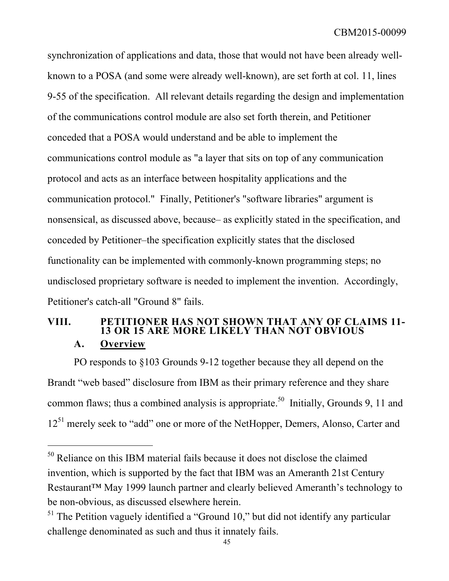synchronization of applications and data, those that would not have been already wellknown to a POSA (and some were already well-known), are set forth at col. 11, lines 9-55 of the specification. All relevant details regarding the design and implementation of the communications control module are also set forth therein, and Petitioner conceded that a POSA would understand and be able to implement the communications control module as "a layer that sits on top of any communication protocol and acts as an interface between hospitality applications and the communication protocol." Finally, Petitioner's "software libraries" argument is nonsensical, as discussed above, because– as explicitly stated in the specification, and conceded by Petitioner–the specification explicitly states that the disclosed functionality can be implemented with commonly-known programming steps; no undisclosed proprietary software is needed to implement the invention. Accordingly, Petitioner's catch-all "Ground 8" fails.

# **VIII. PETITIONER HAS NOT SHOWN THAT ANY OF CLAIMS 11- 13 OR 15 ARE MORE LIKELY THAN NOT OBVIOUS A. Overview**

PO responds to §103 Grounds 9-12 together because they all depend on the Brandt "web based" disclosure from IBM as their primary reference and they share common flaws; thus a combined analysis is appropriate.<sup>50</sup> Initially, Grounds 9, 11 and 12<sup>51</sup> merely seek to "add" one or more of the NetHopper, Demers, Alonso, Carter and

<sup>&</sup>lt;sup>50</sup> Reliance on this IBM material fails because it does not disclose the claimed invention, which is supported by the fact that IBM was an Ameranth 21st Century Restaurant™ May 1999 launch partner and clearly believed Ameranth's technology to be non-obvious, as discussed elsewhere herein.

 $<sup>51</sup>$  The Petition vaguely identified a "Ground 10," but did not identify any particular</sup> challenge denominated as such and thus it innately fails.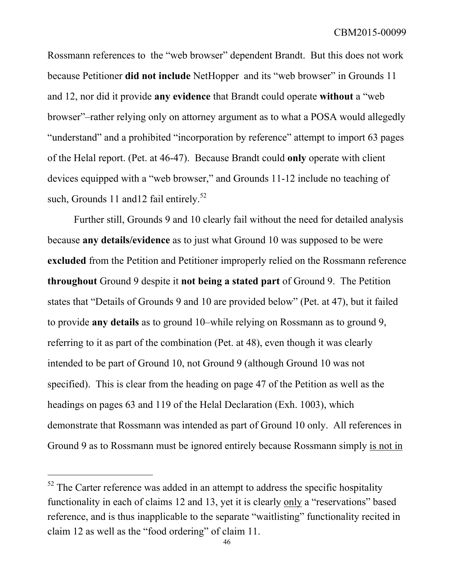Rossmann references to the "web browser" dependent Brandt. But this does not work because Petitioner **did not include** NetHopper and its "web browser" in Grounds 11 and 12, nor did it provide **any evidence** that Brandt could operate **without** a "web browser"–rather relying only on attorney argument as to what a POSA would allegedly "understand" and a prohibited "incorporation by reference" attempt to import 63 pages of the Helal report. (Pet. at 46-47). Because Brandt could **only** operate with client devices equipped with a "web browser," and Grounds 11-12 include no teaching of such, Grounds 11 and 12 fail entirely.<sup>52</sup>

Further still, Grounds 9 and 10 clearly fail without the need for detailed analysis because **any details/evidence** as to just what Ground 10 was supposed to be were **excluded** from the Petition and Petitioner improperly relied on the Rossmann reference **throughout** Ground 9 despite it **not being a stated part** of Ground 9. The Petition states that "Details of Grounds 9 and 10 are provided below" (Pet. at 47), but it failed to provide **any details** as to ground 10–while relying on Rossmann as to ground 9, referring to it as part of the combination (Pet. at 48), even though it was clearly intended to be part of Ground 10, not Ground 9 (although Ground 10 was not specified). This is clear from the heading on page 47 of the Petition as well as the headings on pages 63 and 119 of the Helal Declaration (Exh. 1003), which demonstrate that Rossmann was intended as part of Ground 10 only. All references in Ground 9 as to Rossmann must be ignored entirely because Rossmann simply is not in

 $52$  The Carter reference was added in an attempt to address the specific hospitality functionality in each of claims 12 and 13, yet it is clearly only a "reservations" based reference, and is thus inapplicable to the separate "waitlisting" functionality recited in claim 12 as well as the "food ordering" of claim 11.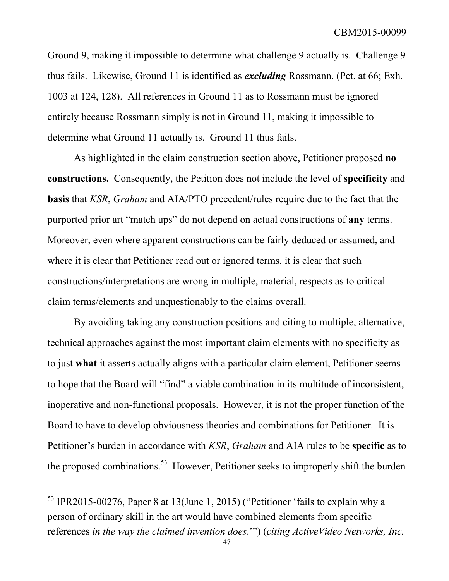Ground 9, making it impossible to determine what challenge 9 actually is. Challenge 9 thus fails. Likewise, Ground 11 is identified as *excluding* Rossmann. (Pet. at 66; Exh. 1003 at 124, 128). All references in Ground 11 as to Rossmann must be ignored entirely because Rossmann simply is not in Ground 11, making it impossible to determine what Ground 11 actually is. Ground 11 thus fails.

As highlighted in the claim construction section above, Petitioner proposed **no constructions.** Consequently, the Petition does not include the level of **specificity** and **basis** that *KSR*, *Graham* and AIA/PTO precedent/rules require due to the fact that the purported prior art "match ups" do not depend on actual constructions of **any** terms. Moreover, even where apparent constructions can be fairly deduced or assumed, and where it is clear that Petitioner read out or ignored terms, it is clear that such constructions/interpretations are wrong in multiple, material, respects as to critical claim terms/elements and unquestionably to the claims overall.

By avoiding taking any construction positions and citing to multiple, alternative, technical approaches against the most important claim elements with no specificity as to just **what** it asserts actually aligns with a particular claim element, Petitioner seems to hope that the Board will "find" a viable combination in its multitude of inconsistent, inoperative and non-functional proposals. However, it is not the proper function of the Board to have to develop obviousness theories and combinations for Petitioner. It is Petitioner's burden in accordance with *KSR*, *Graham* and AIA rules to be **specific** as to the proposed combinations.<sup>53</sup> However, Petitioner seeks to improperly shift the burden

<sup>53</sup> IPR2015-00276, Paper 8 at 13(June 1, 2015) ("Petitioner 'fails to explain why a person of ordinary skill in the art would have combined elements from specific references *in the way the claimed invention does*.'") (*citing ActiveVideo Networks, Inc.*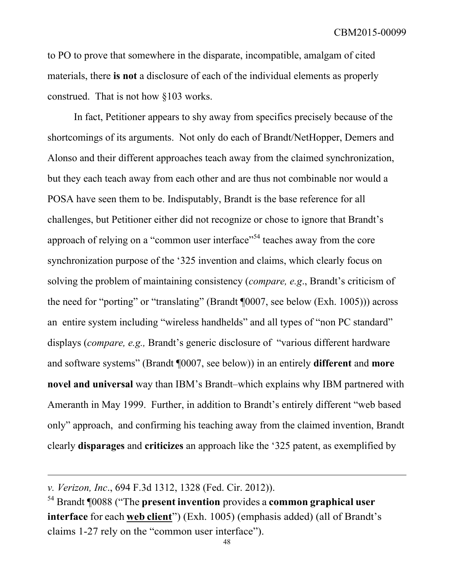to PO to prove that somewhere in the disparate, incompatible, amalgam of cited materials, there **is not** a disclosure of each of the individual elements as properly construed. That is not how §103 works.

In fact, Petitioner appears to shy away from specifics precisely because of the shortcomings of its arguments. Not only do each of Brandt/NetHopper, Demers and Alonso and their different approaches teach away from the claimed synchronization, but they each teach away from each other and are thus not combinable nor would a POSA have seen them to be. Indisputably, Brandt is the base reference for all challenges, but Petitioner either did not recognize or chose to ignore that Brandt's approach of relying on a "common user interface"<sup>54</sup> teaches away from the core synchronization purpose of the '325 invention and claims, which clearly focus on solving the problem of maintaining consistency (*compare, e.g*., Brandt's criticism of the need for "porting" or "translating" (Brandt ¶0007, see below (Exh. 1005))) across an entire system including "wireless handhelds" and all types of "non PC standard" displays (*compare, e.g.,* Brandt's generic disclosure of "various different hardware and software systems" (Brandt ¶0007, see below)) in an entirely **different** and **more novel and universal** way than IBM's Brandt–which explains why IBM partnered with Ameranth in May 1999. Further, in addition to Brandt's entirely different "web based only" approach, and confirming his teaching away from the claimed invention, Brandt clearly **disparages** and **criticizes** an approach like the '325 patent, as exemplified by

*v. Verizon, Inc*., 694 F.3d 1312, 1328 (Fed. Cir. 2012)).

<sup>54</sup> Brandt ¶0088 ("The **present invention** provides a **common graphical user interface** for each **web client**") (Exh. 1005) (emphasis added) (all of Brandt's claims 1-27 rely on the "common user interface").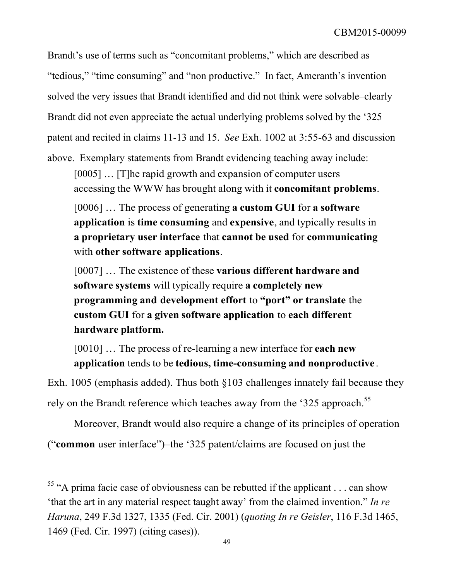Brandt's use of terms such as "concomitant problems," which are described as "tedious," "time consuming" and "non productive." In fact, Ameranth's invention solved the very issues that Brandt identified and did not think were solvable–clearly Brandt did not even appreciate the actual underlying problems solved by the '325 patent and recited in claims 11-13 and 15. *See* Exh. 1002 at 3:55-63 and discussion above. Exemplary statements from Brandt evidencing teaching away include:

[0005] ... [T]he rapid growth and expansion of computer users accessing the WWW has brought along with it **concomitant problems**.

[0006] … The process of generating **a custom GUI** for **a software application** is **time consuming** and **expensive**, and typically results in **a proprietary user interface** that **cannot be used** for **communicating** with **other software applications**.

[0007] … The existence of these **various different hardware and software systems** will typically require **a completely new programming and development effort** to **"port" or translate** the **custom GUI** for **a given software application** to **each different hardware platform.**

[0010] … The process of re-learning a new interface for **each new application** tends to be **tedious, time-consuming and nonproductive** .

Exh. 1005 (emphasis added). Thus both §103 challenges innately fail because they rely on the Brandt reference which teaches away from the '325 approach.<sup>55</sup>

Moreover, Brandt would also require a change of its principles of operation ("**common** user interface")–the '325 patent/claims are focused on just the

<sup>&</sup>lt;sup>55</sup> "A prima facie case of obviousness can be rebutted if the applicant . . . can show 'that the art in any material respect taught away' from the claimed invention." *In re Haruna*, 249 F.3d 1327, 1335 (Fed. Cir. 2001) (*quoting In re Geisler*, 116 F.3d 1465, 1469 (Fed. Cir. 1997) (citing cases)).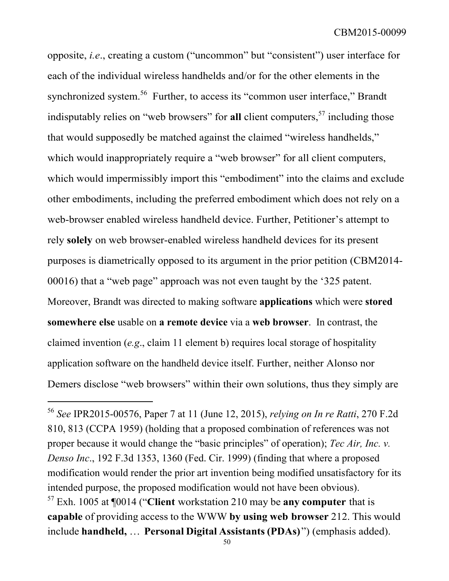opposite, *i.e*., creating a custom ("uncommon" but "consistent") user interface for each of the individual wireless handhelds and/or for the other elements in the synchronized system.<sup>56</sup> Further, to access its "common user interface," Brandt indisputably relies on "web browsers" for all client computers,<sup>57</sup> including those that would supposedly be matched against the claimed "wireless handhelds," which would inappropriately require a "web browser" for all client computers, which would impermissibly import this "embodiment" into the claims and exclude other embodiments, including the preferred embodiment which does not rely on a web-browser enabled wireless handheld device. Further, Petitioner's attempt to rely **solely** on web browser-enabled wireless handheld devices for its present purposes is diametrically opposed to its argument in the prior petition (CBM2014- 00016) that a "web page" approach was not even taught by the '325 patent. Moreover, Brandt was directed to making software **applications** which were **stored somewhere else** usable on **a remote device** via a **web browser**. In contrast, the claimed invention (*e.g*., claim 11 element b) requires local storage of hospitality application software on the handheld device itself. Further, neither Alonso nor Demers disclose "web browsers" within their own solutions, thus they simply are

<sup>56</sup> *See* IPR2015-00576, Paper 7 at 11 (June 12, 2015), *relying on In re Ratti*, 270 F.2d 810, 813 (CCPA 1959) (holding that a proposed combination of references was not proper because it would change the "basic principles" of operation); *Tec Air, Inc. v. Denso Inc*., 192 F.3d 1353, 1360 (Fed. Cir. 1999) (finding that where a proposed modification would render the prior art invention being modified unsatisfactory for its intended purpose, the proposed modification would not have been obvious). <sup>57</sup> Exh. 1005 at ¶0014 ("**Client** workstation 210 may be **any computer** that is **capable** of providing access to the WWW **by using web browser** 212. This would include **handheld,** … **Personal Digital Assistants (PDAs)**") (emphasis added).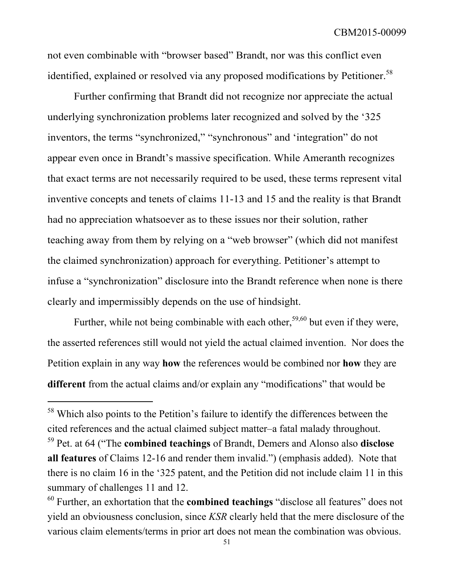not even combinable with "browser based" Brandt, nor was this conflict even identified, explained or resolved via any proposed modifications by Petitioner.<sup>58</sup>

Further confirming that Brandt did not recognize nor appreciate the actual underlying synchronization problems later recognized and solved by the '325 inventors, the terms "synchronized," "synchronous" and 'integration" do not appear even once in Brandt's massive specification. While Ameranth recognizes that exact terms are not necessarily required to be used, these terms represent vital inventive concepts and tenets of claims 11-13 and 15 and the reality is that Brandt had no appreciation whatsoever as to these issues nor their solution, rather teaching away from them by relying on a "web browser" (which did not manifest the claimed synchronization) approach for everything. Petitioner's attempt to infuse a "synchronization" disclosure into the Brandt reference when none is there clearly and impermissibly depends on the use of hindsight.

Further, while not being combinable with each other,<sup>59,60</sup> but even if they were, the asserted references still would not yield the actual claimed invention. Nor does the Petition explain in any way **how** the references would be combined nor **how** they are **different** from the actual claims and/or explain any "modifications" that would be

<sup>&</sup>lt;sup>58</sup> Which also points to the Petition's failure to identify the differences between the cited references and the actual claimed subject matter–a fatal malady throughout.

<sup>59</sup> Pet. at 64 ("The **combined teachings** of Brandt, Demers and Alonso also **disclose all features** of Claims 12-16 and render them invalid.") (emphasis added). Note that there is no claim 16 in the '325 patent, and the Petition did not include claim 11 in this summary of challenges 11 and 12.

<sup>60</sup> Further, an exhortation that the **combined teachings** "disclose all features" does not yield an obviousness conclusion, since *KSR* clearly held that the mere disclosure of the various claim elements/terms in prior art does not mean the combination was obvious.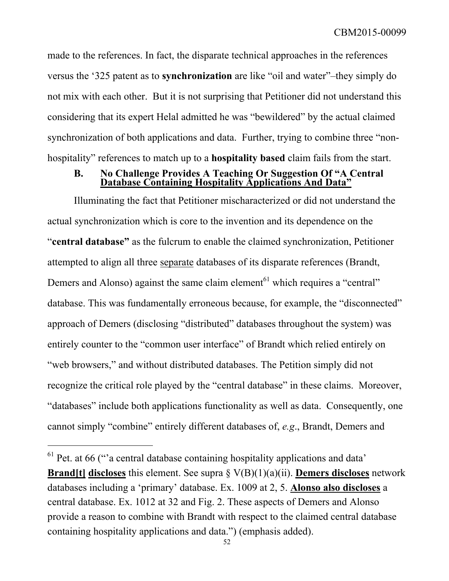made to the references. In fact, the disparate technical approaches in the references versus the '325 patent as to **synchronization** are like "oil and water"–they simply do not mix with each other. But it is not surprising that Petitioner did not understand this considering that its expert Helal admitted he was "bewildered" by the actual claimed synchronization of both applications and data. Further, trying to combine three "nonhospitality" references to match up to a **hospitality based** claim fails from the start.

### **B. No Challenge Provides A Teaching Or Suggestion Of "A Central Database Containing Hospitality Applications And Data"**

Illuminating the fact that Petitioner mischaracterized or did not understand the actual synchronization which is core to the invention and its dependence on the "**central database"** as the fulcrum to enable the claimed synchronization, Petitioner attempted to align all three separate databases of its disparate references (Brandt, Demers and Alonso) against the same claim element<sup>61</sup> which requires a "central" database. This was fundamentally erroneous because, for example, the "disconnected" approach of Demers (disclosing "distributed" databases throughout the system) was entirely counter to the "common user interface" of Brandt which relied entirely on "web browsers," and without distributed databases. The Petition simply did not recognize the critical role played by the "central database" in these claims. Moreover, "databases" include both applications functionality as well as data. Consequently, one cannot simply "combine" entirely different databases of, *e.g*., Brandt, Demers and

 $61$  Pet. at 66 ("a central database containing hospitality applications and data' **Brand[t] discloses** this element. See supra § V(B)(1)(a)(ii). **Demers discloses** network databases including a 'primary' database. Ex. 1009 at 2, 5. **Alonso also discloses** a central database. Ex. 1012 at 32 and Fig. 2. These aspects of Demers and Alonso provide a reason to combine with Brandt with respect to the claimed central database containing hospitality applications and data.") (emphasis added).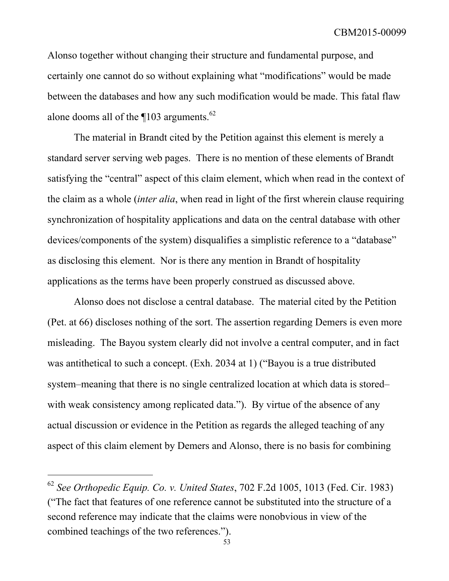Alonso together without changing their structure and fundamental purpose, and certainly one cannot do so without explaining what "modifications" would be made between the databases and how any such modification would be made. This fatal flaw alone dooms all of the  $\P$ 103 arguments.<sup>62</sup>

The material in Brandt cited by the Petition against this element is merely a standard server serving web pages. There is no mention of these elements of Brandt satisfying the "central" aspect of this claim element, which when read in the context of the claim as a whole (*inter alia*, when read in light of the first wherein clause requiring synchronization of hospitality applications and data on the central database with other devices/components of the system) disqualifies a simplistic reference to a "database" as disclosing this element. Nor is there any mention in Brandt of hospitality applications as the terms have been properly construed as discussed above.

Alonso does not disclose a central database. The material cited by the Petition (Pet. at 66) discloses nothing of the sort. The assertion regarding Demers is even more misleading. The Bayou system clearly did not involve a central computer, and in fact was antithetical to such a concept. (Exh. 2034 at 1) ("Bayou is a true distributed system–meaning that there is no single centralized location at which data is stored– with weak consistency among replicated data."). By virtue of the absence of any actual discussion or evidence in the Petition as regards the alleged teaching of any aspect of this claim element by Demers and Alonso, there is no basis for combining

<sup>62</sup> *See Orthopedic Equip. Co. v. United States*, 702 F.2d 1005, 1013 (Fed. Cir. 1983) ("The fact that features of one reference cannot be substituted into the structure of a second reference may indicate that the claims were nonobvious in view of the combined teachings of the two references.").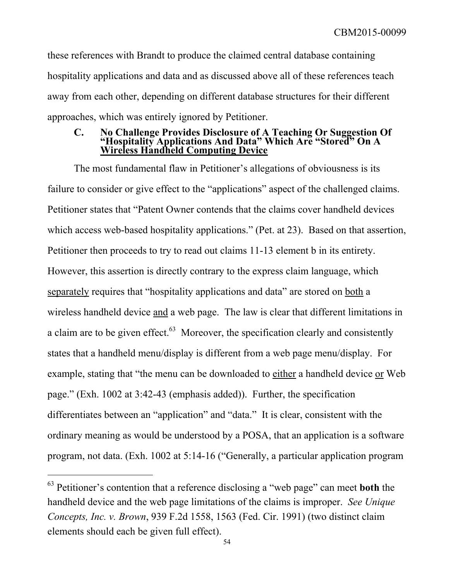these references with Brandt to produce the claimed central database containing hospitality applications and data and as discussed above all of these references teach away from each other, depending on different database structures for their different approaches, which was entirely ignored by Petitioner.

#### **C. No Challenge Provides Disclosure of A Teaching Or Suggestion Of "Hospitality Applications And Data" Which Are "Stored" On A Wireless Handheld Computing Device**

The most fundamental flaw in Petitioner's allegations of obviousness is its failure to consider or give effect to the "applications" aspect of the challenged claims. Petitioner states that "Patent Owner contends that the claims cover handheld devices which access web-based hospitality applications." (Pet. at 23). Based on that assertion, Petitioner then proceeds to try to read out claims 11-13 element b in its entirety. However, this assertion is directly contrary to the express claim language, which separately requires that "hospitality applications and data" are stored on both a wireless handheld device and a web page. The law is clear that different limitations in a claim are to be given effect. $63$  Moreover, the specification clearly and consistently states that a handheld menu/display is different from a web page menu/display. For example, stating that "the menu can be downloaded to either a handheld device or Web page." (Exh. 1002 at 3:42-43 (emphasis added)). Further, the specification differentiates between an "application" and "data." It is clear, consistent with the ordinary meaning as would be understood by a POSA, that an application is a software program, not data. (Exh. 1002 at 5:14-16 ("Generally, a particular application program

<sup>63</sup> Petitioner's contention that a reference disclosing a "web page" can meet **both** the handheld device and the web page limitations of the claims is improper. *See Unique Concepts, Inc. v. Brown*, 939 F.2d 1558, 1563 (Fed. Cir. 1991) (two distinct claim elements should each be given full effect).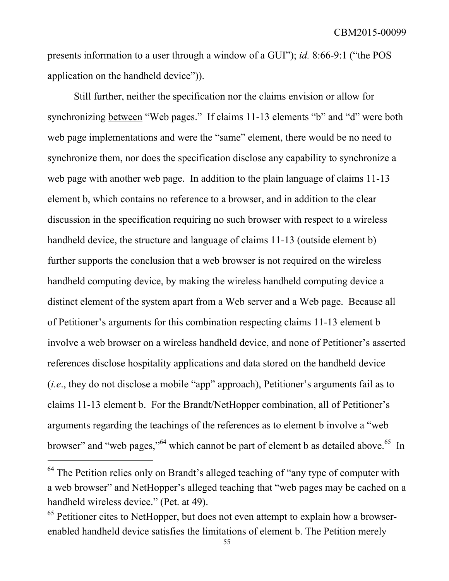presents information to a user through a window of a GUI"); *id.* 8:66-9:1 ("the POS application on the handheld device")).

Still further, neither the specification nor the claims envision or allow for synchronizing between "Web pages." If claims 11-13 elements "b" and "d" were both web page implementations and were the "same" element, there would be no need to synchronize them, nor does the specification disclose any capability to synchronize a web page with another web page. In addition to the plain language of claims 11-13 element b, which contains no reference to a browser, and in addition to the clear discussion in the specification requiring no such browser with respect to a wireless handheld device, the structure and language of claims 11-13 (outside element b) further supports the conclusion that a web browser is not required on the wireless handheld computing device, by making the wireless handheld computing device a distinct element of the system apart from a Web server and a Web page. Because all of Petitioner's arguments for this combination respecting claims 11-13 element b involve a web browser on a wireless handheld device, and none of Petitioner's asserted references disclose hospitality applications and data stored on the handheld device (*i.e*., they do not disclose a mobile "app" approach), Petitioner's arguments fail as to claims 11-13 element b. For the Brandt/NetHopper combination, all of Petitioner's arguments regarding the teachings of the references as to element b involve a "web browser" and "web pages,"<sup>64</sup> which cannot be part of element b as detailed above.<sup>65</sup> In

 $64$  The Petition relies only on Brandt's alleged teaching of "any type of computer with a web browser" and NetHopper's alleged teaching that "web pages may be cached on a handheld wireless device." (Pet. at 49).

 $65$  Petitioner cites to NetHopper, but does not even attempt to explain how a browserenabled handheld device satisfies the limitations of element b. The Petition merely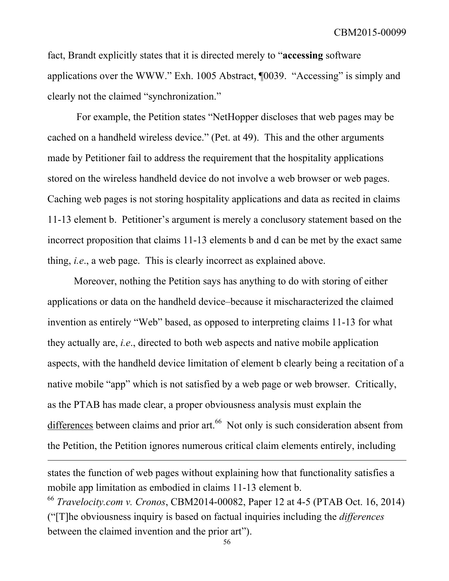CBM2015-00099

fact, Brandt explicitly states that it is directed merely to "**accessing** software applications over the WWW." Exh. 1005 Abstract, ¶0039. "Accessing" is simply and clearly not the claimed "synchronization."

For example, the Petition states "NetHopper discloses that web pages may be cached on a handheld wireless device." (Pet. at 49). This and the other arguments made by Petitioner fail to address the requirement that the hospitality applications stored on the wireless handheld device do not involve a web browser or web pages. Caching web pages is not storing hospitality applications and data as recited in claims 11-13 element b. Petitioner's argument is merely a conclusory statement based on the incorrect proposition that claims 11-13 elements b and d can be met by the exact same thing, *i.e*., a web page. This is clearly incorrect as explained above.

Moreover, nothing the Petition says has anything to do with storing of either applications or data on the handheld device–because it mischaracterized the claimed invention as entirely "Web" based, as opposed to interpreting claims 11-13 for what they actually are, *i.e*., directed to both web aspects and native mobile application aspects, with the handheld device limitation of element b clearly being a recitation of a native mobile "app" which is not satisfied by a web page or web browser. Critically, as the PTAB has made clear, a proper obviousness analysis must explain the differences between claims and prior art.<sup>66</sup> Not only is such consideration absent from the Petition, the Petition ignores numerous critical claim elements entirely, including

states the function of web pages without explaining how that functionality satisfies a mobile app limitation as embodied in claims 11-13 element b.

<sup>66</sup> *Travelocity.com v. Cronos*, CBM2014-00082, Paper 12 at 4-5 (PTAB Oct. 16, 2014) ("[T]he obviousness inquiry is based on factual inquiries including the *differences* between the claimed invention and the prior art").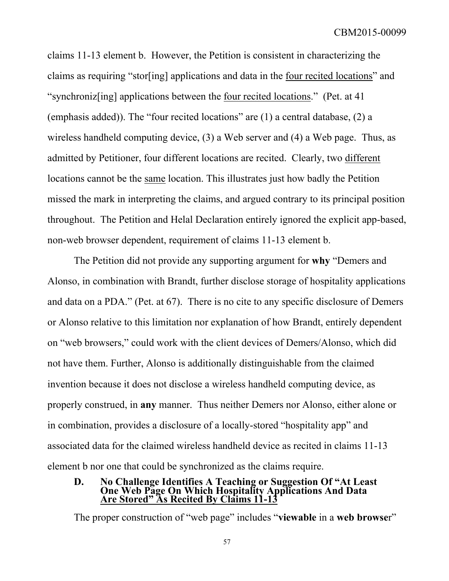claims 11-13 element b. However, the Petition is consistent in characterizing the claims as requiring "stor[ing] applications and data in the four recited locations" and "synchroniz[ing] applications between the four recited locations." (Pet. at 41 (emphasis added)). The "four recited locations" are (1) a central database, (2) a wireless handheld computing device, (3) a Web server and (4) a Web page. Thus, as admitted by Petitioner, four different locations are recited. Clearly, two different locations cannot be the same location. This illustrates just how badly the Petition missed the mark in interpreting the claims, and argued contrary to its principal position throughout. The Petition and Helal Declaration entirely ignored the explicit app-based, non-web browser dependent, requirement of claims 11-13 element b.

The Petition did not provide any supporting argument for **why** "Demers and Alonso, in combination with Brandt, further disclose storage of hospitality applications and data on a PDA." (Pet. at 67). There is no cite to any specific disclosure of Demers or Alonso relative to this limitation nor explanation of how Brandt, entirely dependent on "web browsers," could work with the client devices of Demers/Alonso, which did not have them. Further, Alonso is additionally distinguishable from the claimed invention because it does not disclose a wireless handheld computing device, as properly construed, in **any** manner. Thus neither Demers nor Alonso, either alone or in combination, provides a disclosure of a locally-stored "hospitality app" and associated data for the claimed wireless handheld device as recited in claims 11-13 element b nor one that could be synchronized as the claims require.

#### **D. No Challenge Identifies A Teaching or Suggestion Of "At Least One Web Page On Which Hospitality Applications And Data Are Stored" As Recited By Claims 11-13**

The proper construction of "web page" includes "**viewable** in a **web browse**r"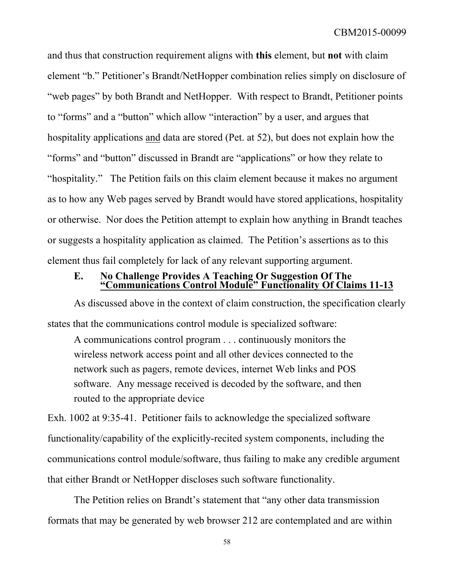CBM2015-00099

and thus that construction requirement aligns with **this** element, but **not** with claim element "b." Petitioner's Brandt/NetHopper combination relies simply on disclosure of "web pages" by both Brandt and NetHopper. With respect to Brandt, Petitioner points to "forms" and a "button" which allow "interaction" by a user, and argues that hospitality applications and data are stored (Pet. at 52), but does not explain how the "forms" and "button" discussed in Brandt are "applications" or how they relate to "hospitality." The Petition fails on this claim element because it makes no argument as to how any Web pages served by Brandt would have stored applications, hospitality or otherwise. Nor does the Petition attempt to explain how anything in Brandt teaches or suggests a hospitality application as claimed. The Petition's assertions as to this element thus fail completely for lack of any relevant supporting argument.

#### **E. No Challenge Provides A Teaching Or Suggestion Of The "Communications Control Module" Functionality Of Claims 11-13**

As discussed above in the context of claim construction, the specification clearly states that the communications control module is specialized software: A communications control program . . . continuously monitors the wireless network access point and all other devices connected to the network such as pagers, remote devices, internet Web links and POS

software. Any message received is decoded by the software, and then routed to the appropriate device

Exh. 1002 at 9:35-41. Petitioner fails to acknowledge the specialized software functionality/capability of the explicitly-recited system components, including the communications control module/software, thus failing to make any credible argument that either Brandt or NetHopper discloses such software functionality.

The Petition relies on Brandt's statement that "any other data transmission formats that may be generated by web browser 212 are contemplated and are within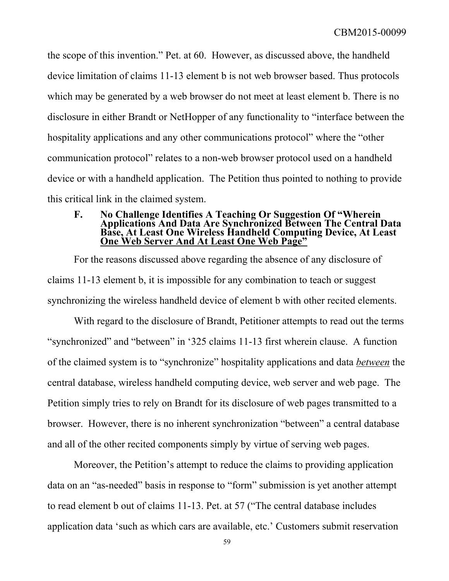the scope of this invention." Pet. at 60. However, as discussed above, the handheld device limitation of claims 11-13 element b is not web browser based. Thus protocols which may be generated by a web browser do not meet at least element b. There is no disclosure in either Brandt or NetHopper of any functionality to "interface between the hospitality applications and any other communications protocol" where the "other communication protocol" relates to a non-web browser protocol used on a handheld device or with a handheld application. The Petition thus pointed to nothing to provide this critical link in the claimed system.

#### **F. No Challenge Identifies A Teaching Or Suggestion Of "Wherein Applications And Data Are Synchronized Between The Central Data Base, At Least One Wireless Handheld Computing Device, At Least One Web Server And At Least One Web Page"**

For the reasons discussed above regarding the absence of any disclosure of claims 11-13 element b, it is impossible for any combination to teach or suggest synchronizing the wireless handheld device of element b with other recited elements.

With regard to the disclosure of Brandt, Petitioner attempts to read out the terms "synchronized" and "between" in '325 claims 11-13 first wherein clause. A function of the claimed system is to "synchronize" hospitality applications and data *between* the central database, wireless handheld computing device, web server and web page. The Petition simply tries to rely on Brandt for its disclosure of web pages transmitted to a browser. However, there is no inherent synchronization "between" a central database and all of the other recited components simply by virtue of serving web pages.

Moreover, the Petition's attempt to reduce the claims to providing application data on an "as-needed" basis in response to "form" submission is yet another attempt to read element b out of claims 11-13. Pet. at 57 ("The central database includes application data 'such as which cars are available, etc.' Customers submit reservation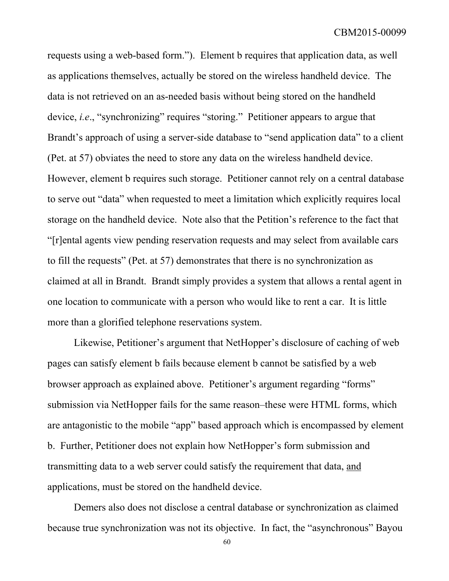requests using a web-based form."). Element b requires that application data, as well as applications themselves, actually be stored on the wireless handheld device. The data is not retrieved on an as-needed basis without being stored on the handheld device, *i.e*., "synchronizing" requires "storing." Petitioner appears to argue that Brandt's approach of using a server-side database to "send application data" to a client (Pet. at 57) obviates the need to store any data on the wireless handheld device. However, element b requires such storage. Petitioner cannot rely on a central database to serve out "data" when requested to meet a limitation which explicitly requires local storage on the handheld device. Note also that the Petition's reference to the fact that "[r]ental agents view pending reservation requests and may select from available cars to fill the requests" (Pet. at 57) demonstrates that there is no synchronization as claimed at all in Brandt. Brandt simply provides a system that allows a rental agent in one location to communicate with a person who would like to rent a car. It is little more than a glorified telephone reservations system.

Likewise, Petitioner's argument that NetHopper's disclosure of caching of web pages can satisfy element b fails because element b cannot be satisfied by a web browser approach as explained above. Petitioner's argument regarding "forms" submission via NetHopper fails for the same reason–these were HTML forms, which are antagonistic to the mobile "app" based approach which is encompassed by element b. Further, Petitioner does not explain how NetHopper's form submission and transmitting data to a web server could satisfy the requirement that data, and applications, must be stored on the handheld device.

Demers also does not disclose a central database or synchronization as claimed because true synchronization was not its objective. In fact, the "asynchronous" Bayou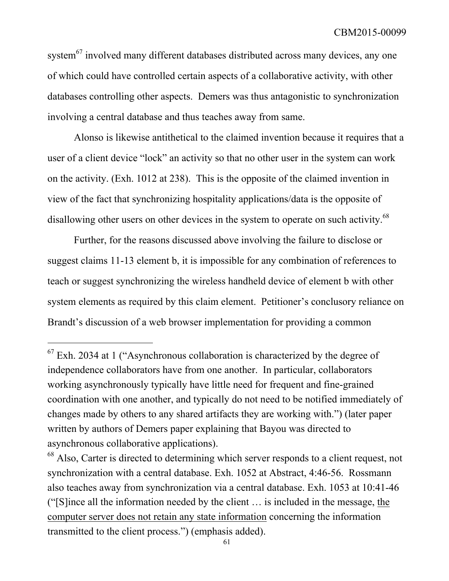system<sup>67</sup> involved many different databases distributed across many devices, any one of which could have controlled certain aspects of a collaborative activity, with other databases controlling other aspects. Demers was thus antagonistic to synchronization involving a central database and thus teaches away from same.

Alonso is likewise antithetical to the claimed invention because it requires that a user of a client device "lock" an activity so that no other user in the system can work on the activity. (Exh. 1012 at 238). This is the opposite of the claimed invention in view of the fact that synchronizing hospitality applications/data is the opposite of disallowing other users on other devices in the system to operate on such activity.<sup>68</sup>

Further, for the reasons discussed above involving the failure to disclose or suggest claims 11-13 element b, it is impossible for any combination of references to teach or suggest synchronizing the wireless handheld device of element b with other system elements as required by this claim element. Petitioner's conclusory reliance on Brandt's discussion of a web browser implementation for providing a common

 $67$  Exh. 2034 at 1 ("Asynchronous collaboration is characterized by the degree of independence collaborators have from one another. In particular, collaborators working asynchronously typically have little need for frequent and fine-grained coordination with one another, and typically do not need to be notified immediately of changes made by others to any shared artifacts they are working with.") (later paper written by authors of Demers paper explaining that Bayou was directed to asynchronous collaborative applications).

<sup>&</sup>lt;sup>68</sup> Also, Carter is directed to determining which server responds to a client request, not synchronization with a central database. Exh. 1052 at Abstract, 4:46-56. Rossmann also teaches away from synchronization via a central database. Exh. 1053 at 10:41-46 ("[S]ince all the information needed by the client … is included in the message, the computer server does not retain any state information concerning the information transmitted to the client process.") (emphasis added).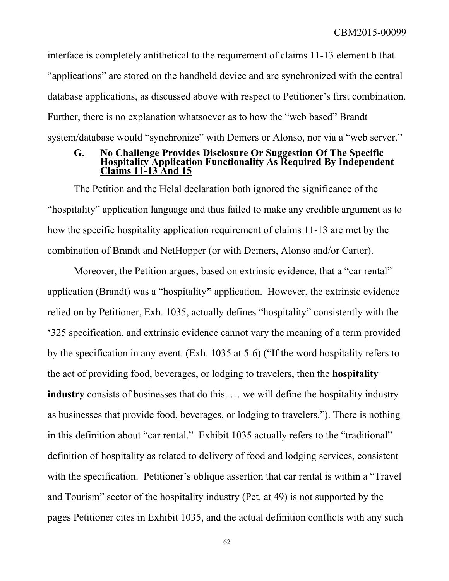interface is completely antithetical to the requirement of claims 11-13 element b that "applications" are stored on the handheld device and are synchronized with the central database applications, as discussed above with respect to Petitioner's first combination. Further, there is no explanation whatsoever as to how the "web based" Brandt system/database would "synchronize" with Demers or Alonso, nor via a "web server."

#### **G. No Challenge Provides Disclosure Or Suggestion Of The Specific Hospitality Application Functionality As Required By Independent Claims 11-13 And 15**

The Petition and the Helal declaration both ignored the significance of the "hospitality" application language and thus failed to make any credible argument as to how the specific hospitality application requirement of claims 11-13 are met by the combination of Brandt and NetHopper (or with Demers, Alonso and/or Carter).

Moreover, the Petition argues, based on extrinsic evidence, that a "car rental" application (Brandt) was a "hospitality**"** application. However, the extrinsic evidence relied on by Petitioner, Exh. 1035, actually defines "hospitality" consistently with the '325 specification, and extrinsic evidence cannot vary the meaning of a term provided by the specification in any event. (Exh. 1035 at 5-6) ("If the word hospitality refers to the act of providing food, beverages, or lodging to travelers, then the **hospitality industry** consists of businesses that do this. ... we will define the hospitality industry as businesses that provide food, beverages, or lodging to travelers."). There is nothing in this definition about "car rental." Exhibit 1035 actually refers to the "traditional" definition of hospitality as related to delivery of food and lodging services, consistent with the specification. Petitioner's oblique assertion that car rental is within a "Travel" and Tourism" sector of the hospitality industry (Pet. at 49) is not supported by the pages Petitioner cites in Exhibit 1035, and the actual definition conflicts with any such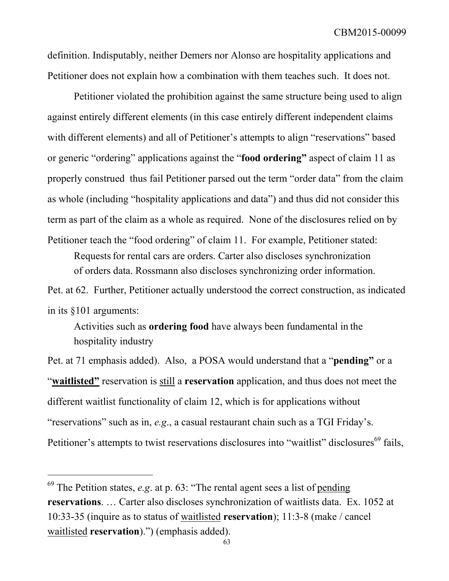definition. Indisputably, neither Demers nor Alonso are hospitality applications and Petitioner does not explain how a combination with them teaches such. It does not.

Petitioner violated the prohibition against the same structure being used to align against entirely different elements (in this case entirely different independent claims with different elements) and all of Petitioner's attempts to align "reservations" based or generic "ordering" applications against the "**food ordering"** aspect of claim 11 as properly construed thus fail Petitioner parsed out the term "order data" from the claim as whole (including "hospitality applications and data") and thus did not consider this term as part of the claim as a whole as required. None of the disclosures relied on by Petitioner teach the "food ordering" of claim 11. For example, Petitioner stated:

Requests for rental cars are orders. Carter also discloses synchronization of orders data. Rossmann also discloses synchronizing order information.

Pet. at 62. Further, Petitioner actually understood the correct construction, as indicated in its §101 arguments:

Activities such as **ordering food** have always been fundamental in the hospitality industry

Pet. at 71 emphasis added). Also, a POSA would understand that a "**pending"** or a "**waitlisted"** reservation is still a **reservation** application, and thus does not meet the different waitlist functionality of claim 12, which is for applications without "reservations" such as in, *e.g*., a casual restaurant chain such as a TGI Friday's. Petitioner's attempts to twist reservations disclosures into "waitlist" disclosures<sup>69</sup> fails,

 $69$  The Petition states,  $e.g.$  at p.  $63$ : "The rental agent sees a list of pending **reservations**. … Carter also discloses synchronization of waitlists data. Ex. 1052 at 10:33-35 (inquire as to status of waitlisted **reservation**); 11:3-8 (make / cancel waitlisted **reservation**).") (emphasis added).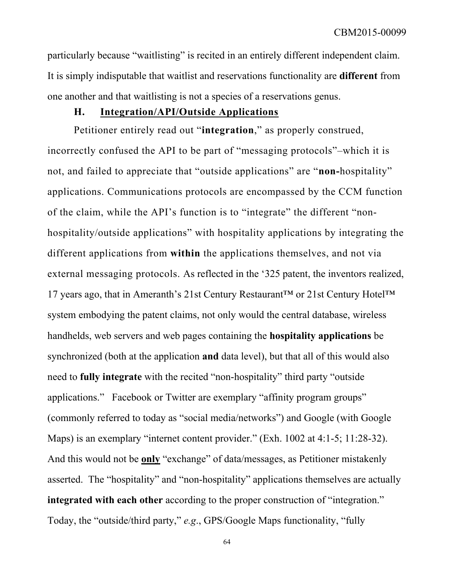particularly because "waitlisting" is recited in an entirely different independent claim. It is simply indisputable that waitlist and reservations functionality are **different** from one another and that waitlisting is not a species of a reservations genus.

## **H. Integration/API/Outside Applications**

Petitioner entirely read out "**integration**," as properly construed, incorrectly confused the API to be part of "messaging protocols"–which it is not, and failed to appreciate that "outside applications" are "**non-**hospitality" applications. Communications protocols are encompassed by the CCM function of the claim, while the API's function is to "integrate" the different "nonhospitality/outside applications" with hospitality applications by integrating the different applications from **within** the applications themselves, and not via external messaging protocols. As reflected in the '325 patent, the inventors realized, 17 years ago, that in Ameranth's 21st Century Restaurant™ or 21st Century Hotel™ system embodying the patent claims, not only would the central database, wireless handhelds, web servers and web pages containing the **hospitality applications** be synchronized (both at the application **and** data level), but that all of this would also need to **fully integrate** with the recited "non-hospitality" third party "outside applications." Facebook or Twitter are exemplary "affinity program groups" (commonly referred to today as "social media/networks") and Google (with Google Maps) is an exemplary "internet content provider." (Exh. 1002 at 4:1-5; 11:28-32). And this would not be **only** "exchange" of data/messages, as Petitioner mistakenly asserted. The "hospitality" and "non-hospitality" applications themselves are actually **integrated with each other** according to the proper construction of "integration." Today, the "outside/third party," *e.g*., GPS/Google Maps functionality, "fully

64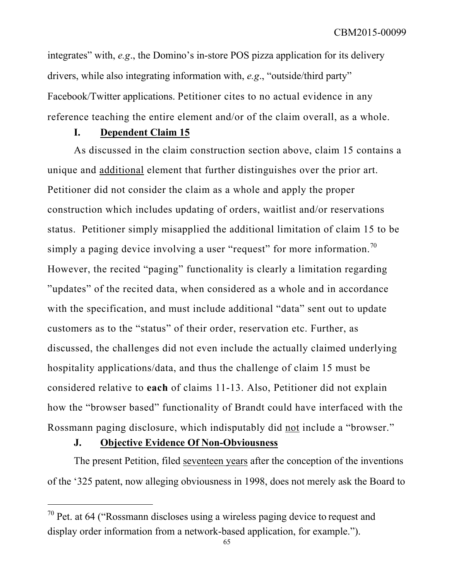integrates" with, *e.g*., the Domino's in-store POS pizza application for its delivery drivers, while also integrating information with, *e.g*., "outside/third party" Facebook/Twitter applications. Petitioner cites to no actual evidence in any reference teaching the entire element and/or of the claim overall, as a whole.

## **I. Dependent Claim 15**

As discussed in the claim construction section above, claim 15 contains a unique and additional element that further distinguishes over the prior art. Petitioner did not consider the claim as a whole and apply the proper construction which includes updating of orders, waitlist and/or reservations status. Petitioner simply misapplied the additional limitation of claim 15 to be simply a paging device involving a user "request" for more information.<sup>70</sup> However, the recited "paging" functionality is clearly a limitation regarding "updates" of the recited data, when considered as a whole and in accordance with the specification, and must include additional "data" sent out to update customers as to the "status" of their order, reservation etc. Further, as discussed, the challenges did not even include the actually claimed underlying hospitality applications/data, and thus the challenge of claim 15 must be considered relative to **each** of claims 11-13. Also, Petitioner did not explain how the "browser based" functionality of Brandt could have interfaced with the Rossmann paging disclosure, which indisputably did not include a "browser."

### **J. Objective Evidence Of Non-Obviousness**

The present Petition, filed seventeen years after the conception of the inventions of the '325 patent, now alleging obviousness in 1998, does not merely ask the Board to

<sup>70</sup> Pet. at 64 ("Rossmann discloses using a wireless paging device to request and display order information from a network-based application, for example.").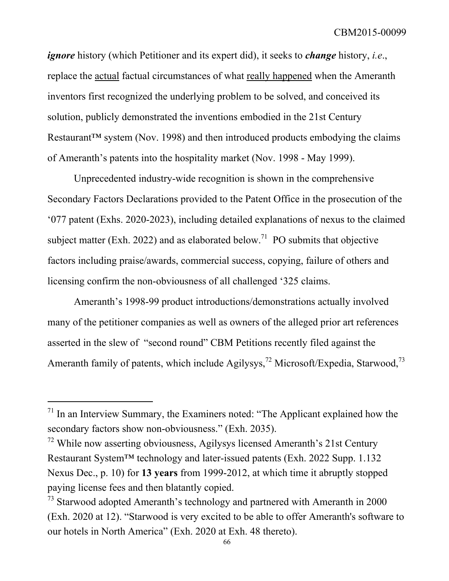*ignore* history (which Petitioner and its expert did), it seeks to *change* history, *i.e*., replace the actual factual circumstances of what really happened when the Ameranth inventors first recognized the underlying problem to be solved, and conceived its solution, publicly demonstrated the inventions embodied in the 21st Century Restaurant™ system (Nov. 1998) and then introduced products embodying the claims of Ameranth's patents into the hospitality market (Nov. 1998 - May 1999).

Unprecedented industry-wide recognition is shown in the comprehensive Secondary Factors Declarations provided to the Patent Office in the prosecution of the '077 patent (Exhs. 2020-2023), including detailed explanations of nexus to the claimed subject matter (Exh. 2022) and as elaborated below.<sup>71</sup> PO submits that objective factors including praise/awards, commercial success, copying, failure of others and licensing confirm the non-obviousness of all challenged '325 claims.

Ameranth's 1998-99 product introductions/demonstrations actually involved many of the petitioner companies as well as owners of the alleged prior art references asserted in the slew of "second round" CBM Petitions recently filed against the Ameranth family of patents, which include Agilysys,<sup>72</sup> Microsoft/Expedia, Starwood,<sup>73</sup>

 $71$  In an Interview Summary, the Examiners noted: "The Applicant explained how the secondary factors show non-obviousness." (Exh. 2035).

 $72$  While now asserting obviousness, Agilysys licensed Ameranth's 21st Century Restaurant System™ technology and later-issued patents (Exh. 2022 Supp. 1.132 Nexus Dec., p. 10) for **13 years** from 1999-2012, at which time it abruptly stopped paying license fees and then blatantly copied.

 $73$  Starwood adopted Ameranth's technology and partnered with Ameranth in 2000 (Exh. 2020 at 12). "Starwood is very excited to be able to offer Ameranth's software to our hotels in North America" (Exh. 2020 at Exh. 48 thereto).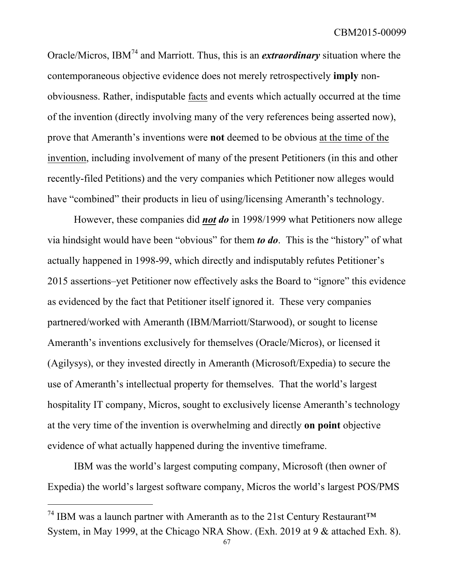Oracle/Micros, IBM<sup>74</sup> and Marriott. Thus, this is an *extraordinary* situation where the contemporaneous objective evidence does not merely retrospectively **imply** nonobviousness. Rather, indisputable facts and events which actually occurred at the time of the invention (directly involving many of the very references being asserted now), prove that Ameranth's inventions were **not** deemed to be obvious at the time of the invention, including involvement of many of the present Petitioners (in this and other recently-filed Petitions) and the very companies which Petitioner now alleges would have "combined" their products in lieu of using/licensing Ameranth's technology.

However, these companies did *not do* in 1998/1999 what Petitioners now allege via hindsight would have been "obvious" for them *to do*. This is the "history" of what actually happened in 1998-99, which directly and indisputably refutes Petitioner's 2015 assertions–yet Petitioner now effectively asks the Board to "ignore" this evidence as evidenced by the fact that Petitioner itself ignored it. These very companies partnered/worked with Ameranth (IBM/Marriott/Starwood), or sought to license Ameranth's inventions exclusively for themselves (Oracle/Micros), or licensed it (Agilysys), or they invested directly in Ameranth (Microsoft/Expedia) to secure the use of Ameranth's intellectual property for themselves. That the world's largest hospitality IT company, Micros, sought to exclusively license Ameranth's technology at the very time of the invention is overwhelming and directly **on point** objective evidence of what actually happened during the inventive timeframe.

IBM was the world's largest computing company, Microsoft (then owner of Expedia) the world's largest software company, Micros the world's largest POS/PMS

<sup>74</sup> IBM was a launch partner with Ameranth as to the 21st Century Restaurant™ System, in May 1999, at the Chicago NRA Show. (Exh. 2019 at 9 & attached Exh. 8).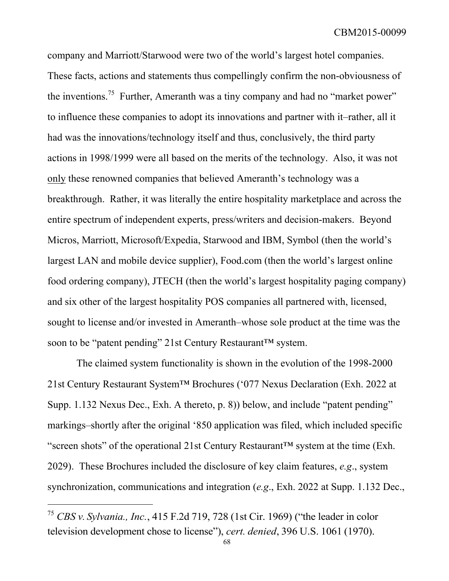CBM2015-00099

company and Marriott/Starwood were two of the world's largest hotel companies. These facts, actions and statements thus compellingly confirm the non-obviousness of the inventions.<sup>75</sup> Further, Ameranth was a tiny company and had no "market power" to influence these companies to adopt its innovations and partner with it–rather, all it had was the innovations/technology itself and thus, conclusively, the third party actions in 1998/1999 were all based on the merits of the technology. Also, it was not only these renowned companies that believed Ameranth's technology was a breakthrough. Rather, it was literally the entire hospitality marketplace and across the entire spectrum of independent experts, press/writers and decision-makers. Beyond Micros, Marriott, Microsoft/Expedia, Starwood and IBM, Symbol (then the world's largest LAN and mobile device supplier), Food.com (then the world's largest online food ordering company), JTECH (then the world's largest hospitality paging company) and six other of the largest hospitality POS companies all partnered with, licensed, sought to license and/or invested in Ameranth–whose sole product at the time was the soon to be "patent pending" 21st Century Restaurant<sup>™</sup> system.

The claimed system functionality is shown in the evolution of the 1998-2000 21st Century Restaurant System™ Brochures ('077 Nexus Declaration (Exh. 2022 at Supp. 1.132 Nexus Dec., Exh. A thereto, p. 8)) below, and include "patent pending" markings–shortly after the original '850 application was filed, which included specific "screen shots" of the operational 21st Century Restaurant™ system at the time (Exh. 2029). These Brochures included the disclosure of key claim features, *e.g*., system synchronization, communications and integration (*e.g*., Exh. 2022 at Supp. 1.132 Dec.,

<sup>75</sup> *CBS v. Sylvania., Inc.*, 415 F.2d 719, 728 (1st Cir. 1969) ("the leader in color television development chose to license"), *cert. denied*, 396 U.S. 1061 (1970).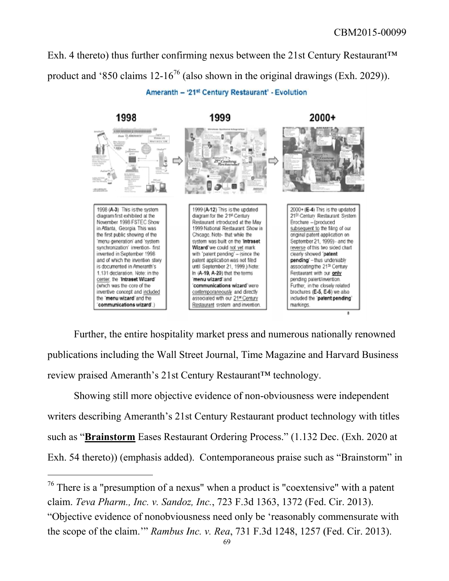Exh. 4 thereto) Exh. 4 thereto) thus further confirming nexus between the 21st Century Restaurant<sup>1</sup> product and '850 claims  $12{\text -}16^{76}$  (also shown in the original drawings (Exh. 2029)).



publications including the Wall Street Journal, Time Magazine and Harvard Business Further, Further, the entire hospitality market press and numerous nationally renowned

review praised Ameranth's 21st Century Restaurant™ technology.<br>Showing still more objective evidence of non-obviousness v review praised Ameranth's 21st Century Restaurant<sup>TM</sup><br>Showing still more objective evidence of non-ob<br>writers describing Ameranth's 21st Century Restaurant such as "**Brainstorm** Eases Restaurant Ordering Process." (1.132 Dec. (Exh. publications including the Wall Street Journal, Time Magazine and Harvard Business<br>review praised Ameranth's 21st Century Restaurant™ technology.<br>Showing still more objective evidence of non-obviousness were independent<br>w The praised Ameranth's 21st Century Restaurant<sup>™</sup> technology.<br>Showing still more objective evidence of non-obviousness were independent The Wall Street Journal, Time Magazine and Harvard B<br>The <sup>s</sup> 21st Century Restaurant™ technology.<br>The objective evidence of non-obviousness were indepenteranth's 21st Century Restaurant product technology wi<br>Eases Restaur hospitality market press and numerous nationally renowned<br>e Wall Street Journal, Time Magazine and Harvard Business<br>'s 21st Century Restaurant<sup>TM</sup> technology.<br>e objective evidence of non-obviousness were independent<br>unth's pitality market press and numerous nationally renow<br>
Vall Street Journal, Time Magazine and Harvard Busi<br>
21st Century Restaurant<sup>TM</sup> technology.<br>
jective evidence of non-obviousness were independe<br>
's 21st Century Restaur anth's 21st Century Restaurant<sup>TM</sup> technology.<br>nore objective evidence of non-obviousness were independent<br>neranth's 21st Century Restaurant product technology with tit<br>1. Eases Restaurant Ordering Process." (1.132 Dec. ( product technology with titles is including the Wall Street Journal, Time Magazine and Harvard Business<br>sed Ameranth's 21st Century Restaurant<sup>TM</sup> technology.<br>ving still more objective evidence of non-obviousness were independent<br>ribing Ameranth's 21st ed<br>tss<br>t<br>at

 $76$  There is a "presumption of a nexus" when a product is "coextensive" with a patent claim. *Teva Pharm., Inc. v. Sandoz, Inc.* , 723 F.3d 1363, 1372 (Fed. Cir. 2013). "Objective evidence of nonobviousness need only be 'reasonably commensurate with the scope of the claim.'" *Rambus Inc. v. Rea*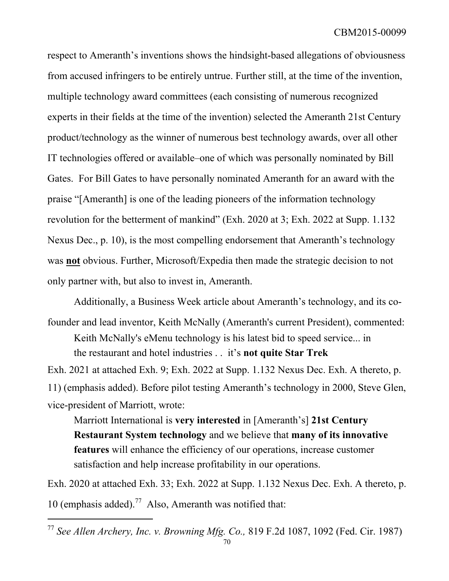respect to Ameranth's inventions shows the hindsight-based allegations of obviousness from accused infringers to be entirely untrue. Further still, at the time of the invention, multiple technology award committees (each consisting of numerous recognized experts in their fields at the time of the invention) selected the Ameranth 21st Century product/technology as the winner of numerous best technology awards, over all other IT technologies offered or available–one of which was personally nominated by Bill Gates. For Bill Gates to have personally nominated Ameranth for an award with the praise "[Ameranth] is one of the leading pioneers of the information technology revolution for the betterment of mankind" (Exh. 2020 at 3; Exh. 2022 at Supp. 1.132 Nexus Dec., p. 10), is the most compelling endorsement that Ameranth's technology was **not** obvious. Further, Microsoft/Expedia then made the strategic decision to not only partner with, but also to invest in, Ameranth.

Additionally, a Business Week article about Ameranth's technology, and its cofounder and lead inventor, Keith McNally (Ameranth's current President), commented: Keith McNally's eMenu technology is his latest bid to speed service... in the restaurant and hotel industries . . it's **not quite Star Trek**

Exh. 2021 at attached Exh. 9; Exh. 2022 at Supp. 1.132 Nexus Dec. Exh. A thereto, p. 11) (emphasis added). Before pilot testing Ameranth's technology in 2000, Steve Glen, vice-president of Marriott, wrote:

Marriott International is **very interested** in [Ameranth's] **21st Century Restaurant System technology** and we believe that **many of its innovative features** will enhance the efficiency of our operations, increase customer satisfaction and help increase profitability in our operations.

Exh. 2020 at attached Exh. 33; Exh. 2022 at Supp. 1.132 Nexus Dec. Exh. A thereto, p. 10 (emphasis added).<sup>77</sup> Also, Ameranth was notified that:

<sup>77</sup> *See Allen Archery, Inc. v. Browning Mfg. Co.,* 819 F.2d 1087, 1092 (Fed. Cir. 1987)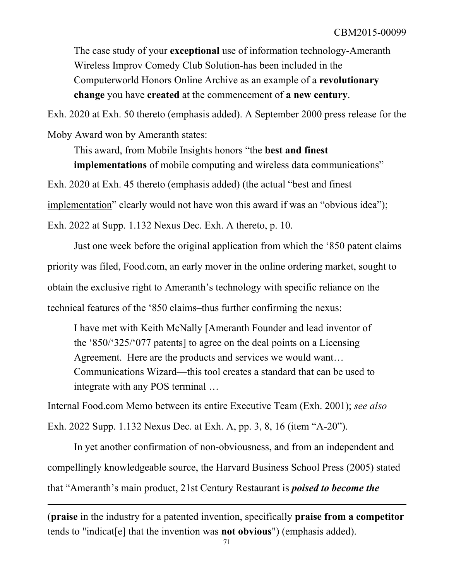The case study of your **exceptional** use of information technology-Ameranth Wireless Improv Comedy Club Solution-has been included in the Computerworld Honors Online Archive as an example of a **revolutionary change** you have **created** at the commencement of **a new century**.

Exh. 2020 at Exh. 50 thereto (emphasis added). A September 2000 press release for the

Moby Award won by Ameranth states:

This award, from Mobile Insights honors "the **best and finest implementations** of mobile computing and wireless data communications"

Exh. 2020 at Exh. 45 thereto (emphasis added) (the actual "best and finest

implementation" clearly would not have won this award if was an "obvious idea");

Exh. 2022 at Supp. 1.132 Nexus Dec. Exh. A thereto, p. 10.

Just one week before the original application from which the '850 patent claims priority was filed, Food.com, an early mover in the online ordering market, sought to obtain the exclusive right to Ameranth's technology with specific reliance on the technical features of the '850 claims–thus further confirming the nexus:

I have met with Keith McNally [Ameranth Founder and lead inventor of the '850/'325/'077 patents] to agree on the deal points on a Licensing Agreement. Here are the products and services we would want… Communications Wizard—this tool creates a standard that can be used to integrate with any POS terminal …

Internal Food.com Memo between its entire Executive Team (Exh. 2001); *see also*

Exh. 2022 Supp. 1.132 Nexus Dec. at Exh. A, pp. 3, 8, 16 (item "A-20").

In yet another confirmation of non-obviousness, and from an independent and compellingly knowledgeable source, the Harvard Business School Press (2005) stated that "Ameranth's main product, 21st Century Restaurant is *poised to become the*

(**praise** in the industry for a patented invention, specifically **praise from a competitor** tends to "indicat[e] that the invention was **not obvious**") (emphasis added).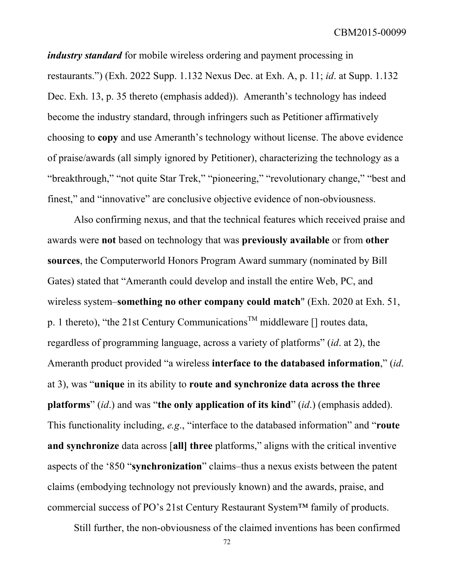*industry standard* for mobile wireless ordering and payment processing in restaurants.") (Exh. 2022 Supp. 1.132 Nexus Dec. at Exh. A, p. 11; *id*. at Supp. 1.132 Dec. Exh. 13, p. 35 thereto (emphasis added)). Ameranth's technology has indeed become the industry standard, through infringers such as Petitioner affirmatively choosing to **copy** and use Ameranth's technology without license. The above evidence of praise/awards (all simply ignored by Petitioner), characterizing the technology as a "breakthrough," "not quite Star Trek," "pioneering," "revolutionary change," "best and finest," and "innovative" are conclusive objective evidence of non-obviousness.

Also confirming nexus, and that the technical features which received praise and awards were **not** based on technology that was **previously available** or from **other sources**, the Computerworld Honors Program Award summary (nominated by Bill Gates) stated that "Ameranth could develop and install the entire Web, PC, and wireless system–**something no other company could match**" (Exh. 2020 at Exh. 51, p. 1 thereto), "the 21st Century Communications<sup>TM</sup> middleware  $\lceil \rceil$  routes data, regardless of programming language, across a variety of platforms" (*id*. at 2), the Ameranth product provided "a wireless **interface to the databased information**," (*id*. at 3), was "**unique** in its ability to **route and synchronize data across the three platforms**" (*id*.) and was "**the only application of its kind**" (*id*.) (emphasis added). This functionality including, *e.g*., "interface to the databased information" and "**route and synchronize** data across [**all] three** platforms," aligns with the critical inventive aspects of the '850 "**synchronization**" claims–thus a nexus exists between the patent claims (embodying technology not previously known) and the awards, praise, and commercial success of PO's 21st Century Restaurant System™ family of products.

Still further, the non-obviousness of the claimed inventions has been confirmed

72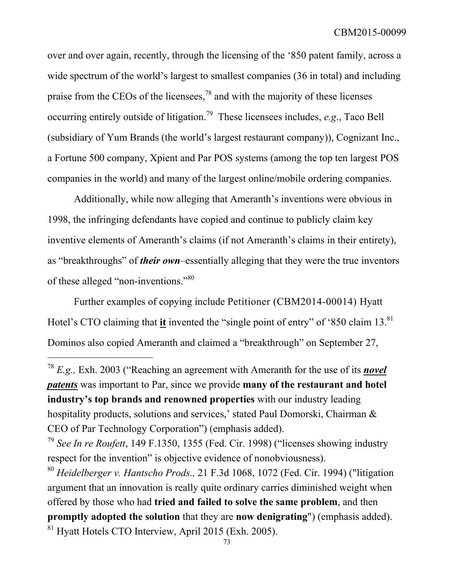CBM2015-00099

over and over again, recently, through the licensing of the '850 patent family, across a wide spectrum of the world's largest to smallest companies (36 in total) and including praise from the CEOs of the licensees,  $^{78}$  and with the majority of these licenses occurring entirely outside of litigation.<sup>79</sup> These licensees includes, *e.g*., Taco Bell (subsidiary of Yum Brands (the world's largest restaurant company)), Cognizant Inc., a Fortune 500 company, Xpient and Par POS systems (among the top ten largest POS companies in the world) and many of the largest online/mobile ordering companies.

Additionally, while now alleging that Ameranth's inventions were obvious in 1998, the infringing defendants have copied and continue to publicly claim key inventive elements of Ameranth's claims (if not Ameranth's claims in their entirety), as "breakthroughs" of *their own*–essentially alleging that they were the true inventors of these alleged "non-inventions."<sup>80</sup>

Further examples of copying include Petitioner (CBM2014-00014) Hyatt Hotel's CTO claiming that **it** invented the "single point of entry" of '850 claim 13.<sup>81</sup> Dominos also copied Ameranth and claimed a "breakthrough" on September 27,

<sup>78</sup> *E.g.,* Exh. 2003 ("Reaching an agreement with Ameranth for the use of its *novel patents* was important to Par, since we provide **many of the restaurant and hotel industry's top brands and renowned properties** with our industry leading hospitality products, solutions and services,' stated Paul Domorski, Chairman & CEO of Par Technology Corporation") (emphasis added).

73

<sup>79</sup> *See In re Roufett*, 149 F.1350, 1355 (Fed. Cir. 1998) ("licenses showing industry respect for the invention" is objective evidence of nonobviousness).

<sup>80</sup> *Heidelberger v. Hantscho Prods.,* 21 F.3d 1068, 1072 (Fed. Cir. 1994) ("litigation argument that an innovation is really quite ordinary carries diminished weight when offered by those who had **tried and failed to solve the same problem**, and then **promptly adopted the solution** that they are **now denigrating**") (emphasis added). <sup>81</sup> Hyatt Hotels CTO Interview, April 2015 (Exh. 2005).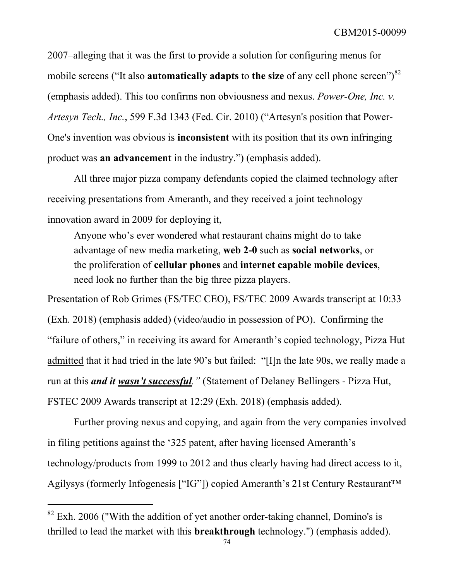2007–alleging that it was the first to provide a solution for configuring menus for mobile screens ("It also **automatically adapts** to the size of any cell phone screen")<sup>82</sup> (emphasis added). This too confirms non obviousness and nexus. *Power-One, Inc. v. Artesyn Tech., Inc.*, 599 F.3d 1343 (Fed. Cir. 2010) ("Artesyn's position that Power-One's invention was obvious is **inconsistent** with its position that its own infringing product was **an advancement** in the industry.") (emphasis added).

All three major pizza company defendants copied the claimed technology after receiving presentations from Ameranth, and they received a joint technology innovation award in 2009 for deploying it,

Anyone who's ever wondered what restaurant chains might do to take advantage of new media marketing, **web 2-0** such as **social networks**, or the proliferation of **cellular phones** and **internet capable mobile devices**, need look no further than the big three pizza players.

Presentation of Rob Grimes (FS/TEC CEO), FS/TEC 2009 Awards transcript at 10:33 (Exh. 2018) (emphasis added) (video/audio in possession of PO). Confirming the "failure of others," in receiving its award for Ameranth's copied technology, Pizza Hut admitted that it had tried in the late 90's but failed: "[I]n the late 90s, we really made a run at this *and it wasn't successful."* (Statement of Delaney Bellingers - Pizza Hut, FSTEC 2009 Awards transcript at 12:29 (Exh. 2018) (emphasis added).

Further proving nexus and copying, and again from the very companies involved in filing petitions against the '325 patent, after having licensed Ameranth's technology/products from 1999 to 2012 and thus clearly having had direct access to it, Agilysys (formerly Infogenesis ["IG"]) copied Ameranth's 21st Century Restaurant™

 $82$  Exh. 2006 ("With the addition of yet another order-taking channel, Domino's is thrilled to lead the market with this **breakthrough** technology.") (emphasis added).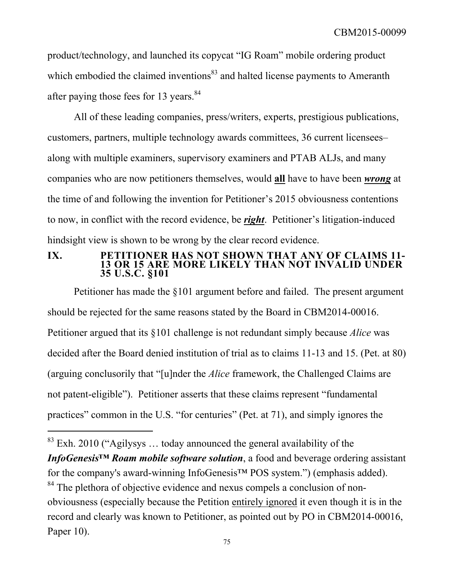product/technology, and launched its copycat "IG Roam" mobile ordering product which embodied the claimed inventions<sup>83</sup> and halted license payments to Ameranth after paying those fees for 13 years. $84$ 

All of these leading companies, press/writers, experts, prestigious publications, customers, partners, multiple technology awards committees, 36 current licensees– along with multiple examiners, supervisory examiners and PTAB ALJs, and many companies who are now petitioners themselves, would **all** have to have been *wrong* at the time of and following the invention for Petitioner's 2015 obviousness contentions to now, in conflict with the record evidence, be *right*. Petitioner's litigation-induced hindsight view is shown to be wrong by the clear record evidence.

#### **IX. PETITIONER HAS NOT SHOWN THAT ANY OF CLAIMS 11- 13 OR 15 ARE MORE LIKELY THAN NOT INVALID UNDER 35 U.S.C. §101**

Petitioner has made the §101 argument before and failed. The present argument should be rejected for the same reasons stated by the Board in CBM2014-00016. Petitioner argued that its §101 challenge is not redundant simply because *Alice* was decided after the Board denied institution of trial as to claims 11-13 and 15. (Pet. at 80) (arguing conclusorily that "[u]nder the *Alice* framework, the Challenged Claims are not patent-eligible"). Petitioner asserts that these claims represent "fundamental practices" common in the U.S. "for centuries" (Pet. at 71), and simply ignores the

 $83$  Exh. 2010 ("Agilysys ... today announced the general availability of the *InfoGenesis™ Roam mobile software solution*, a food and beverage ordering assistant for the company's award-winning InfoGenesis™ POS system.") (emphasis added).  $84$  The plethora of objective evidence and nexus compels a conclusion of nonobviousness (especially because the Petition entirely ignored it even though it is in the record and clearly was known to Petitioner, as pointed out by PO in CBM2014-00016, Paper 10).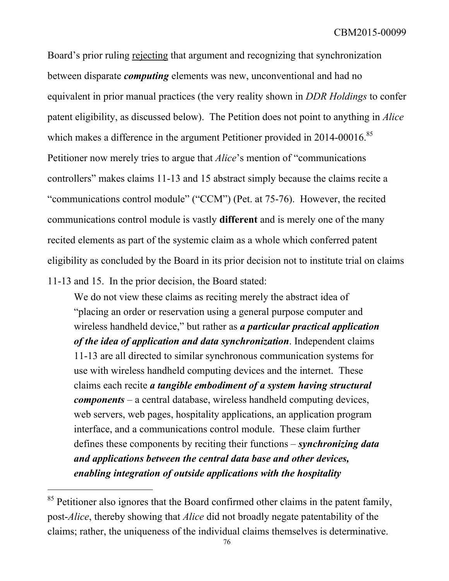Board's prior ruling rejecting that argument and recognizing that synchronization between disparate *computing* elements was new, unconventional and had no equivalent in prior manual practices (the very reality shown in *DDR Holdings* to confer patent eligibility, as discussed below). The Petition does not point to anything in *Alice* which makes a difference in the argument Petitioner provided in 2014-00016.<sup>85</sup> Petitioner now merely tries to argue that *Alice*'s mention of "communications controllers" makes claims 11-13 and 15 abstract simply because the claims recite a "communications control module" ("CCM") (Pet. at 75-76). However, the recited communications control module is vastly **different** and is merely one of the many recited elements as part of the systemic claim as a whole which conferred patent eligibility as concluded by the Board in its prior decision not to institute trial on claims

11-13 and 15. In the prior decision, the Board stated:

We do not view these claims as reciting merely the abstract idea of "placing an order or reservation using a general purpose computer and wireless handheld device," but rather as *a particular practical application of the idea of application and data synchronization*. Independent claims 11-13 are all directed to similar synchronous communication systems for use with wireless handheld computing devices and the internet. These claims each recite *a tangible embodiment of a system having structural components* – a central database, wireless handheld computing devices, web servers, web pages, hospitality applications, an application program interface, and a communications control module. These claim further defines these components by reciting their functions – *synchronizing data and applications between the central data base and other devices, enabling integration of outside applications with the hospitality*

<sup>&</sup>lt;sup>85</sup> Petitioner also ignores that the Board confirmed other claims in the patent family, post-*Alice*, thereby showing that *Alice* did not broadly negate patentability of the claims; rather, the uniqueness of the individual claims themselves is determinative.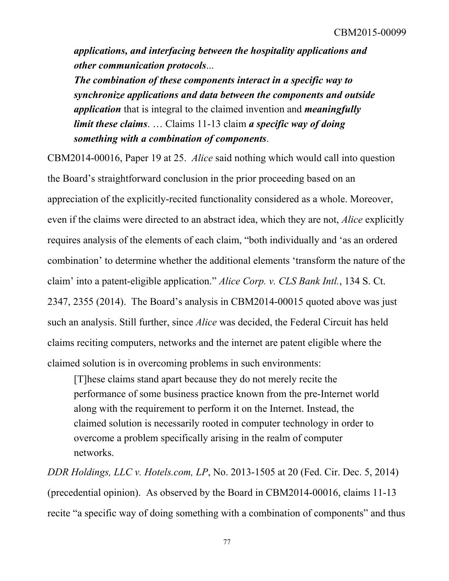*applications, and interfacing between the hospitality applications and other communication protocols*...

*The combination of these components interact in a specific way to synchronize applications and data between the components and outside application* that is integral to the claimed invention and *meaningfully limit these claims*. … Claims 11-13 claim *a specific way of doing something with a combination of components*.

CBM2014-00016, Paper 19 at 25. *Alice* said nothing which would call into question the Board's straightforward conclusion in the prior proceeding based on an appreciation of the explicitly-recited functionality considered as a whole. Moreover, even if the claims were directed to an abstract idea, which they are not, *Alice* explicitly requires analysis of the elements of each claim, "both individually and 'as an ordered combination' to determine whether the additional elements 'transform the nature of the claim' into a patent-eligible application." *Alice Corp. v. CLS Bank Intl.*, 134 S. Ct. 2347, 2355 (2014). The Board's analysis in CBM2014-00015 quoted above was just such an analysis. Still further, since *Alice* was decided, the Federal Circuit has held claims reciting computers, networks and the internet are patent eligible where the claimed solution is in overcoming problems in such environments:

[T]hese claims stand apart because they do not merely recite the performance of some business practice known from the pre-Internet world along with the requirement to perform it on the Internet. Instead, the claimed solution is necessarily rooted in computer technology in order to overcome a problem specifically arising in the realm of computer networks.

*DDR Holdings, LLC v. Hotels.com, LP*, No. 2013-1505 at 20 (Fed. Cir. Dec. 5, 2014) (precedential opinion). As observed by the Board in CBM2014-00016, claims 11-13 recite "a specific way of doing something with a combination of components" and thus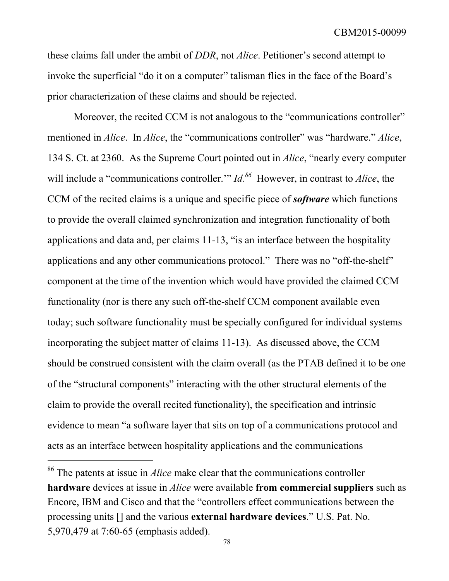these claims fall under the ambit of *DDR*, not *Alice*. Petitioner's second attempt to invoke the superficial "do it on a computer" talisman flies in the face of the Board's prior characterization of these claims and should be rejected.

Moreover, the recited CCM is not analogous to the "communications controller" mentioned in *Alice*. In *Alice*, the "communications controller" was "hardware." *Alice*, 134 S. Ct. at 2360. As the Supreme Court pointed out in *Alice*, "nearly every computer will include a "communications controller.'" *Id.<sup>86</sup>* However, in contrast to *Alice*, the CCM of the recited claims is a unique and specific piece of *software* which functions to provide the overall claimed synchronization and integration functionality of both applications and data and, per claims 11-13, "is an interface between the hospitality applications and any other communications protocol." There was no "off-the-shelf" component at the time of the invention which would have provided the claimed CCM functionality (nor is there any such off-the-shelf CCM component available even today; such software functionality must be specially configured for individual systems incorporating the subject matter of claims 11-13). As discussed above, the CCM should be construed consistent with the claim overall (as the PTAB defined it to be one of the "structural components" interacting with the other structural elements of the claim to provide the overall recited functionality), the specification and intrinsic evidence to mean "a software layer that sits on top of a communications protocol and acts as an interface between hospitality applications and the communications

<sup>86</sup> The patents at issue in *Alice* make clear that the communications controller **hardware** devices at issue in *Alice* were available **from commercial suppliers** such as Encore, IBM and Cisco and that the "controllers effect communications between the processing units [] and the various **external hardware devices**." U.S. Pat. No. 5,970,479 at 7:60-65 (emphasis added).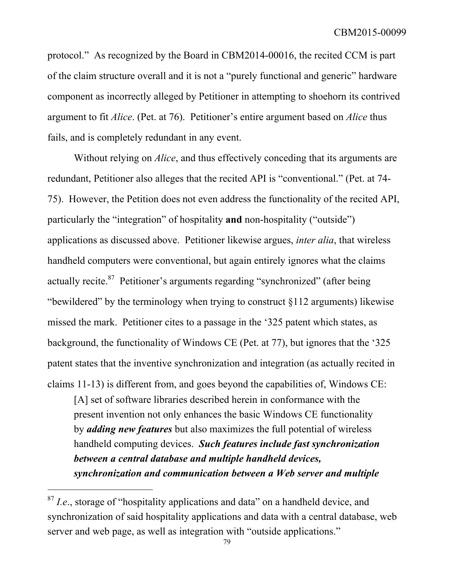protocol." As recognized by the Board in CBM2014-00016, the recited CCM is part of the claim structure overall and it is not a "purely functional and generic" hardware component as incorrectly alleged by Petitioner in attempting to shoehorn its contrived argument to fit *Alice*. (Pet. at 76). Petitioner's entire argument based on *Alice* thus fails, and is completely redundant in any event.

Without relying on *Alice*, and thus effectively conceding that its arguments are redundant, Petitioner also alleges that the recited API is "conventional." (Pet. at 74- 75). However, the Petition does not even address the functionality of the recited API, particularly the "integration" of hospitality **and** non-hospitality ("outside") applications as discussed above. Petitioner likewise argues, *inter alia*, that wireless handheld computers were conventional, but again entirely ignores what the claims actually recite. $87$  Petitioner's arguments regarding "synchronized" (after being "bewildered" by the terminology when trying to construct §112 arguments) likewise missed the mark. Petitioner cites to a passage in the '325 patent which states, as background, the functionality of Windows CE (Pet. at 77), but ignores that the '325 patent states that the inventive synchronization and integration (as actually recited in claims 11-13) is different from, and goes beyond the capabilities of, Windows CE:

[A] set of software libraries described herein in conformance with the present invention not only enhances the basic Windows CE functionality by *adding new features* but also maximizes the full potential of wireless handheld computing devices. *Such features include fast synchronization between a central database and multiple handheld devices, synchronization and communication between a Web server and multiple*

<sup>&</sup>lt;sup>87</sup> *I.e.*, storage of "hospitality applications and data" on a handheld device, and synchronization of said hospitality applications and data with a central database, web server and web page, as well as integration with "outside applications."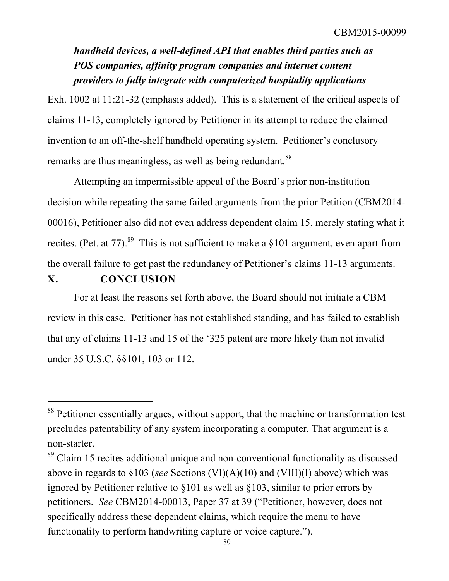# *handheld devices, a well-defined API that enables third parties such as POS companies, affinity program companies and internet content providers to fully integrate with computerized hospitality applications*

Exh. 1002 at 11:21-32 (emphasis added). This is a statement of the critical aspects of claims 11-13, completely ignored by Petitioner in its attempt to reduce the claimed invention to an off-the-shelf handheld operating system. Petitioner's conclusory remarks are thus meaningless, as well as being redundant.<sup>88</sup>

Attempting an impermissible appeal of the Board's prior non-institution decision while repeating the same failed arguments from the prior Petition (CBM2014- 00016), Petitioner also did not even address dependent claim 15, merely stating what it recites. (Pet. at 77).<sup>89</sup> This is not sufficient to make a  $\S$ 101 argument, even apart from the overall failure to get past the redundancy of Petitioner's claims 11-13 arguments. **X. CONCLUSION**

For at least the reasons set forth above, the Board should not initiate a CBM review in this case. Petitioner has not established standing, and has failed to establish that any of claims 11-13 and 15 of the '325 patent are more likely than not invalid under 35 U.S.C. §§101, 103 or 112.

<sup>&</sup>lt;sup>88</sup> Petitioner essentially argues, without support, that the machine or transformation test precludes patentability of any system incorporating a computer. That argument is a non-starter.

<sup>&</sup>lt;sup>89</sup> Claim 15 recites additional unique and non-conventional functionality as discussed above in regards to §103 (*see* Sections (VI)(A)(10) and (VIII)(I) above) which was ignored by Petitioner relative to §101 as well as §103, similar to prior errors by petitioners. *See* CBM2014-00013, Paper 37 at 39 ("Petitioner, however, does not specifically address these dependent claims, which require the menu to have functionality to perform handwriting capture or voice capture.").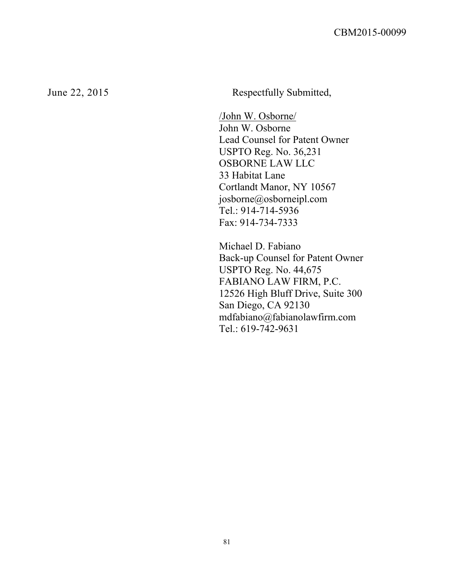June 22, 2015 Respectfully Submitted,

/John W. Osborne/ John W. Osborne Lead Counsel for Patent Owner USPTO Reg. No. 36,231 OSBORNE LAW LLC 33 Habitat Lane Cortlandt Manor, NY 10567 josborne@osborneipl.com Tel.: 914-714-5936 Fax: 914-734-7333

Michael D. Fabiano Back-up Counsel for Patent Owner USPTO Reg. No. 44,675 FABIANO LAW FIRM, P.C. 12526 High Bluff Drive, Suite 300 San Diego, CA 92130 mdfabiano@fabianolawfirm.com Tel.: 619-742-9631